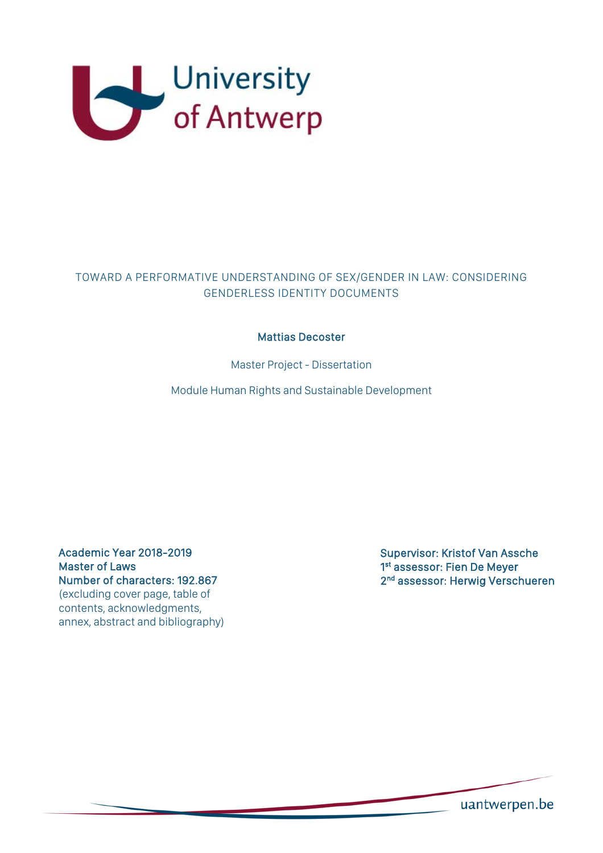

## TOWARD A PERFORMATIVE UNDERSTANDING OF SEX/GENDER IN LAW: CONSIDERING GENDERLESS IDENTITY DOCUMENTS

## Mattias Decoster

Master Project - Dissertation

Module Human Rights and Sustainable Development

Academic Year 2018-2019 Master of Laws Number of characters: 192.867 (excluding cover page, table of contents, acknowledgments, annex, abstract and bibliography) Supervisor: Kristof Van Assche 1<sup>st</sup> assessor: Fien De Meyer 2<sup>nd</sup> assessor: Herwig Verschueren

uantwerpen.be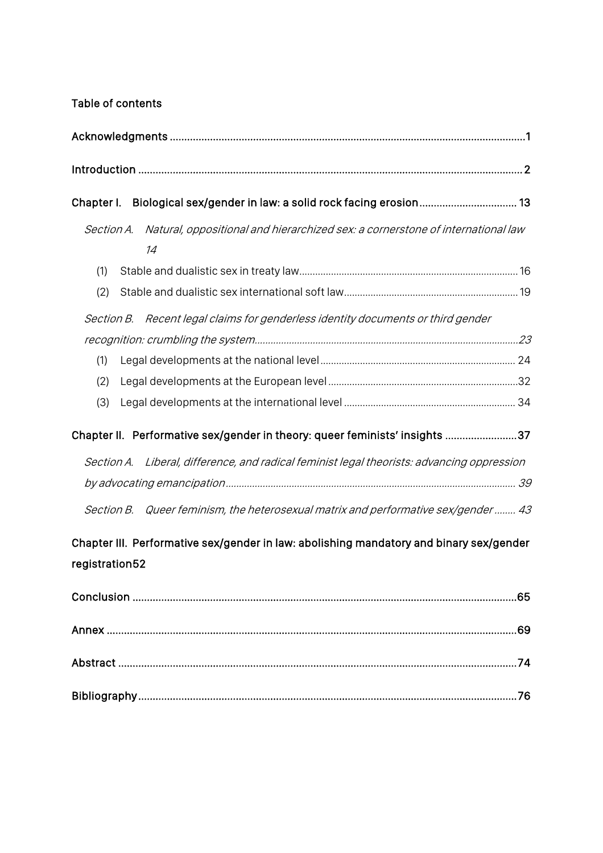# Table of contents

| Chapter I.                                                                                                |                                                                                                 |
|-----------------------------------------------------------------------------------------------------------|-------------------------------------------------------------------------------------------------|
|                                                                                                           | Section A. Natural, oppositional and hierarchized sex: a cornerstone of international law<br>14 |
| (1)                                                                                                       |                                                                                                 |
| (2)                                                                                                       |                                                                                                 |
|                                                                                                           | Section B. Recent legal claims for genderless identity documents or third gender                |
|                                                                                                           |                                                                                                 |
| (1)                                                                                                       |                                                                                                 |
| (2)                                                                                                       |                                                                                                 |
| (3)                                                                                                       |                                                                                                 |
| Chapter II. Performative sex/gender in theory: queer feminists' insights 37                               |                                                                                                 |
|                                                                                                           | Section A. Liberal, difference, and radical feminist legal theorists: advancing oppression      |
|                                                                                                           |                                                                                                 |
|                                                                                                           | Section B. Queer feminism, the heterosexual matrix and performative sex/gender  43              |
| Chapter III. Performative sex/gender in law: abolishing mandatory and binary sex/gender<br>registration52 |                                                                                                 |
|                                                                                                           |                                                                                                 |
|                                                                                                           |                                                                                                 |
|                                                                                                           |                                                                                                 |
|                                                                                                           |                                                                                                 |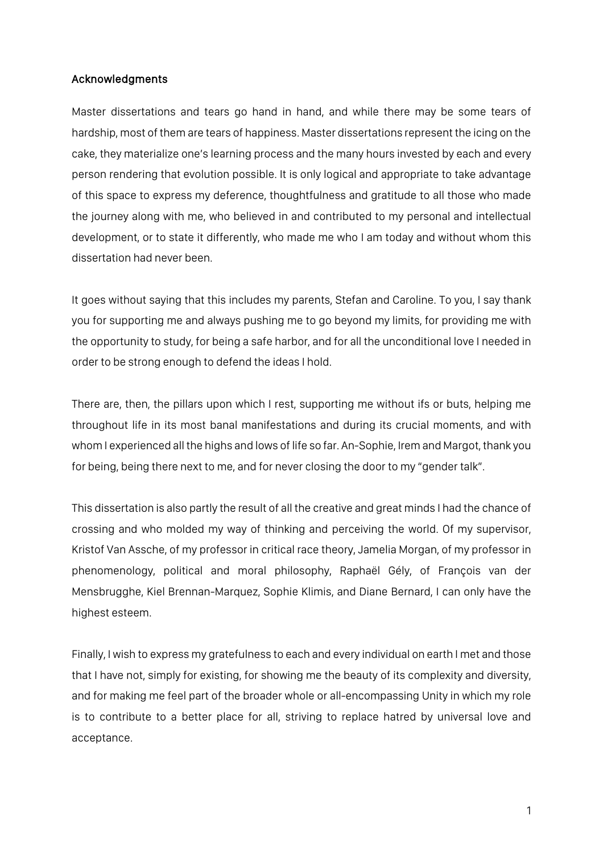## Acknowledgments

Master dissertations and tears go hand in hand, and while there may be some tears of hardship, most of them are tears of happiness. Master dissertations represent the icing on the cake, they materialize one's learning process and the many hours invested by each and every person rendering that evolution possible. It is only logical and appropriate to take advantage of this space to express my deference, thoughtfulness and gratitude to all those who made the journey along with me, who believed in and contributed to my personal and intellectual development, or to state it differently, who made me who I am today and without whom this dissertation had never been.

It goes without saying that this includes my parents, Stefan and Caroline. To you, I say thank you for supporting me and always pushing me to go beyond my limits, for providing me with the opportunity to study, for being a safe harbor, and for all the unconditional love I needed in order to be strong enough to defend the ideas I hold.

There are, then, the pillars upon which I rest, supporting me without ifs or buts, helping me throughout life in its most banal manifestations and during its crucial moments, and with whom I experienced all the highs and lows of life so far. An-Sophie, Irem and Margot, thank you for being, being there next to me, and for never closing the door to my "gender talk".

This dissertation is also partly the result of all the creative and great minds I had the chance of crossing and who molded my way of thinking and perceiving the world. Of my supervisor, Kristof Van Assche, of my professor in critical race theory, Jamelia Morgan, of my professor in phenomenology, political and moral philosophy, Raphaël Gély, of François van der Mensbrugghe, Kiel Brennan-Marquez, Sophie Klimis, and Diane Bernard, I can only have the highest esteem.

Finally, I wish to express my gratefulness to each and every individual on earth I met and those that I have not, simply for existing, for showing me the beauty of its complexity and diversity, and for making me feel part of the broader whole or all-encompassing Unity in which my role is to contribute to a better place for all, striving to replace hatred by universal love and acceptance.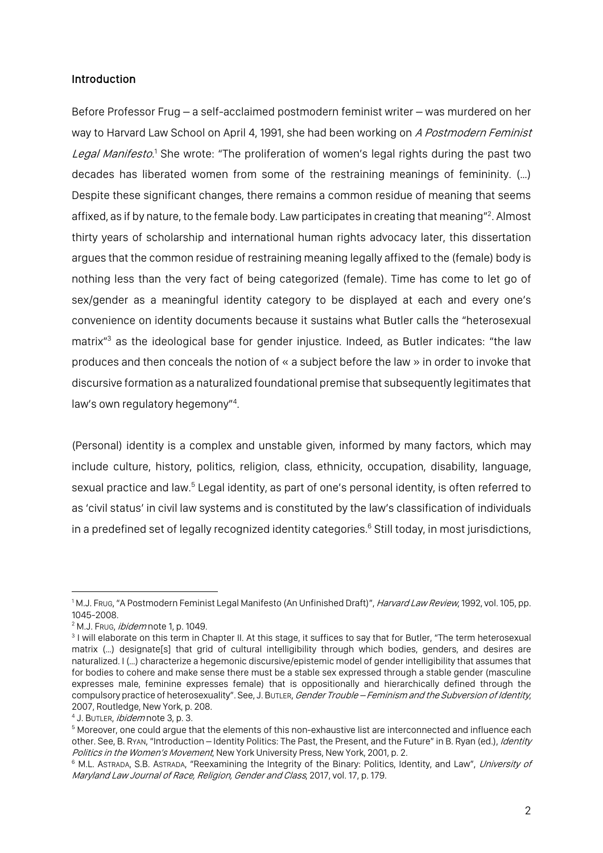#### Introduction

Before Professor Frug – a self-acclaimed postmodern feminist writer – was murdered on her way to Harvard Law School on April 4, 1991, she had been working on A Postmodern Feminist Legal Manifesto.<sup>1</sup> She wrote: "The proliferation of women's legal rights during the past two decades has liberated women from some of the restraining meanings of femininity. (…) Despite these significant changes, there remains a common residue of meaning that seems affixed, as if by nature, to the female body. Law participates in creating that meaning"<sup>2</sup>. Almost thirty years of scholarship and international human rights advocacy later, this dissertation argues that the common residue of restraining meaning legally affixed to the (female) body is nothing less than the very fact of being categorized (female). Time has come to let go of sex/gender as a meaningful identity category to be displayed at each and every one's convenience on identity documents because it sustains what Butler calls the "heterosexual matrix<sup>"3</sup> as the ideological base for gender injustice. Indeed, as Butler indicates: "the law produces and then conceals the notion of « a subject before the law » in order to invoke that discursive formation as a naturalized foundational premise that subsequently legitimates that law's own regulatory hegemony"4 .

(Personal) identity is a complex and unstable given, informed by many factors, which may include culture, history, politics, religion, class, ethnicity, occupation, disability, language, sexual practice and law.<sup>5</sup> Legal identity, as part of one's personal identity, is often referred to as 'civil status' in civil law systems and is constituted by the law's classification of individuals in a predefined set of legally recognized identity categories.<sup>6</sup> Still today, in most jurisdictions,

<sup>&</sup>lt;sup>1</sup> M.J. Frug, "A Postmodern Feminist Legal Manifesto (An Unfinished Draft)", *Harvard Law Review*, 1992, vol. 105, pp. 1045-2008.<br><sup>2</sup> M.J. Frug, *ibidem* note 1, p. 1049.<br><sup>3</sup> I will elaborate on this term in Chapter II. At this stage, it suffices to say that for Butler, "The term heterosexual

matrix (…) designate[s] that grid of cultural intelligibility through which bodies, genders, and desires are naturalized. I (…) characterize a hegemonic discursive/epistemic model of gender intelligibility that assumes that for bodies to cohere and make sense there must be a stable sex expressed through a stable gender (masculine expresses male, feminine expresses female) that is oppositionally and hierarchically defined through the compulsory practice of heterosexuality". See, J. BUTLER, Gender Trouble – Feminism and the Subversion of Identity, 2007, Routledge, New York, p. 208.

<sup>&</sup>lt;sup>4</sup> J. BUTLER, *ibidem* note 3, p. 3.

<sup>5</sup> Moreover, one could argue that the elements of this non-exhaustive list are interconnected and influence each other. See, B. Ryan, "Introduction – Identity Politics: The Past, the Present, and the Future" in B. Ryan (ed.), *Identity* Politics in the Women's Movement, New York University Press, New York, 2001, p. 2.

<sup>&</sup>lt;sup>6</sup> M.L. ASTRADA, S.B. ASTRADA, "Reexamining the Integrity of the Binary: Politics, Identity, and Law", University of Maryland Law Journal of Race, Religion, Gender and Class, 2017, vol. 17, p. 179.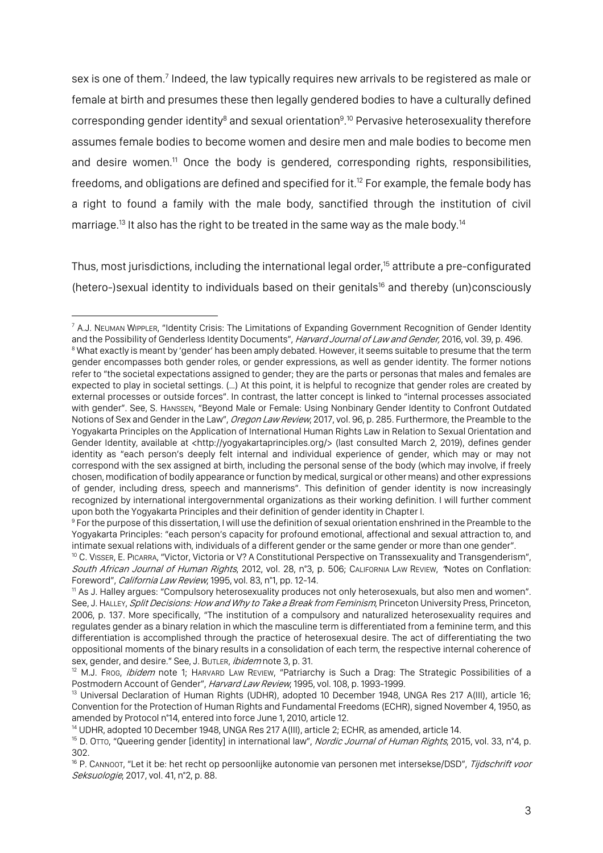sex is one of them.<sup>7</sup> Indeed, the law typically requires new arrivals to be registered as male or female at birth and presumes these then legally gendered bodies to have a culturally defined corresponding gender identity<sup>8</sup> and sexual orientation<sup>9</sup>.<sup>10</sup> Pervasive heterosexuality therefore assumes female bodies to become women and desire men and male bodies to become men and desire women.<sup>11</sup> Once the body is gendered, corresponding rights, responsibilities, freedoms, and obligations are defined and specified for it.12 For example, the female body has a right to found a family with the male body, sanctified through the institution of civil marriage.<sup>13</sup> It also has the right to be treated in the same way as the male body.<sup>14</sup>

Thus, most jurisdictions, including the international legal order,<sup>15</sup> attribute a pre-configurated (hetero-)sexual identity to individuals based on their genitals<sup>16</sup> and thereby (un)consciously

 $7$  A.J. NEUMAN WIPPLER, "Identity Crisis: The Limitations of Expanding Government Recognition of Gender Identity and the Possibility of Genderless Identity Documents", Harvard Journal of Law and Gender, 2016, vol. 39, p. 496. <sup>8</sup> What exactly is meant by 'gender' has been amply debated. However, it seems suitable to presume that the term gender encompasses both gender roles, or gender expressions, as well as gender identity. The former notions refer to "the societal expectations assigned to gender; they are the parts or personas that males and females are expected to play in societal settings. (…) At this point, it is helpful to recognize that gender roles are created by external processes or outside forces". In contrast, the latter concept is linked to "internal processes associated with gender". See, S. HANSSEN, "Beyond Male or Female: Using Nonbinary Gender Identity to Confront Outdated Notions of Sex and Gender in the Law", Oregon Law Review, 2017, vol. 96, p. 285. Furthermore, the Preamble to the Yogyakarta Principles on the Application of International Human Rights Law in Relation to Sexual Orientation and Gender Identity, available at <http://yogyakartaprinciples.org/> (last consulted March 2, 2019), defines gender identity as "each person's deeply felt internal and individual experience of gender, which may or may not correspond with the sex assigned at birth, including the personal sense of the body (which may involve, if freely chosen, modification of bodily appearance or function by medical, surgical or other means) and other expressions of gender, including dress, speech and mannerisms". This definition of gender identity is now increasingly recognized by international intergovernmental organizations as their working definition. I will further comment upon both the Yogyakarta Principles and their definition of gender identity in Chapter I.

<sup>&</sup>lt;sup>9</sup> For the purpose of this dissertation, I will use the definition of sexual orientation enshrined in the Preamble to the Yogyakarta Principles: "each person's capacity for profound emotional, affectional and sexual attraction to, and intimate sexual relations with, individuals of a different gender or the same gender or more than one gender".

<sup>10</sup> C. VISSER, E. PICARRA, "Victor, Victoria or V? A Constitutional Perspective on Transsexuality and Transgenderism", South African Journal of Human Rights, 2012, vol. 28, n°3, p. 506; CALIFORNIA LAW REVIEW, 'Notes on Conflation: Foreword", California Law Review, 1995, vol. 83, n°1, pp. 12-14.

<sup>11</sup> As J. Halley argues: "Compulsory heterosexuality produces not only heterosexuals, but also men and women". See, J. HALLEY, Split Decisions: How and Why to Take a Break from Feminism, Princeton University Press, Princeton, 2006, p. 137. More specifically, "The institution of a compulsory and naturalized heterosexuality requires and regulates gender as a binary relation in which the masculine term is differentiated from a feminine term, and this differentiation is accomplished through the practice of heterosexual desire. The act of differentiating the two oppositional moments of the binary results in a consolidation of each term, the respective internal coherence of

sex, gender, and desire." See, J. Butler, *ibidem* note 3, p. 31.<br><sup>12</sup> M.J. Frog, *ibidem* note 1; HARVARD LAW REVIEW, "Patriarchy is Such a Drag: The Strategic Possibilities of a<br>Postmodern Account of Gender", *Harvard La* 

<sup>&</sup>lt;sup>13</sup> Universal Declaration of Human Rights (UDHR), adopted 10 December 1948, UNGA Res 217 A(III), article 16; Convention for the Protection of Human Rights and Fundamental Freedoms (ECHR), signed November 4, 1950, as amended by Protocol n°14, entered into force June 1, 2010, article 12.

<sup>&</sup>lt;sup>14</sup> UDHR, adopted 10 December 1948, UNGA Res 217 A(III), article 2; ECHR, as amended, article 14.<br><sup>15</sup> D. OTTO, "Queering gender [identity] in international law", *Nordic Journal of Human Rights*, 2015, vol. 33, n°4, p. 302.

<sup>&</sup>lt;sup>16</sup> P. CANNOOT, "Let it be: het recht op persoonlijke autonomie van personen met intersekse/DSD", Tijdschrift voor Seksuologie, 2017, vol. 41, n°2, p. 88.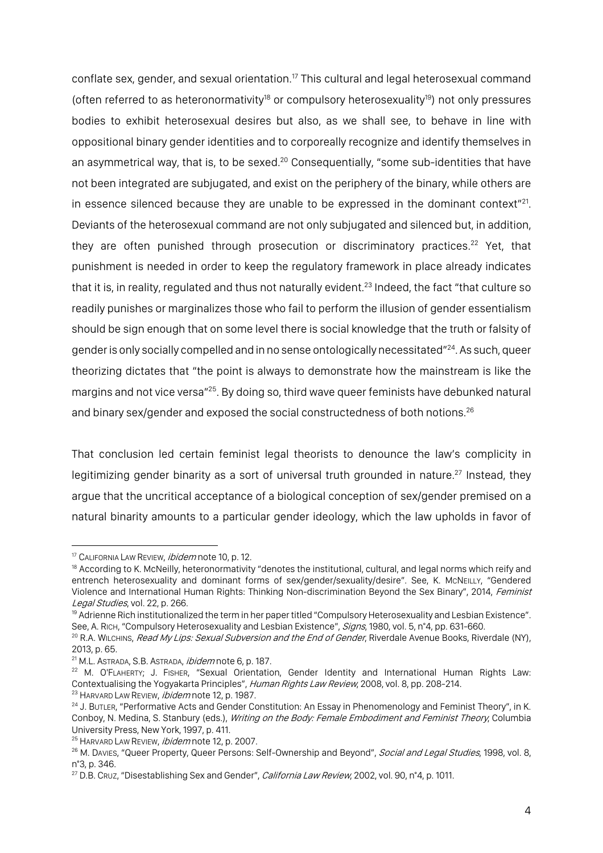conflate sex, gender, and sexual orientation.<sup>17</sup> This cultural and legal heterosexual command (often referred to as heteronormativity<sup>18</sup> or compulsory heterosexuality<sup>19</sup>) not only pressures bodies to exhibit heterosexual desires but also, as we shall see, to behave in line with oppositional binary gender identities and to corporeally recognize and identify themselves in an asymmetrical way, that is, to be sexed.<sup>20</sup> Consequentially, "some sub-identities that have not been integrated are subjugated, and exist on the periphery of the binary, while others are in essence silenced because they are unable to be expressed in the dominant context $"^{21}$ . Deviants of the heterosexual command are not only subjugated and silenced but, in addition, they are often punished through prosecution or discriminatory practices.<sup>22</sup> Yet, that punishment is needed in order to keep the regulatory framework in place already indicates that it is, in reality, regulated and thus not naturally evident.<sup>23</sup> Indeed, the fact "that culture so readily punishes or marginalizes those who fail to perform the illusion of gender essentialism should be sign enough that on some level there is social knowledge that the truth or falsity of gender is only socially compelled and in no sense ontologically necessitated"24. As such, queer theorizing dictates that "the point is always to demonstrate how the mainstream is like the margins and not vice versa"25. By doing so, third wave queer feminists have debunked natural and binary sex/gender and exposed the social constructedness of both notions.<sup>26</sup>

That conclusion led certain feminist legal theorists to denounce the law's complicity in legitimizing gender binarity as a sort of universal truth grounded in nature.<sup>27</sup> Instead, they argue that the uncritical acceptance of a biological conception of sex/gender premised on a natural binarity amounts to a particular gender ideology, which the law upholds in favor of

<sup>&</sup>lt;sup>17</sup> CALIFORNIA LAW REVIEW, *ibidem* note 10, p. 12.

<sup>&</sup>lt;sup>18</sup> According to K. McNeilly, heteronormativity "denotes the institutional, cultural, and legal norms which reify and entrench heterosexuality and dominant forms of sex/gender/sexuality/desire". See, K. MCNEILLY, "Gendered Violence and International Human Rights: Thinking Non-discrimination Beyond the Sex Binary", 2014, Feminist Legal Studies, vol. 22, p. 266.<br><sup>19</sup> Adrienne Rich institutionalized the term in her paper titled "Compulsory Heterosexuality and Lesbian Existence".

See, A. RICH, "Compulsory Heterosexuality and Lesbian Existence", Signs, 1980, vol. 5, n°4, pp. 631-660.

<sup>&</sup>lt;sup>20</sup> R.A. WILCHINS, *Read My Lips: Sexual Subversion and the End of Gender*, Riverdale Avenue Books, Riverdale (NY), 2013, p. 65.

 $21$  M.L. ASTRADA, S.B. ASTRADA, *ibidem* note 6, p. 187.

<sup>22</sup> M. O'FLAHERTY; J. FISHER, "Sexual Orientation, Gender Identity and International Human Rights Law: Contextualising the Yogyakarta Principles", Human Rights Law Review, 2008, vol. 8, pp. 208-214. <sup>23</sup> HARVARD LAW REVIEW, *ibidem* note 12, p. 1987.

<sup>&</sup>lt;sup>24</sup> J. ButLer, "Performative Acts and Gender Constitution: An Essay in Phenomenology and Feminist Theory", in K. Conboy, N. Medina, S. Stanbury (eds.), Writing on the Body: Female Embodiment and Feminist Theory, Columbia University Press, New York, 1997, p. 411.

<sup>&</sup>lt;sup>25</sup> HARVARD LAW REVIEW, *ibidem* note 12, p. 2007.

<sup>&</sup>lt;sup>26</sup> M. Davies, "Queer Property, Queer Persons: Self-Ownership and Beyond", Social and Legal Studies, 1998, vol. 8, n°3, p. 346.

 $27$  D.B. Cruz, "Disestablishing Sex and Gender", *California Law Review*, 2002, vol. 90, n°4, p. 1011.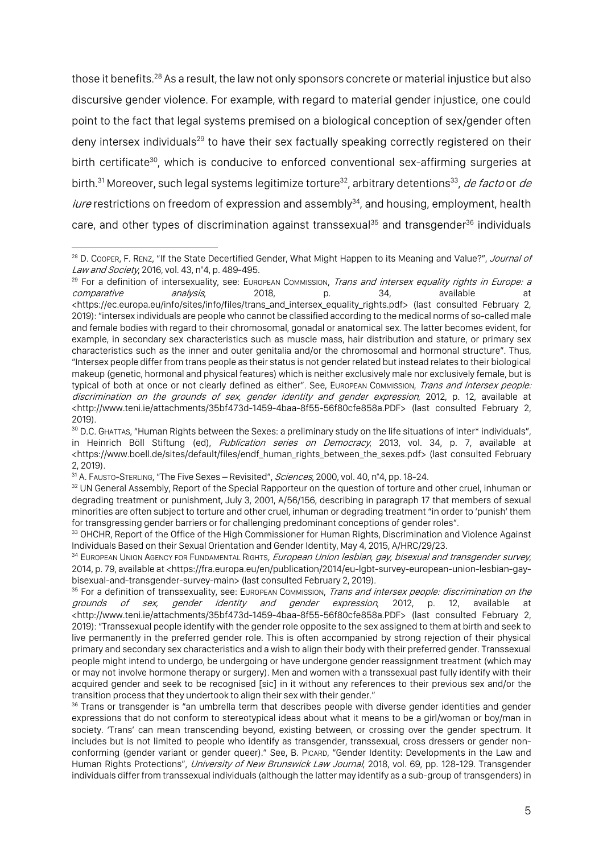those it benefits.28 As a result, the law not only sponsors concrete or material injustice but also discursive gender violence. For example, with regard to material gender injustice, one could point to the fact that legal systems premised on a biological conception of sex/gender often deny intersex individuals<sup>29</sup> to have their sex factually speaking correctly registered on their birth certificate<sup>30</sup>, which is conducive to enforced conventional sex-affirming surgeries at birth.<sup>31</sup> Moreover, such legal systems legitimize torture<sup>32</sup>, arbitrary detentions<sup>33</sup>, *de facto* or *de* iure restrictions on freedom of expression and assembly<sup>34</sup>, and housing, employment, health care, and other types of discrimination against transsexual<sup>35</sup> and transgender<sup>36</sup> individuals

<sup>&</sup>lt;sup>28</sup> D. Cooper, F. Renz, "If the State Decertified Gender, What Might Happen to its Meaning and Value?", Journal of Law and Society, 2016, vol. 43, n°4, p. 489-495.

<sup>&</sup>lt;sup>29</sup> For a definition of intersexuality, see: EUROPEAN COMMISSION, *Trans and intersex equality rights in Europe: a* comparative analysis, 2018, p. 34, available at <https://ec.europa.eu/info/sites/info/files/trans\_and\_intersex\_equality\_rights.pdf> (last consulted February 2, 2019): "intersex individuals are people who cannot be classified according to the medical norms of so-called male and female bodies with regard to their chromosomal, gonadal or anatomical sex. The latter becomes evident, for example, in secondary sex characteristics such as muscle mass, hair distribution and stature, or primary sex characteristics such as the inner and outer genitalia and/or the chromosomal and hormonal structure". Thus, "Intersex people differ from trans people as their status is not gender related but instead relates to their biological makeup (genetic, hormonal and physical features) which is neither exclusively male nor exclusively female, but is typical of both at once or not clearly defined as either". See, EUROPEAN COMMISSION, Trans and intersex people: discrimination on the grounds of sex, gender identity and gender expression, 2012, p. 12, available at <http://www.teni.ie/attachments/35bf473d-1459-4baa-8f55-56f80cfe858a.PDF> (last consulted February 2, 2019).

<sup>30</sup> D.C. GHATTAS, "Human Rights between the Sexes: a preliminary study on the life situations of inter\* individuals", in Heinrich Böll Stiftung (ed), *Publication series on Democracy*, 2013, vol. 34, p. 7, available at <https://www.boell.de/sites/default/files/endf\_human\_rights\_between\_the\_sexes.pdf> (last consulted February 2, 2019).

<sup>31</sup> A. FAUSTO-STERLING, "The Five Sexes - Revisited", Sciences, 2000, vol. 40, n°4, pp. 18-24.

<sup>32</sup> UN General Assembly, Report of the Special Rapporteur on the question of torture and other cruel, inhuman or degrading treatment or punishment, July 3, 2001, A/56/156, describing in paragraph 17 that members of sexual minorities are often subject to torture and other cruel, inhuman or degrading treatment "in order to 'punish' them

for transgressing gender barriers or for challenging predominant conceptions of gender roles".<br><sup>33</sup> OHCHR, Report of the Office of the High Commissioner for Human Rights, Discrimination and Violence Against Individuals Based on their Sexual Orientation and Gender Identity, May 4, 2015, A/HRC/29/23.

<sup>&</sup>lt;sup>34</sup> EUROPEAN UNION AGENCY FOR FUNDAMENTAL RIGHTS, *European Union lesbian, gay, bisexual and transgender survey*, 2014, p. 79, available at <https://fra.europa.eu/en/publication/2014/eu-lgbt-survey-european-union-lesbian-gaybisexual-and-transgender-survey-main> (last consulted February 2, 2019).

<sup>&</sup>lt;sup>35</sup> For a definition of transsexuality, see: EUROPEAN COMMISSION, *Trans and intersex people: discrimination on the*<br>grounds of sex, gender identity and gender expression, 2012, p. 12, available at of sex, gender identity and gender expression, 2012, p. 12, available at <http://www.teni.ie/attachments/35bf473d-1459-4baa-8f55-56f80cfe858a.PDF> (last consulted February 2, 2019): "Transsexual people identify with the gender role opposite to the sex assigned to them at birth and seek to live permanently in the preferred gender role. This is often accompanied by strong rejection of their physical primary and secondary sex characteristics and a wish to align their body with their preferred gender. Transsexual people might intend to undergo, be undergoing or have undergone gender reassignment treatment (which may or may not involve hormone therapy or surgery). Men and women with a transsexual past fully identify with their acquired gender and seek to be recognised [sic] in it without any references to their previous sex and/or the transition process that they undertook to align their sex with their gender."

<sup>&</sup>lt;sup>36</sup> Trans or transgender is "an umbrella term that describes people with diverse gender identities and gender expressions that do not conform to stereotypical ideas about what it means to be a girl/woman or boy/man in society. 'Trans' can mean transcending beyond, existing between, or crossing over the gender spectrum. It includes but is not limited to people who identify as transgender, transsexual, cross dressers or gender nonconforming (gender variant or gender queer)." See, B. PICARD, "Gender Identity: Developments in the Law and Human Rights Protections", University of New Brunswick Law Journal, 2018, vol. 69, pp. 128-129. Transgender individuals differ from transsexual individuals (although the latter may identify as a sub-group of transgenders) in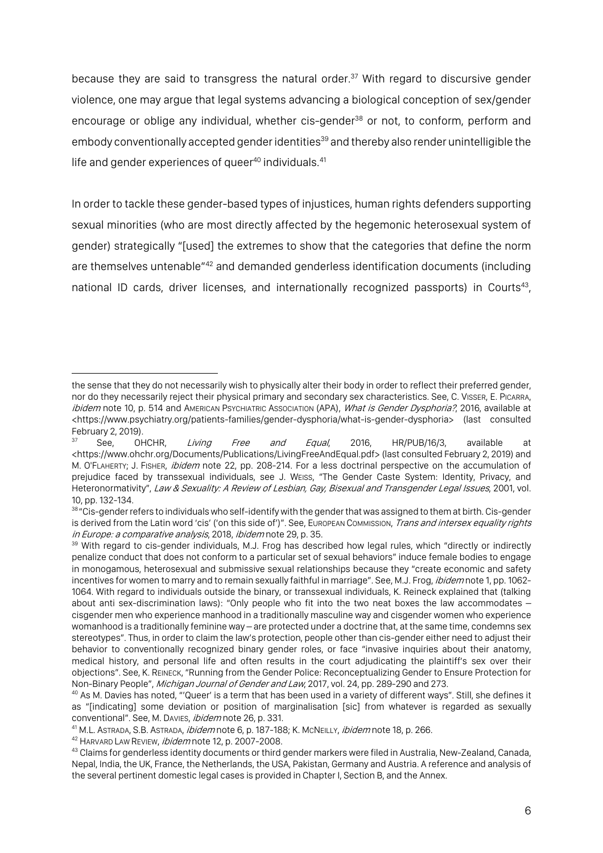because they are said to transgress the natural order. <sup>37</sup> With regard to discursive gender violence, one may argue that legal systems advancing a biological conception of sex/gender encourage or oblige any individual, whether cis-gender<sup>38</sup> or not, to conform, perform and embody conventionally accepted gender identities<sup>39</sup> and thereby also render unintelligible the life and gender experiences of queer $^{40}$  individuals. $^{41}$ 

In order to tackle these gender-based types of injustices, human rights defenders supporting sexual minorities (who are most directly affected by the hegemonic heterosexual system of gender) strategically "[used] the extremes to show that the categories that define the norm are themselves untenable<sup>"42</sup> and demanded genderless identification documents (including national ID cards, driver licenses, and internationally recognized passports) in Courts<sup>43</sup>,

<sup>42</sup> HARVARD LAW REVIEW, *ibidem* note 12, p. 2007-2008.

the sense that they do not necessarily wish to physically alter their body in order to reflect their preferred gender, nor do they necessarily reject their physical primary and secondary sex characteristics. See, C. VISSER, E. PICARRA, ibidem note 10, p. 514 and AMERICAN PSYCHIATRIC ASSOCIATION (APA), What is Gender Dysphoria?, 2016, available at <https://www.psychiatry.org/patients-families/gender-dysphoria/what-is-gender-dysphoria> (last consulted February 2, 2019).<br> $37$  See, OHCHR,

See, OHCHR, Living Free and Equal, 2016, HR/PUB/16/3, available at <https://www.ohchr.org/Documents/Publications/LivingFreeAndEqual.pdf> (last consulted February 2, 2019) and M. O'FLAHERTY; J. FISHER, *ibidem* note 22, pp. 208-214. For a less doctrinal perspective on the accumulation of prejudice faced by transsexual individuals, see J. WEISS, "The Gender Caste System: Identity, Privacy, and Heteronormativity", Law & Sexuality: A Review of Lesbian, Gay, Bisexual and Transgender Legal Issues, 2001, vol. 10, pp. 132-134.

<sup>&</sup>lt;sup>38</sup> "Cis-gender refers to individuals who self-identify with the gender that was assigned to them at birth. Cis-gender is derived from the Latin word 'cis' ('on this side of')". See, EUROPEAN COMMISSION, Trans and intersex equality rights *in Europe: a comparative analysis*, 2018, *ibidem* note 29, p. 35.<br><sup>39</sup> With regard to cis-gender individuals, M.J. Frog has described how legal rules, which "directly or indirectly

penalize conduct that does not conform to a particular set of sexual behaviors" induce female bodies to engage in monogamous, heterosexual and submissive sexual relationships because they "create economic and safety incentives for women to marry and to remain sexually faithful in marriage". See, M.J. Frog, ibidem note 1, pp. 1062-1064. With regard to individuals outside the binary, or transsexual individuals, K. Reineck explained that (talking about anti sex-discrimination laws): "Only people who fit into the two neat boxes the law accommodates – cisgender men who experience manhood in a traditionally masculine way and cisgender women who experience womanhood is a traditionally feminine way – are protected under a doctrine that, at the same time, condemns sex stereotypes". Thus, in order to claim the law's protection, people other than cis-gender either need to adjust their behavior to conventionally recognized binary gender roles, or face "invasive inquiries about their anatomy, medical history, and personal life and often results in the court adjudicating the plaintiff's sex over their objections". See, K. REINECK, "Running from the Gender Police: Reconceptualizing Gender to Ensure Protection for<br>Non-Binary People", *Michigan Journal of Gender and Law*, 2017, vol. 24, pp. 289-290 and 273.

<sup>&</sup>lt;sup>40</sup> As M. Davies has noted, "'Queer' is a term that has been used in a variety of different ways". Still, she defines it as "[indicating] some deviation or position of marginalisation [sic] from whatever is regarded as sexually conventional". See, M. DAVIES, ibidem note 26, p. 331.

<sup>&</sup>lt;sup>41</sup> M.L. ASTRADA, S.B. ASTRADA, *ibidem* note 6, p. 187-188; K. McNEILLY, *ibidem* note 18, p. 266.

<sup>43</sup> Claims for genderless identity documents or third gender markers were filed in Australia, New-Zealand, Canada, Nepal, India, the UK, France, the Netherlands, the USA, Pakistan, Germany and Austria. A reference and analysis of the several pertinent domestic legal cases is provided in Chapter I, Section B, and the Annex.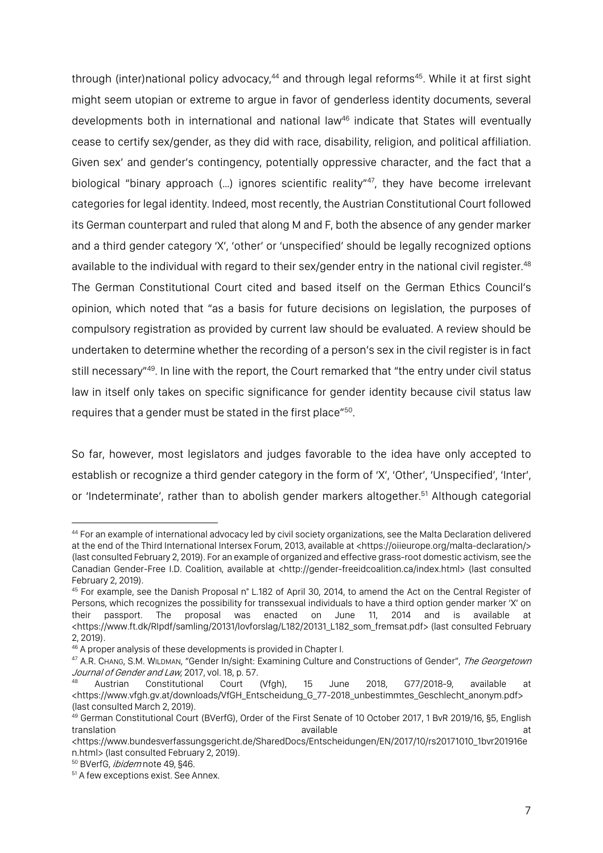through (inter)national policy advocacy,<sup>44</sup> and through legal reforms<sup>45</sup>. While it at first sight might seem utopian or extreme to argue in favor of genderless identity documents, several developments both in international and national law<sup>46</sup> indicate that States will eventually cease to certify sex/gender, as they did with race, disability, religion, and political affiliation. Given sex' and gender's contingency, potentially oppressive character, and the fact that a biological "binary approach (...) ignores scientific reality"<sup>47</sup>, they have become irrelevant categories for legal identity. Indeed, most recently, the Austrian Constitutional Court followed its German counterpart and ruled that along M and F, both the absence of any gender marker and a third gender category 'X', 'other' or 'unspecified' should be legally recognized options available to the individual with regard to their sex/gender entry in the national civil register.<sup>48</sup> The German Constitutional Court cited and based itself on the German Ethics Council's opinion, which noted that "as a basis for future decisions on legislation, the purposes of compulsory registration as provided by current law should be evaluated. A review should be undertaken to determine whether the recording of a person's sex in the civil register is in fact still necessary<sup>"49</sup>. In line with the report, the Court remarked that "the entry under civil status law in itself only takes on specific significance for gender identity because civil status law requires that a gender must be stated in the first place"50.

So far, however, most legislators and judges favorable to the idea have only accepted to establish or recognize a third gender category in the form of 'X', 'Other', 'Unspecified', 'Inter', or 'Indeterminate', rather than to abolish gender markers altogether.<sup>51</sup> Although categorial

<sup>44</sup> For an example of international advocacy led by civil society organizations, see the Malta Declaration delivered at the end of the Third International Intersex Forum, 2013, available at <https://oiieurope.org/malta-declaration/> (last consulted February 2, 2019). For an example of organized and effective grass-root domestic activism, see the Canadian Gender-Free I.D. Coalition, available at <http://gender-freeidcoalition.ca/index.html> (last consulted February 2, 2019).

<sup>45</sup> For example, see the Danish Proposal n° L.182 of April 30, 2014, to amend the Act on the Central Register of Persons, which recognizes the possibility for transsexual individuals to have a third option gender marker 'X' on their passport. The proposal was enacted on June 11, 2014 and is available at <https://www.ft.dk/RIpdf/samling/20131/lovforslag/L182/20131\_L182\_som\_fremsat.pdf> (last consulted February 2, 2019).

<sup>&</sup>lt;sup>46</sup> A proper analysis of these developments is provided in Chapter I.<br><sup>47</sup> A.R. Chang, S.M. WILDMAN, "Gender In/sight: Examining Culture and Constructions of Gender", *The Georgetown* Journal of Gender and Law, 2017, vol. 18, p. 57.

<sup>48</sup> Austrian Constitutional Court (Vfgh), 15 June 2018, G77/2018-9, available at <https://www.vfgh.gv.at/downloads/VfGH\_Entscheidung\_G\_77-2018\_unbestimmtes\_Geschlecht\_anonym.pdf> (last consulted March 2, 2019).

<sup>&</sup>lt;sup>49</sup> German Constitutional Court (BVerfG), Order of the First Senate of 10 October 2017, 1 BvR 2019/16, §5, English translation and the set of the set of the set of the set of the set of the set of the set of the set of the set

<sup>&</sup>lt;https://www.bundesverfassungsgericht.de/SharedDocs/Entscheidungen/EN/2017/10/rs20171010\_1bvr201916e n.html> (last consulted February 2, 2019).

<sup>&</sup>lt;sup>50</sup> BVerfG, *ibidem* note 49, §46.

<sup>&</sup>lt;sup>51</sup> A few exceptions exist. See Annex.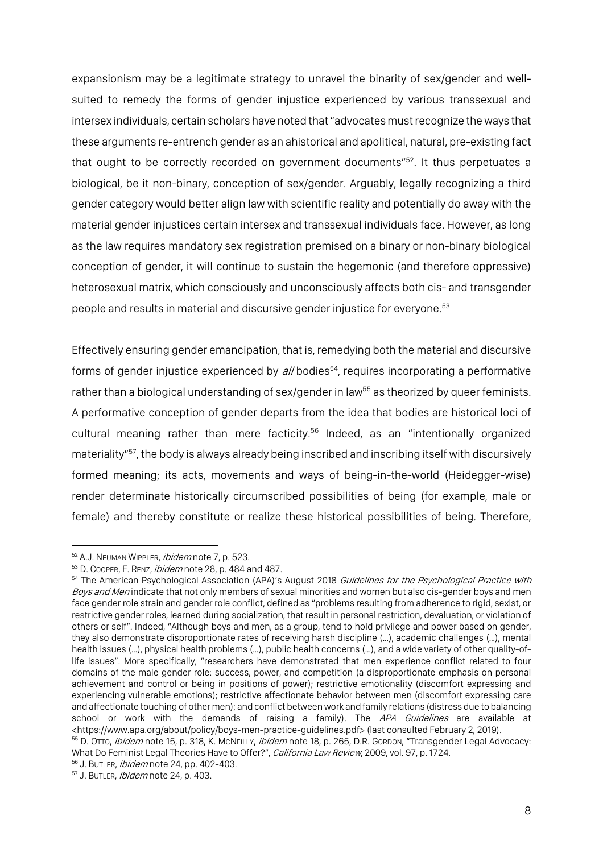expansionism may be a legitimate strategy to unravel the binarity of sex/gender and wellsuited to remedy the forms of gender injustice experienced by various transsexual and intersex individuals, certain scholars have noted that "advocates must recognize the ways that these arguments re-entrench gender as an ahistorical and apolitical, natural, pre-existing fact that ought to be correctly recorded on government documents"<sup>52</sup>. It thus perpetuates a biological, be it non-binary, conception of sex/gender. Arguably, legally recognizing a third gender category would better align law with scientific reality and potentially do away with the material gender injustices certain intersex and transsexual individuals face. However, as long as the law requires mandatory sex registration premised on a binary or non-binary biological conception of gender, it will continue to sustain the hegemonic (and therefore oppressive) heterosexual matrix, which consciously and unconsciously affects both cis- and transgender people and results in material and discursive gender injustice for everyone.53

Effectively ensuring gender emancipation, that is, remedying both the material and discursive forms of gender injustice experienced by all bodies<sup>54</sup>, requires incorporating a performative rather than a biological understanding of sex/gender in law<sup>55</sup> as theorized by queer feminists. A performative conception of gender departs from the idea that bodies are historical loci of cultural meaning rather than mere facticity.<sup>56</sup> Indeed, as an "intentionally organized materiality"<sup>57</sup>, the body is always already being inscribed and inscribing itself with discursively formed meaning; its acts, movements and ways of being-in-the-world (Heidegger-wise) render determinate historically circumscribed possibilities of being (for example, male or female) and thereby constitute or realize these historical possibilities of being. Therefore,

<sup>&</sup>lt;sup>52</sup> A.J. NEUMAN WIPPLER, *ibidem* note 7, p. 523.

 $53$  D. Cooper, F. Renz, *ibidem* note 28, p. 484 and 487.

<sup>&</sup>lt;sup>54</sup> The American Psychological Association (APA)'s August 2018 Guidelines for the Psychological Practice with Boys and Men indicate that not only members of sexual minorities and women but also cis-gender boys and men face gender role strain and gender role conflict, defined as "problems resulting from adherence to rigid, sexist, or restrictive gender roles, learned during socialization, that result in personal restriction, devaluation, or violation of others or self". Indeed, "Although boys and men, as a group, tend to hold privilege and power based on gender, they also demonstrate disproportionate rates of receiving harsh discipline (…), academic challenges (…), mental health issues (…), physical health problems (…), public health concerns (…), and a wide variety of other quality-oflife issues". More specifically, "researchers have demonstrated that men experience conflict related to four domains of the male gender role: success, power, and competition (a disproportionate emphasis on personal achievement and control or being in positions of power); restrictive emotionality (discomfort expressing and experiencing vulnerable emotions); restrictive affectionate behavior between men (discomfort expressing care and affectionate touching of other men); and conflict between work and family relations (distress due to balancing school or work with the demands of raising a family). The APA Guidelines are available at <https://www.apa.org/about/policy/boys-men-practice-guidelines.pdf> (last consulted February 2, 2019).

<sup>&</sup>lt;sup>55</sup> D. OTTO, *ibidem* note 15, p. 318, K. McNEILLY, *ibidem* note 18, p. 265, D.R. Gorbon, "Transgender Legal Advocacy: What Do Feminist Legal Theories Have to Offer?", California Law Review, 2009, vol. 97, p. 1724.

<sup>56</sup> J. BUTLER, *ibidem* note 24, pp. 402-403.

<sup>&</sup>lt;sup>57</sup> J. BUTLER, *ibidem* note 24, p. 403.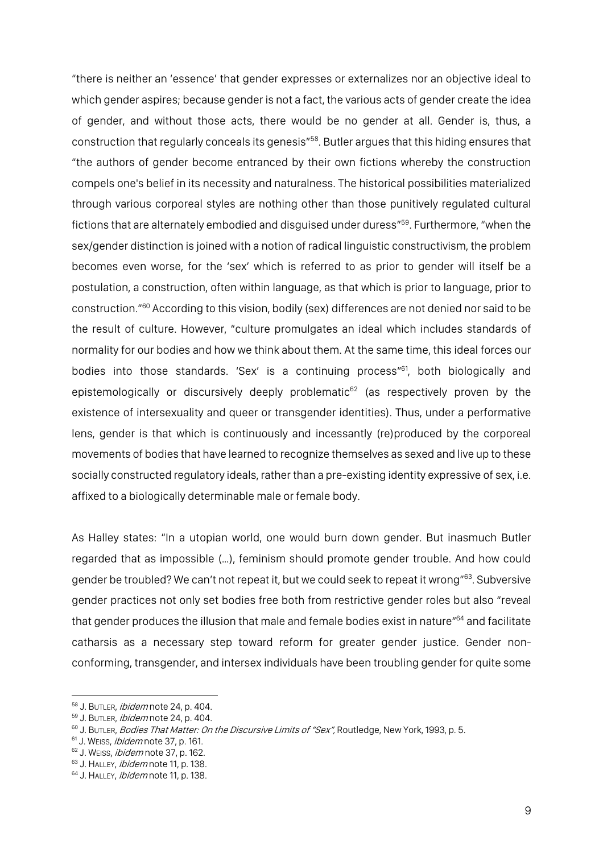"there is neither an 'essence' that gender expresses or externalizes nor an objective ideal to which gender aspires; because gender is not a fact, the various acts of gender create the idea of gender, and without those acts, there would be no gender at all. Gender is, thus, a construction that regularly conceals its genesis"58. Butler argues that this hiding ensures that "the authors of gender become entranced by their own fictions whereby the construction compels one's belief in its necessity and naturalness. The historical possibilities materialized through various corporeal styles are nothing other than those punitively regulated cultural fictions that are alternately embodied and disguised under duress"59. Furthermore, "when the sex/gender distinction is joined with a notion of radical linguistic constructivism, the problem becomes even worse, for the 'sex' which is referred to as prior to gender will itself be a postulation, a construction, often within language, as that which is prior to language, prior to construction."60 According to this vision, bodily (sex) differences are not denied nor said to be the result of culture. However, "culture promulgates an ideal which includes standards of normality for our bodies and how we think about them. At the same time, this ideal forces our bodies into those standards. 'Sex' is a continuing process"<sup>61</sup>, both biologically and epistemologically or discursively deeply problematic $62$  (as respectively proven by the existence of intersexuality and queer or transgender identities). Thus, under a performative lens, gender is that which is continuously and incessantly (re)produced by the corporeal movements of bodies that have learned to recognize themselves as sexed and live up to these socially constructed regulatory ideals, rather than a pre-existing identity expressive of sex, i.e. affixed to a biologically determinable male or female body.

As Halley states: "In a utopian world, one would burn down gender. But inasmuch Butler regarded that as impossible (…), feminism should promote gender trouble. And how could gender be troubled? We can't not repeat it, but we could seek to repeat it wrong"<sup>63</sup>. Subversive gender practices not only set bodies free both from restrictive gender roles but also "reveal that gender produces the illusion that male and female bodies exist in nature"<sup>64</sup> and facilitate catharsis as a necessary step toward reform for greater gender justice. Gender nonconforming, transgender, and intersex individuals have been troubling gender for quite some

<sup>58</sup> J. BUTLER, *ibidem* note 24, p. 404.

<sup>&</sup>lt;sup>59</sup> J. BUTLER, *ibidem* note 24, p. 404.

<sup>60</sup> J. BUTLER, Bodies That Matter: On the Discursive Limits of "Sex", Routledge, New York, 1993, p. 5.

<sup>&</sup>lt;sup>61</sup> J. Weiss, *ibidem* note 37, p. 161.

<sup>&</sup>lt;sup>62</sup> J. WEISS, *ibidem* note 37, p. 162.

<sup>63</sup> J. HALLEY, *ibidem* note 11, p. 138.

<sup>64</sup> J. HALLEY, *ibidem* note 11, p. 138.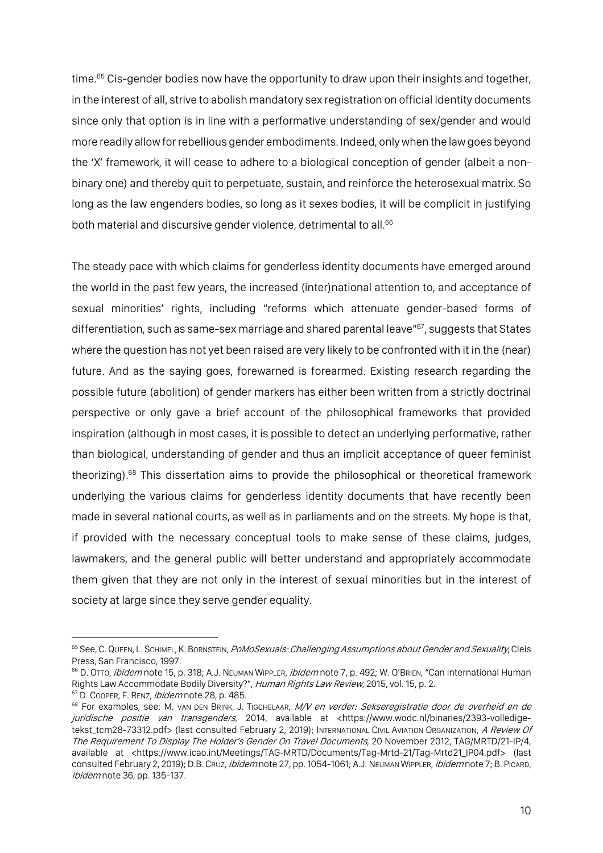time.<sup>65</sup> Cis-gender bodies now have the opportunity to draw upon their insights and together, in the interest of all, strive to abolish mandatory sex registration on official identity documents since only that option is in line with a performative understanding of sex/gender and would more readily allow for rebellious gender embodiments. Indeed, only when the law goes beyond the 'X' framework, it will cease to adhere to a biological conception of gender (albeit a nonbinary one) and thereby quit to perpetuate, sustain, and reinforce the heterosexual matrix. So long as the law engenders bodies, so long as it sexes bodies, it will be complicit in justifying both material and discursive gender violence, detrimental to all.<sup>66</sup>

The steady pace with which claims for genderless identity documents have emerged around the world in the past few years, the increased (inter)national attention to, and acceptance of sexual minorities' rights, including "reforms which attenuate gender-based forms of differentiation, such as same-sex marriage and shared parental leave"<sup>67</sup>, suggests that States where the question has not yet been raised are very likely to be confronted with it in the (near) future. And as the saying goes, forewarned is forearmed. Existing research regarding the possible future (abolition) of gender markers has either been written from a strictly doctrinal perspective or only gave a brief account of the philosophical frameworks that provided inspiration (although in most cases, it is possible to detect an underlying performative, rather than biological, understanding of gender and thus an implicit acceptance of queer feminist theorizing).<sup>68</sup> This dissertation aims to provide the philosophical or theoretical framework underlying the various claims for genderless identity documents that have recently been made in several national courts, as well as in parliaments and on the streets. My hope is that, if provided with the necessary conceptual tools to make sense of these claims, judges, lawmakers, and the general public will better understand and appropriately accommodate them given that they are not only in the interest of sexual minorities but in the interest of society at large since they serve gender equality.

<sup>&</sup>lt;sup>65</sup> See, C. QUEEN, L. SCHIMEL, K. BORNSTEIN, *PoMoSexuals: Challenging Assumptions about Gender and Sexuality*, Cleis Press, San Francisco, 1997.

<sup>&</sup>lt;sup>66</sup> D. OTTO, *ibidem* note 15, p. 318; A.J. NEUMAN WIPPLER, *ibidem* note 7, p. 492; W. O'BRIEN, "Can International Human Rights Law Accommodate Bodily Diversity?", Human Rights Law Review, 2015, vol. 15, p. 2. 67 D. Cooper, F. Renz, *ibidem* note 28, p. 485.

<sup>68</sup> For examples, see: M. VAN DEN BRINK, J. TIGCHELAAR, M/V en verder: Sekseregistratie door de overheid en de juridische positie van transgenders, 2014, available at <https://www.wodc.nl/binaries/2393-volledigetekst\_tcm28-73312.pdf> (last consulted February 2, 2019); INTERNATIONAL CIVIL AVIATION ORGANIZATION, A Review Of The Requirement To Display The Holder's Gender On Travel Documents, 20 November 2012, TAG/MRTD/21-IP/4, available at <https://www.icao.int/Meetings/TAG-MRTD/Documents/Tag-Mrtd-21/Tag-Mrtd21\_IP04.pdf> (last consulted February 2, 2019); D.B. Cruz, *ibidem* note 27, pp. 1054-1061; A.J. NEUMAN WIPPLER, *ibidem* note 7; B. PICARD, ibidem note 36, pp. 135-137.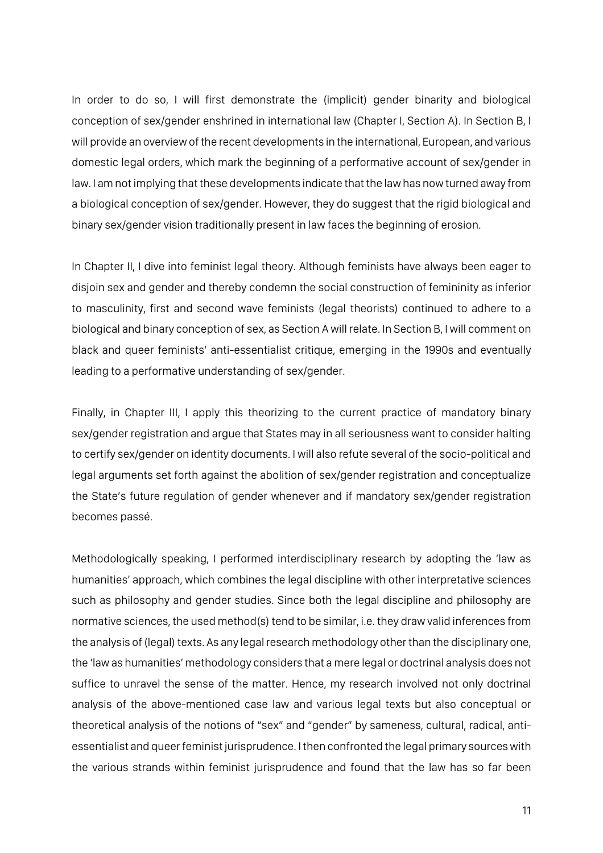In order to do so, I will first demonstrate the (implicit) gender binarity and biological conception of sex/gender enshrined in international law (Chapter I, Section A). In Section B, I will provide an overview of the recent developments in the international, European, and various domestic legal orders, which mark the beginning of a performative account of sex/gender in law. I am not implying that these developments indicate that the law has now turned away from a biological conception of sex/gender. However, they do suggest that the rigid biological and binary sex/gender vision traditionally present in law faces the beginning of erosion.

In Chapter II, I dive into feminist legal theory. Although feminists have always been eager to disjoin sex and gender and thereby condemn the social construction of femininity as inferior to masculinity, first and second wave feminists (legal theorists) continued to adhere to a biological and binary conception of sex, as Section A will relate. In Section B, I will comment on black and queer feminists' anti-essentialist critique, emerging in the 1990s and eventually leading to a performative understanding of sex/gender.

Finally, in Chapter III, I apply this theorizing to the current practice of mandatory binary sex/gender registration and argue that States may in all seriousness want to consider halting to certify sex/gender on identity documents. I will also refute several of the socio-political and legal arguments set forth against the abolition of sex/gender registration and conceptualize the State's future regulation of gender whenever and if mandatory sex/gender registration becomes passé.

Methodologically speaking, I performed interdisciplinary research by adopting the 'law as humanities' approach, which combines the legal discipline with other interpretative sciences such as philosophy and gender studies. Since both the legal discipline and philosophy are normative sciences, the used method(s) tend to be similar, i.e. they draw valid inferences from the analysis of (legal) texts. As any legal research methodology other than the disciplinary one, the 'law as humanities' methodology considers that a mere legal or doctrinal analysis does not suffice to unravel the sense of the matter. Hence, my research involved not only doctrinal analysis of the above-mentioned case law and various legal texts but also conceptual or theoretical analysis of the notions of "sex" and "gender" by sameness, cultural, radical, antiessentialist and queer feminist jurisprudence. I then confronted the legal primary sources with the various strands within feminist jurisprudence and found that the law has so far been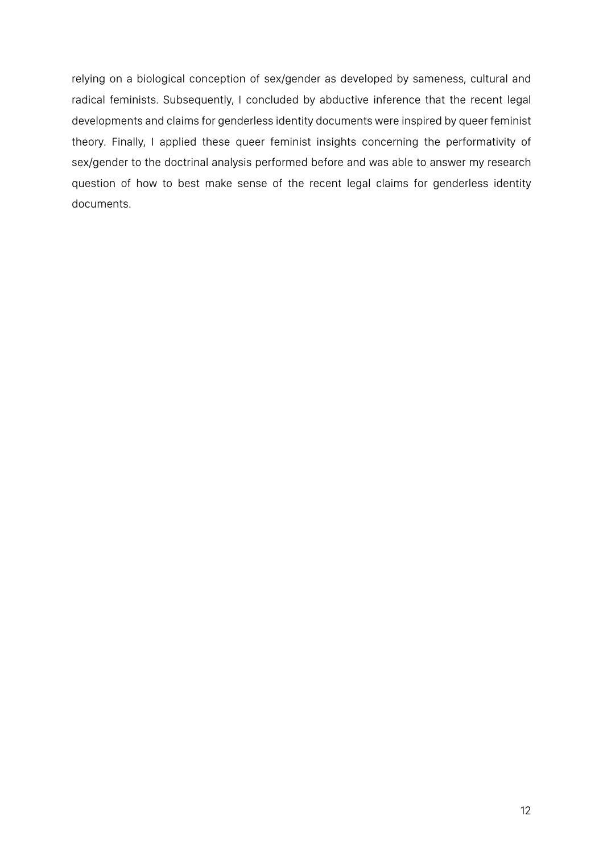relying on a biological conception of sex/gender as developed by sameness, cultural and radical feminists. Subsequently, I concluded by abductive inference that the recent legal developments and claims for genderless identity documents were inspired by queer feminist theory. Finally, I applied these queer feminist insights concerning the performativity of sex/gender to the doctrinal analysis performed before and was able to answer my research question of how to best make sense of the recent legal claims for genderless identity documents.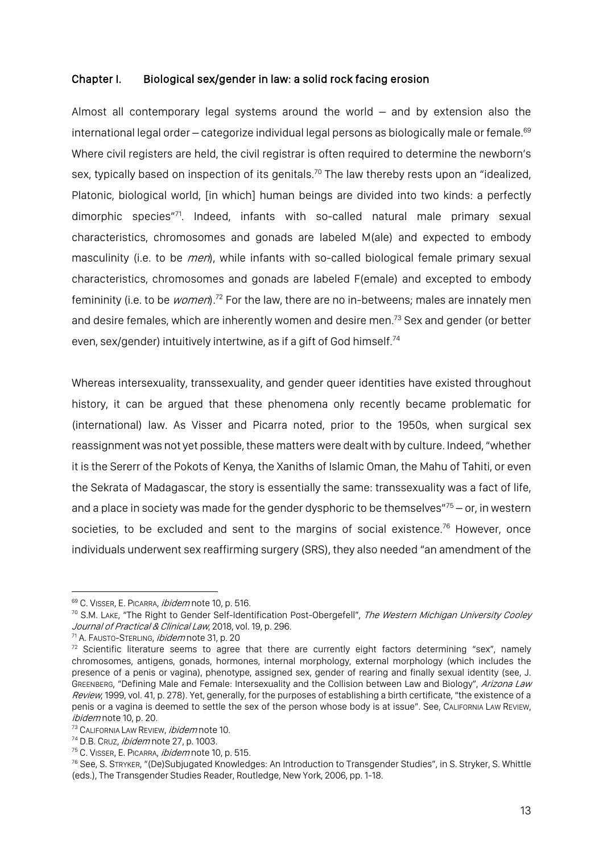## Chapter I. Biological sex/gender in law: a solid rock facing erosion

Almost all contemporary legal systems around the world – and by extension also the international legal order – categorize individual legal persons as biologically male or female.<sup>69</sup> Where civil registers are held, the civil registrar is often required to determine the newborn's sex, typically based on inspection of its genitals.<sup>70</sup> The law thereby rests upon an "idealized, Platonic, biological world, [in which] human beings are divided into two kinds: a perfectly dimorphic species"71. Indeed, infants with so-called natural male primary sexual characteristics, chromosomes and gonads are labeled M(ale) and expected to embody masculinity (i.e. to be *men*), while infants with so-called biological female primary sexual characteristics, chromosomes and gonads are labeled F(emale) and excepted to embody femininity (i.e. to be *women*).<sup>72</sup> For the law, there are no in-betweens; males are innately men and desire females, which are inherently women and desire men.<sup>73</sup> Sex and gender (or better even, sex/gender) intuitively intertwine, as if a gift of God himself.<sup>74</sup>

Whereas intersexuality, transsexuality, and gender queer identities have existed throughout history, it can be argued that these phenomena only recently became problematic for (international) law. As Visser and Picarra noted, prior to the 1950s, when surgical sex reassignment was not yet possible, these matters were dealt with by culture. Indeed, "whether it is the Sererr of the Pokots of Kenya, the Xaniths of Islamic Oman, the Mahu of Tahiti, or even the Sekrata of Madagascar, the story is essentially the same: transsexuality was a fact of life, and a place in society was made for the gender dysphoric to be themselves" $75 -$  or, in western societies, to be excluded and sent to the margins of social existence.<sup>76</sup> However, once individuals underwent sex reaffirming surgery (SRS), they also needed "an amendment of the

<sup>69</sup> C. VISSER, E. PICARRA, *ibidem* note 10, p. 516.

<sup>&</sup>lt;sup>70</sup> S.M. Lake, "The Right to Gender Self-Identification Post-Obergefell", The Western Michigan University Cooley Journal of Practical & Clinical Law, 2018, vol. 19, p. 296.<br><sup>71</sup> A. Fausto-Sterling, *ibidem* note 31, p. 20

 $72$  Scientific literature seems to agree that there are currently eight factors determining "sex", namely chromosomes, antigens, gonads, hormones, internal morphology, external morphology (which includes the presence of a penis or vagina), phenotype, assigned sex, gender of rearing and finally sexual identity (see, J. GREENBERG, "Defining Male and Female: Intersexuality and the Collision between Law and Biology", Arizona Law Review, 1999, vol. 41, p. 278). Yet, generally, for the purposes of establishing a birth certificate, "the existence of a penis or a vagina is deemed to settle the sex of the person whose body is at issue". See, CALIFORNIA LAW REVIEW, ibidem note 10, p. 20.

<sup>&</sup>lt;sup>73</sup> CALIFORNIA LAW REVIEW, *ibidem* note 10.

<sup>&</sup>lt;sup>74</sup> D.B. Cruz, *ibidem* note 27, p. 1003.

<sup>&</sup>lt;sup>75</sup> C. VISSER, E. PICARRA, *ibidem* note 10, p. 515.

<sup>76</sup> See, S. STRYKER, "(De)Subjugated Knowledges: An Introduction to Transgender Studies", in S. Stryker, S. Whittle (eds.), The Transgender Studies Reader, Routledge, New York, 2006, pp. 1-18.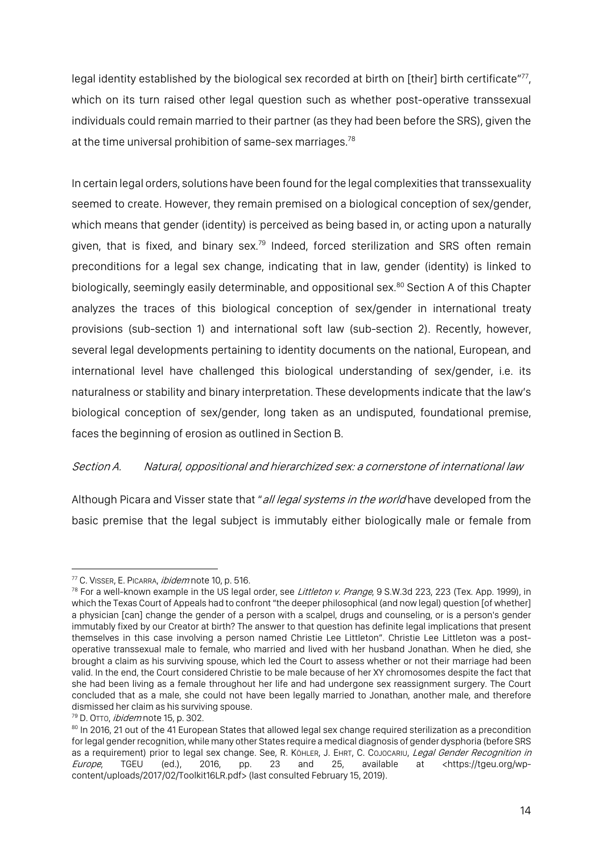legal identity established by the biological sex recorded at birth on [their] birth certificate"<sup>77</sup>, which on its turn raised other legal question such as whether post-operative transsexual individuals could remain married to their partner (as they had been before the SRS), given the at the time universal prohibition of same-sex marriages.<sup>78</sup>

In certain legal orders, solutions have been found for the legal complexities that transsexuality seemed to create. However, they remain premised on a biological conception of sex/gender, which means that gender (identity) is perceived as being based in, or acting upon a naturally given, that is fixed, and binary sex.<sup>79</sup> Indeed, forced sterilization and SRS often remain preconditions for a legal sex change, indicating that in law, gender (identity) is linked to biologically, seemingly easily determinable, and oppositional sex.<sup>80</sup> Section A of this Chapter analyzes the traces of this biological conception of sex/gender in international treaty provisions (sub-section 1) and international soft law (sub-section 2). Recently, however, several legal developments pertaining to identity documents on the national, European, and international level have challenged this biological understanding of sex/gender, i.e. its naturalness or stability and binary interpretation. These developments indicate that the law's biological conception of sex/gender, long taken as an undisputed, foundational premise, faces the beginning of erosion as outlined in Section B.

## Section A. Natural, oppositional and hierarchized sex: a cornerstone of international law

Although Picara and Visser state that "all legal systems in the world have developed from the basic premise that the legal subject is immutably either biologically male or female from

 $\overline{a}$ <sup>77</sup> C. VISSER, E. PICARRA, *ibidem* note 10, p. 516.

 $78$  For a well-known example in the US legal order, see *Littleton v. Prange*, 9 S.W.3d 223, 223 (Tex. App. 1999), in which the Texas Court of Appeals had to confront "the deeper philosophical (and now legal) question [of whether] a physician [can] change the gender of a person with a scalpel, drugs and counseling, or is a person's gender immutably fixed by our Creator at birth? The answer to that question has definite legal implications that present themselves in this case involving a person named Christie Lee Littleton". Christie Lee Littleton was a postoperative transsexual male to female, who married and lived with her husband Jonathan. When he died, she brought a claim as his surviving spouse, which led the Court to assess whether or not their marriage had been valid. In the end, the Court considered Christie to be male because of her XY chromosomes despite the fact that she had been living as a female throughout her life and had undergone sex reassignment surgery. The Court concluded that as a male, she could not have been legally married to Jonathan, another male, and therefore dismissed her claim as his surviving spouse.

<sup>&</sup>lt;sup>79</sup> D. OTTo, *ibidem* note 15, p. 302.

<sup>80</sup> In 2016, 21 out of the 41 European States that allowed legal sex change required sterilization as a precondition for legal gender recognition, while many other States require a medical diagnosis of gender dysphoria (before SRS as a requirement) prior to legal sex change. See, R. KÖHLER, J. EHRT, C. COJOCARIU, Legal Gender Recognition in Europe, TGEU (ed.), 2016, pp. 23 and 25, available at <https://tgeu.org/wpcontent/uploads/2017/02/Toolkit16LR.pdf> (last consulted February 15, 2019).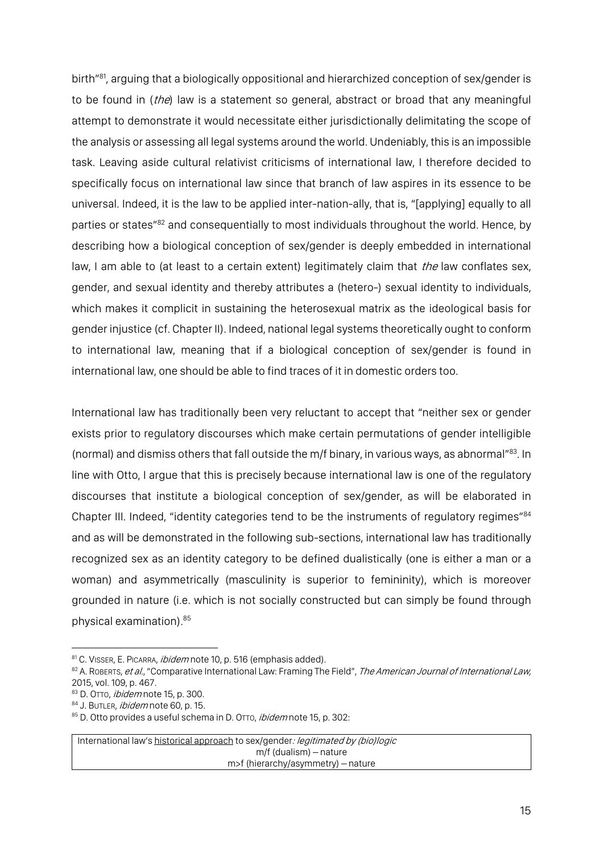birth<sup>"81</sup>, arguing that a biologically oppositional and hierarchized conception of sex/gender is to be found in (the) law is a statement so general, abstract or broad that any meaningful attempt to demonstrate it would necessitate either jurisdictionally delimitating the scope of the analysis or assessing all legal systems around the world. Undeniably, this is an impossible task. Leaving aside cultural relativist criticisms of international law, I therefore decided to specifically focus on international law since that branch of law aspires in its essence to be universal. Indeed, it is the law to be applied inter-nation-ally, that is, "[applying] equally to all parties or states<sup>"82</sup> and consequentially to most individuals throughout the world. Hence, by describing how a biological conception of sex/gender is deeply embedded in international law, I am able to (at least to a certain extent) legitimately claim that *the* law conflates sex, gender, and sexual identity and thereby attributes a (hetero-) sexual identity to individuals, which makes it complicit in sustaining the heterosexual matrix as the ideological basis for gender injustice (cf. Chapter II). Indeed, national legal systems theoretically ought to conform to international law, meaning that if a biological conception of sex/gender is found in international law, one should be able to find traces of it in domestic orders too.

International law has traditionally been very reluctant to accept that "neither sex or gender exists prior to regulatory discourses which make certain permutations of gender intelligible (normal) and dismiss others that fall outside the m/f binary, in various ways, as abnormal"83. In line with Otto, I argue that this is precisely because international law is one of the regulatory discourses that institute a biological conception of sex/gender, as will be elaborated in Chapter III. Indeed, "identity categories tend to be the instruments of regulatory regimes"<sup>84</sup> and as will be demonstrated in the following sub-sections, international law has traditionally recognized sex as an identity category to be defined dualistically (one is either a man or a woman) and asymmetrically (masculinity is superior to femininity), which is moreover grounded in nature (i.e. which is not socially constructed but can simply be found through physical examination). 85

International law's historical approach to sex/gender: legitimated by (bio)logic m/f (dualism) – nature m>f (hierarchy/asymmetry) – nature

 $\overline{a}$ <sup>81</sup> C. VISSER, E. PICARRA, *ibidem* note 10, p. 516 (emphasis added).

<sup>&</sup>lt;sup>82</sup> A. ROBERTS, et al., "Comparative International Law: Framing The Field", The American Journal of International Law, 2015, vol. 109, p. 467.

<sup>83</sup> D. OTTO, *ibidem* note 15, p. 300.

<sup>84</sup> J. BUTLER, *ibidem* note 60, p. 15.

<sup>85</sup> D. Otto provides a useful schema in D. OTTO, *ibidem* note 15, p. 302: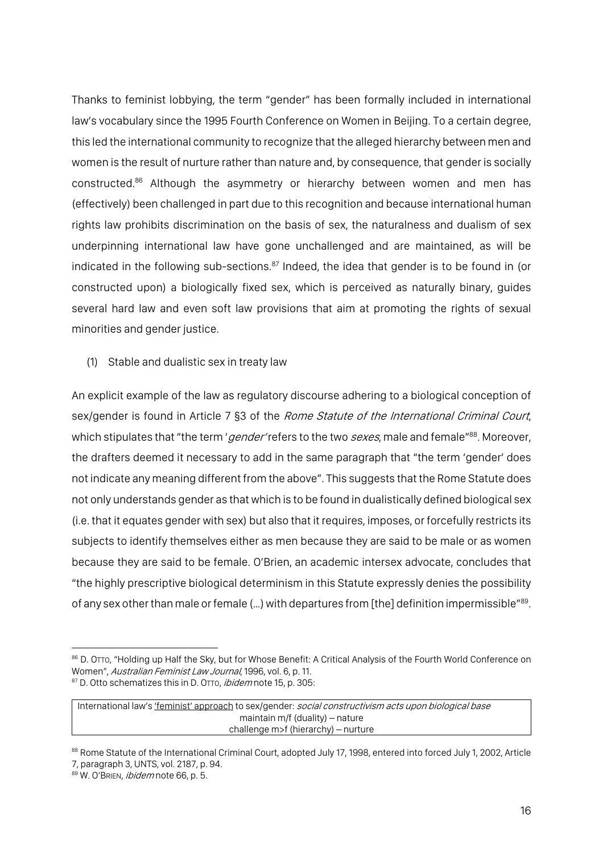Thanks to feminist lobbying, the term "gender" has been formally included in international law's vocabulary since the 1995 Fourth Conference on Women in Beijing. To a certain degree, this led the international community to recognize that the alleged hierarchy between men and women is the result of nurture rather than nature and, by consequence, that gender is socially constructed.<sup>86</sup> Although the asymmetry or hierarchy between women and men has (effectively) been challenged in part due to this recognition and because international human rights law prohibits discrimination on the basis of sex, the naturalness and dualism of sex underpinning international law have gone unchallenged and are maintained, as will be indicated in the following sub-sections.<sup>87</sup> Indeed, the idea that gender is to be found in (or constructed upon) a biologically fixed sex, which is perceived as naturally binary, guides several hard law and even soft law provisions that aim at promoting the rights of sexual minorities and gender justice.

(1) Stable and dualistic sex in treaty law

An explicit example of the law as regulatory discourse adhering to a biological conception of sex/gender is found in Article 7 §3 of the Rome Statute of the International Criminal Court, which stipulates that "the term 'gender' refers to the two sexes, male and female"88. Moreover, the drafters deemed it necessary to add in the same paragraph that "the term 'gender' does not indicate any meaning different from the above". This suggests that the Rome Statute does not only understands gender as that which is to be found in dualistically defined biological sex (i.e. that it equates gender with sex) but also that it requires, imposes, or forcefully restricts its subjects to identify themselves either as men because they are said to be male or as women because they are said to be female. O'Brien, an academic intersex advocate, concludes that "the highly prescriptive biological determinism in this Statute expressly denies the possibility of any sex other than male or female (...) with departures from [the] definition impermissible"<sup>89</sup>.

<sup>86</sup> D. OTTO, "Holding up Half the Sky, but for Whose Benefit: A Critical Analysis of the Fourth World Conference on Women", Australian Feminist Law Journal, 1996, vol. 6, p. 11. 87 D. Otto schematizes this in D. OTTO, *ibidem* note 15, p. 305:

International law's 'feminist' approach to sex/gender: social constructivism acts upon biological base maintain m/f (duality) – nature challenge m>f (hierarchy) – nurture

<sup>88</sup> Rome Statute of the International Criminal Court, adopted July 17, 1998, entered into forced July 1, 2002, Article 7, paragraph 3, UNTS, vol. 2187, p. 94.

<sup>89</sup> W. O'BRIEN, ibidem note 66, p. 5.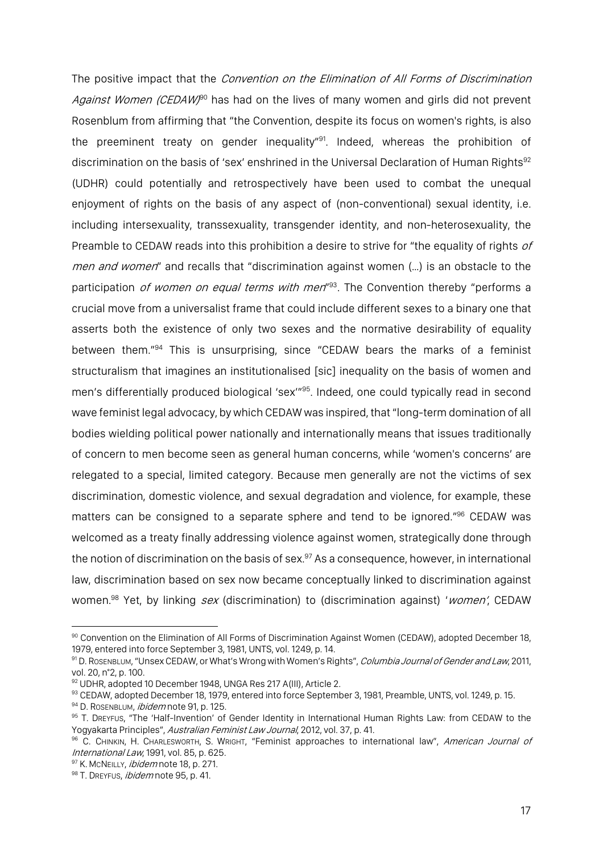The positive impact that the *Convention on the Elimination of All Forms of Discrimination* Against Women (CEDAW)<sup>90</sup> has had on the lives of many women and girls did not prevent Rosenblum from affirming that "the Convention, despite its focus on women's rights, is also the preeminent treaty on gender inequality"<sup>91</sup>. Indeed, whereas the prohibition of discrimination on the basis of 'sex' enshrined in the Universal Declaration of Human Rights<sup>92</sup> (UDHR) could potentially and retrospectively have been used to combat the unequal enjoyment of rights on the basis of any aspect of (non-conventional) sexual identity, i.e. including intersexuality, transsexuality, transgender identity, and non-heterosexuality, the Preamble to CEDAW reads into this prohibition a desire to strive for "the equality of rights of men and women" and recalls that "discrimination against women (...) is an obstacle to the participation *of women on equal terms with men*<sup>193</sup>. The Convention thereby "performs a crucial move from a universalist frame that could include different sexes to a binary one that asserts both the existence of only two sexes and the normative desirability of equality between them."94 This is unsurprising, since "CEDAW bears the marks of a feminist structuralism that imagines an institutionalised [sic] inequality on the basis of women and men's differentially produced biological 'sex"<sup>95</sup>. Indeed, one could typically read in second wave feminist legal advocacy, by which CEDAW was inspired, that "long-term domination of all bodies wielding political power nationally and internationally means that issues traditionally of concern to men become seen as general human concerns, while 'women's concerns' are relegated to a special, limited category. Because men generally are not the victims of sex discrimination, domestic violence, and sexual degradation and violence, for example, these matters can be consigned to a separate sphere and tend to be ignored."96 CEDAW was welcomed as a treaty finally addressing violence against women, strategically done through the notion of discrimination on the basis of sex. <sup>97</sup> As a consequence, however, in international law, discrimination based on sex now became conceptually linked to discrimination against women.<sup>98</sup> Yet, by linking sex (discrimination) to (discrimination against) 'women', CEDAW

<sup>90</sup> Convention on the Elimination of All Forms of Discrimination Against Women (CEDAW), adopted December 18, 1979, entered into force September 3, 1981, UNTS, vol. 1249, p. 14.

<sup>91</sup> D. ROSENBLUM, "Unsex CEDAW, or What's Wrong with Women's Rights", Columbia Journal of Gender and Law, 2011, vol. 20, n°2, p. 100.

<sup>92</sup> UDHR, adopted 10 December 1948, UNGA Res 217 A(III), Article 2.

<sup>93</sup> CEDAW, adopted December 18, 1979, entered into force September 3, 1981, Preamble, UNTS, vol. 1249, p. 15.

<sup>94</sup> D. ROSENBLUM, *ibidem* note 91, p. 125.

<sup>95</sup> T. DREYFUS, "The 'Half-Invention' of Gender Identity in International Human Rights Law: from CEDAW to the Yogyakarta Principles", Australian Feminist Law Journal, 2012, vol. 37, p. 41.

<sup>&</sup>lt;sup>96</sup> C. CHINKIN, H. CHARLESWORTH, S. WRIGHT, "Feminist approaches to international law", American Journal of International Law, 1991, vol. 85, p. 625.

<sup>97</sup> K. MCNEILLY, *ibidem* note 18, p. 271.

<sup>98</sup> T. DREYFUS, *ibidem* note 95, p. 41.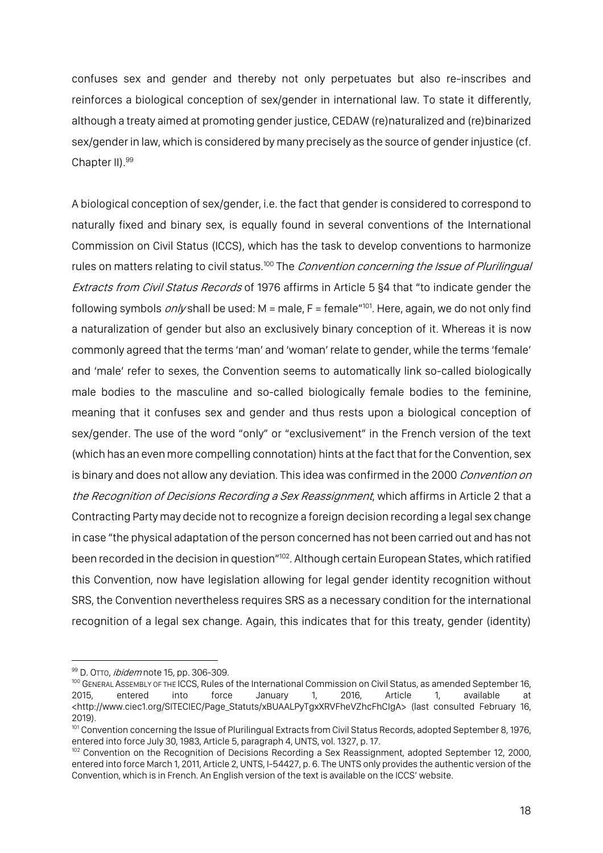confuses sex and gender and thereby not only perpetuates but also re-inscribes and reinforces a biological conception of sex/gender in international law. To state it differently, although a treaty aimed at promoting gender justice, CEDAW (re)naturalized and (re)binarized sex/gender in law, which is considered by many precisely as the source of gender injustice (cf. Chapter II). 99

A biological conception of sex/gender, i.e. the fact that gender is considered to correspond to naturally fixed and binary sex, is equally found in several conventions of the International Commission on Civil Status (ICCS), which has the task to develop conventions to harmonize rules on matters relating to civil status.<sup>100</sup> The *Convention concerning the Issue of Plurilingual* Extracts from Civil Status Records of 1976 affirms in Article 5 §4 that "to indicate gender the following symbols  $on/v$  shall be used: M = male, F = female<sup> $n_{01}$ </sup>. Here, again, we do not only find a naturalization of gender but also an exclusively binary conception of it. Whereas it is now commonly agreed that the terms 'man' and 'woman' relate to gender, while the terms 'female' and 'male' refer to sexes, the Convention seems to automatically link so-called biologically male bodies to the masculine and so-called biologically female bodies to the feminine, meaning that it confuses sex and gender and thus rests upon a biological conception of sex/gender. The use of the word "only" or "exclusivement" in the French version of the text (which has an even more compelling connotation) hints at the fact that for the Convention, sex is binary and does not allow any deviation. This idea was confirmed in the 2000 Convention on the Recognition of Decisions Recording a Sex Reassignment, which affirms in Article 2 that a Contracting Party may decide not to recognize a foreign decision recording a legal sex change in case "the physical adaptation of the person concerned has not been carried out and has not been recorded in the decision in question"<sup>102</sup>. Although certain European States, which ratified this Convention, now have legislation allowing for legal gender identity recognition without SRS, the Convention nevertheless requires SRS as a necessary condition for the international recognition of a legal sex change. Again, this indicates that for this treaty, gender (identity)

<sup>99</sup> D. OTTO, *ibidem* note 15, pp. 306-309.

<sup>&</sup>lt;sup>100</sup> GENERAL ASSEMBLY OF THE ICCS, Rules of the International Commission on Civil Status, as amended September 16, 2015, entered into force January 1, 2016, Article 1, available at <http://www.ciec1.org/SITECIEC/Page\_Statuts/xBUAALPyTgxXRVFheVZhcFhCIgA> (last consulted February 16, 2019).

<sup>&</sup>lt;sup>101</sup> Convention concerning the Issue of Plurilingual Extracts from Civil Status Records, adopted September 8, 1976, entered into force July 30, 1983, Article 5, paragraph 4, UNTS, vol. 1327, p. 17.

<sup>102</sup> Convention on the Recognition of Decisions Recording a Sex Reassignment, adopted September 12, 2000, entered into force March 1, 2011, Article 2, UNTS, I-54427, p. 6. The UNTS only provides the authentic version of the Convention, which is in French. An English version of the text is available on the ICCS' website.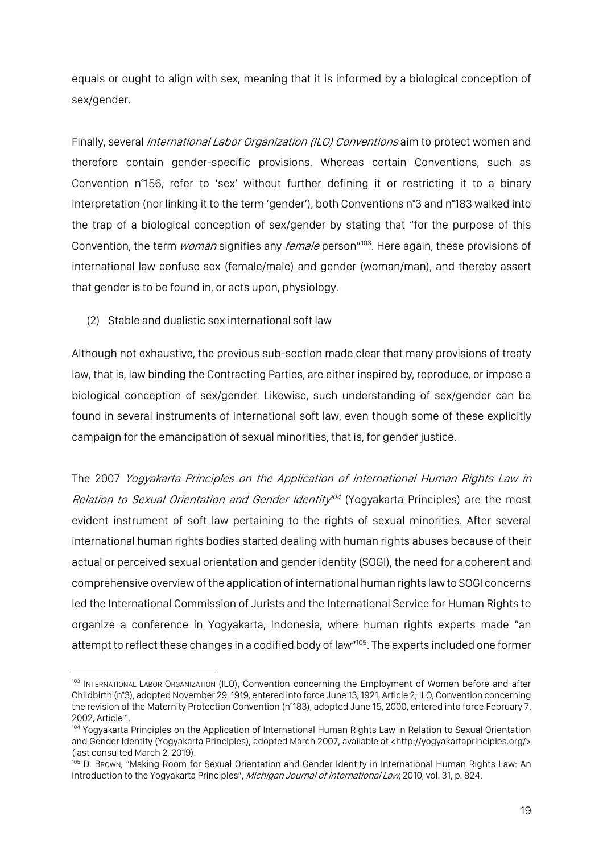equals or ought to align with sex, meaning that it is informed by a biological conception of sex/gender.

Finally, several *International Labor Organization (ILO) Conventions* aim to protect women and therefore contain gender-specific provisions. Whereas certain Conventions, such as Convention n°156, refer to 'sex' without further defining it or restricting it to a binary interpretation (nor linking it to the term 'gender'), both Conventions n°3 and n°183 walked into the trap of a biological conception of sex/gender by stating that "for the purpose of this Convention, the term *woman* signifies any *female* person"<sup>103</sup>. Here again, these provisions of international law confuse sex (female/male) and gender (woman/man), and thereby assert that gender is to be found in, or acts upon, physiology.

(2) Stable and dualistic sex international soft law

 $\overline{a}$ 

Although not exhaustive, the previous sub-section made clear that many provisions of treaty law, that is, law binding the Contracting Parties, are either inspired by, reproduce, or impose a biological conception of sex/gender. Likewise, such understanding of sex/gender can be found in several instruments of international soft law, even though some of these explicitly campaign for the emancipation of sexual minorities, that is, for gender justice.

The 2007 Yogyakarta Principles on the Application of International Human Rights Law in Relation to Sexual Orientation and Gender Identity<sup>104</sup> (Yogyakarta Principles) are the most evident instrument of soft law pertaining to the rights of sexual minorities. After several international human rights bodies started dealing with human rights abuses because of their actual or perceived sexual orientation and gender identity (SOGI), the need for a coherent and comprehensive overview ofthe application of international human rights law to SOGI concerns led the International Commission of Jurists and the International Service for Human Rights to organize a conference in Yogyakarta, Indonesia, where human rights experts made "an attempt to reflect these changes in a codified body of law"<sup>105</sup>. The experts included one former

<sup>103</sup> INTERNATIONAL LABOR ORGANIZATION (ILO), Convention concerning the Employment of Women before and after Childbirth (n°3), adopted November 29, 1919, entered into force June 13, 1921, Article 2; ILO, Convention concerning the revision of the Maternity Protection Convention (n°183), adopted June 15, 2000, entered into force February 7, 2002, Article 1.<br><sup>104</sup> Yogyakarta Principles on the Application of International Human Rights Law in Relation to Sexual Orientation

and Gender Identity (Yogyakarta Principles), adopted March 2007, available at <http://yogyakartaprinciples.org/> (last consulted March 2, 2019).

<sup>105</sup> D. BROWN, "Making Room for Sexual Orientation and Gender Identity in International Human Rights Law: An Introduction to the Yogyakarta Principles", Michigan Journal of International Law, 2010, vol. 31, p. 824.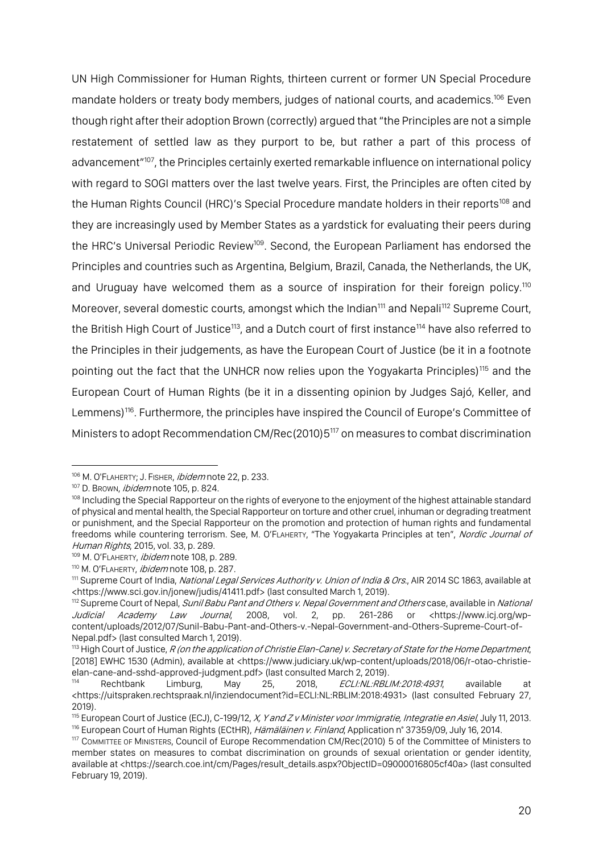UN High Commissioner for Human Rights, thirteen current or former UN Special Procedure mandate holders or treaty body members, judges of national courts, and academics.<sup>106</sup> Even though right after their adoption Brown (correctly) argued that"the Principles are not a simple restatement of settled law as they purport to be, but rather a part of this process of advancement"<sup>107</sup>, the Principles certainly exerted remarkable influence on international policy with regard to SOGI matters over the last twelve years. First, the Principles are often cited by the Human Rights Council (HRC)'s Special Procedure mandate holders in their reports<sup>108</sup> and they are increasingly used by Member States as a yardstick for evaluating their peers during the HRC's Universal Periodic Review<sup>109</sup>. Second, the European Parliament has endorsed the Principles and countries such as Argentina, Belgium, Brazil, Canada, the Netherlands, the UK, and Uruguay have welcomed them as a source of inspiration for their foreign policy.<sup>110</sup> Moreover, several domestic courts, amongst which the Indian<sup>111</sup> and Nepali<sup>112</sup> Supreme Court, the British High Court of Justice<sup>113</sup>, and a Dutch court of first instance<sup>114</sup> have also referred to the Principles in their judgements, as have the European Court of Justice (be it in a footnote pointing out the fact that the UNHCR now relies upon the Yogyakarta Principles)<sup>115</sup> and the European Court of Human Rights (be it in a dissenting opinion by Judges Sajó, Keller, and Lemmens)<sup>116</sup>. Furthermore, the principles have inspired the Council of Europe's Committee of Ministers to adopt Recommendation CM/Rec(2010)5117 on measures to combat discrimination

<sup>106</sup> M. O'FLAHERTY; J. FISHER, *ibidem* note 22, p. 233.

<sup>107</sup> D. Brown, *ibidem* note 105, p. 824.

<sup>108</sup> Including the Special Rapporteur on the rights of everyone to the enjoyment of the highest attainable standard of physical and mental health, the Special Rapporteur on torture and other cruel, inhuman or degrading treatment or punishment, and the Special Rapporteur on the promotion and protection of human rights and fundamental freedoms while countering terrorism. See, M. O'FLAHERTY, "The Yogyakarta Principles at ten", Nordic Journal of Human Rights, 2015, vol. 33, p. 289.

<sup>109</sup> M. O'FLAHERTY, *ibidem* note 108, p. 289.

<sup>110</sup> M. O'FLAHERTY, ibidem note 108, p. 287.

<sup>&</sup>lt;sup>111</sup> Supreme Court of India, National Legal Services Authority v. Union of India & Ors., AIR 2014 SC 1863, available at <https://www.sci.gov.in/jonew/judis/41411.pdf> (last consulted March 1, 2019).

<sup>112</sup> Supreme Court of Nepal, Sunil Babu Pant and Others v. Nepal Government and Others case, available in National Judicial Academy Law Journal, 2008, vol. 2, pp. 261-286 or <https://www.icj.org/wpcontent/uploads/2012/07/Sunil-Babu-Pant-and-Others-v.-Nepal-Government-and-Others-Supreme-Court-of-Nepal.pdf> (last consulted March 1, 2019).

<sup>&</sup>lt;sup>113</sup> High Court of Justice, R (on the application of Christie Elan-Cane) v. Secretary of State for the Home Department, [2018] EWHC 1530 (Admin), available at <https://www.judiciary.uk/wp-content/uploads/2018/06/r-otao-christieelan-cane-and-sshd-approved-judgment.pdf> (last consulted March 2, 2019).

Rechtbank Limburg, May 25, 2018, ECLI:NL:RBLIM:2018:4931, available at <https://uitspraken.rechtspraak.nl/inziendocument?id=ECLI:NL:RBLIM:2018:4931> (last consulted February 27, 2019).

<sup>&</sup>lt;sup>115</sup> European Court of Justice (ECJ), C-199/12, *X, Y and Z v Minister voor Immigratie, Integratie en Asiel*, July 11, 2013.<br><sup>116</sup> European Court of Human Rights (ECtHR), *Hämäläinen v. Finland*, Application n° 37359/09,

<sup>117</sup> COMMITTEE OF MINISTERS, Council of Europe Recommendation CM/Rec(2010) 5 of the Committee of Ministers to member states on measures to combat discrimination on grounds of sexual orientation or gender identity, available at <https://search.coe.int/cm/Pages/result\_details.aspx?ObjectID=09000016805cf40a> (last consulted February 19, 2019).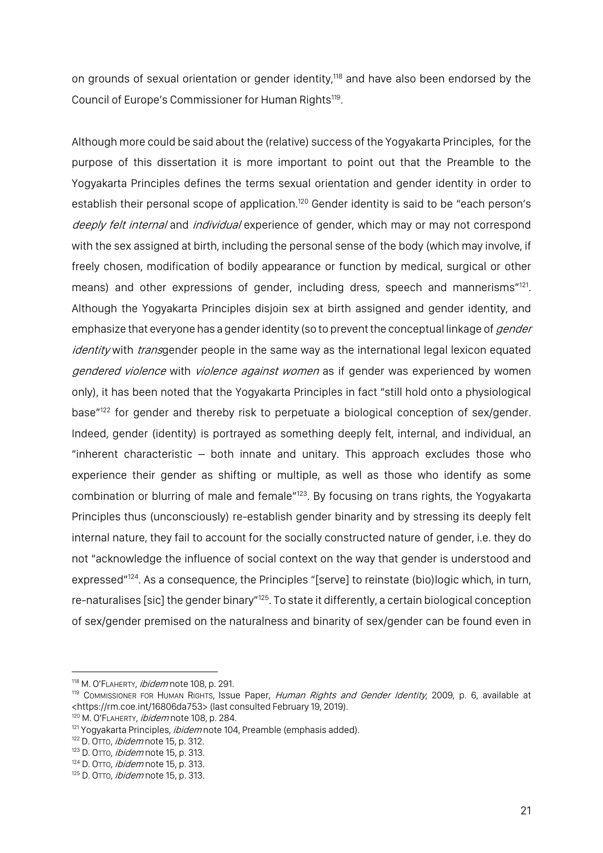on grounds of sexual orientation or gender identity, <sup>118</sup> and have also been endorsed by the Council of Europe's Commissioner for Human Rights<sup>119</sup>.

Although more could be said about the (relative) success of the Yogyakarta Principles, for the purpose of this dissertation it is more important to point out that the Preamble to the Yogyakarta Principles defines the terms sexual orientation and gender identity in order to establish their personal scope of application.<sup>120</sup> Gender identity is said to be "each person's deeply felt internal and individual experience of gender, which may or may not correspond with the sex assigned at birth, including the personal sense of the body (which may involve, if freely chosen, modification of bodily appearance or function by medical, surgical or other means) and other expressions of gender, including dress, speech and mannerisms"<sup>121</sup>. Although the Yogyakarta Principles disjoin sex at birth assigned and gender identity, and emphasize that everyone has a gender identity (so to prevent the conceptual linkage of *gender* identity with transgender people in the same way as the international legal lexicon equated gendered violence with violence against women as if gender was experienced by women only), it has been noted that the Yogyakarta Principles in fact "still hold onto a physiological base<sup>"122</sup> for gender and thereby risk to perpetuate a biological conception of sex/gender. Indeed, gender (identity) is portrayed as something deeply felt, internal, and individual, an "inherent characteristic – both innate and unitary. This approach excludes those who experience their gender as shifting or multiple, as well as those who identify as some combination or blurring of male and female"123. By focusing on trans rights, the Yogyakarta Principles thus (unconsciously) re-establish gender binarity and by stressing its deeply felt internal nature, they fail to account for the socially constructed nature of gender, i.e. they do not "acknowledge the influence of social context on the way that gender is understood and expressed"<sup>124</sup>. As a consequence, the Principles "[serve] to reinstate (bio)logic which, in turn, re-naturalises [sic] the gender binary"125. To state it differently, a certain biological conception of sex/gender premised on the naturalness and binarity of sex/gender can be found even in

<sup>118</sup> M. O'FLAHERTY, ibidem note 108, p. 291.

<sup>119</sup> COMMISSIONER FOR HUMAN RIGHTS, ISSUE Paper, Human Rights and Gender Identity, 2009, p. 6, available at <https://rm.coe.int/16806da753> (last consulted February 19, 2019).

<sup>&</sup>lt;sup>120</sup> M. O'FLAHERTY, *ibidem* note 108, p. 284.

<sup>&</sup>lt;sup>121</sup> Yogyakarta Principles, *ibidem* note 104, Preamble (emphasis added).

 $122$  D. OTTO, *ibidem* note 15, p. 312.

<sup>123</sup> D. OTTO, *ibidem* note 15, p. 313.

 $124$  D. OTTo, *ibidem* note 15, p. 313.

<sup>125</sup> D. OTTO, *ibidem* note 15, p. 313.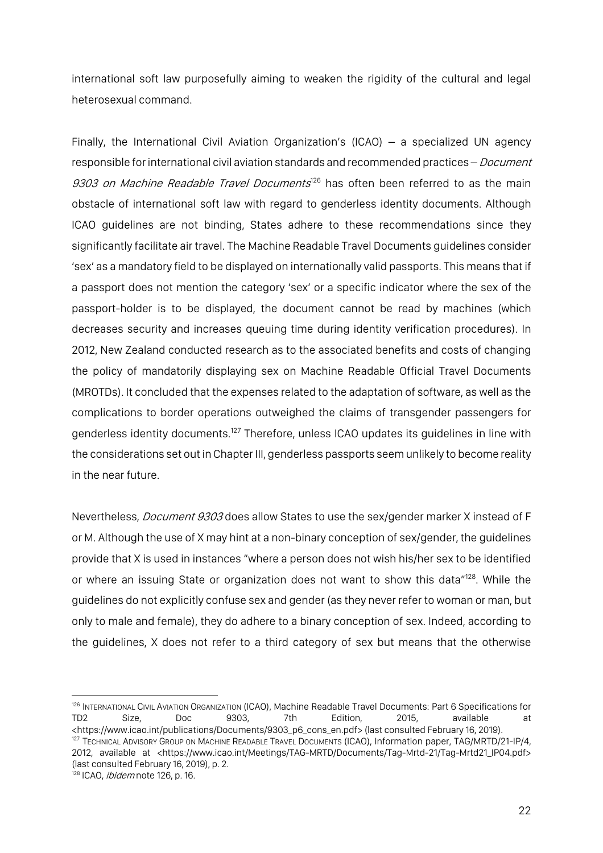international soft law purposefully aiming to weaken the rigidity of the cultural and legal heterosexual command.

Finally, the International Civil Aviation Organization's (ICAO) – a specialized UN agency responsible for international civil aviation standards and recommended practices – Document 9303 on Machine Readable Travel Documents<sup>126</sup> has often been referred to as the main obstacle of international soft law with regard to genderless identity documents. Although ICAO guidelines are not binding, States adhere to these recommendations since they significantly facilitate air travel. The Machine Readable Travel Documents guidelines consider 'sex' as a mandatory field to be displayed on internationally valid passports. This means that if a passport does not mention the category 'sex' or a specific indicator where the sex of the passport-holder is to be displayed, the document cannot be read by machines (which decreases security and increases queuing time during identity verification procedures). In 2012, New Zealand conducted research as to the associated benefits and costs of changing the policy of mandatorily displaying sex on Machine Readable Official Travel Documents (MROTDs). It concluded that the expenses related to the adaptation of software, as well as the complications to border operations outweighed the claims of transgender passengers for genderless identity documents.<sup>127</sup> Therefore, unless ICAO updates its guidelines in line with the considerations set out in Chapter III, genderless passports seem unlikely to become reality in the near future.

Nevertheless, *Document 9303* does allow States to use the sex/gender marker X instead of F or M. Although the use of X may hint at a non-binary conception of sex/gender, the guidelines provide that X is used in instances "where a person does not wish his/her sex to be identified or where an issuing State or organization does not want to show this data"<sup>128</sup>. While the guidelines do not explicitly confuse sex and gender (as they never refer to woman or man, but only to male and female), they do adhere to a binary conception of sex. Indeed, according to the guidelines, X does not refer to a third category of sex but means that the otherwise

<sup>126</sup> INTERNATIONAL CIVIL AVIATION ORGANIZATION (ICAO), Machine Readable Travel Documents: Part 6 Specifications for TD2 Size, Doc 9303, 7th Edition, 2015, available at <https://www.icao.int/publications/Documents/9303\_p6\_cons\_en.pdf> (last consulted February 16, 2019). <sup>127</sup> TECHNICAL ADVISORY GROUP ON MACHINE READABLE TRAVEL DOCUMENTS (ICAO), Information paper, TAG/MRTD/21-IP/4, 2012, available at <https://www.icao.int/Meetings/TAG-MRTD/Documents/Tag-Mrtd-21/Tag-Mrtd21\_IP04.pdf> (last consulted February 16, 2019), p. 2.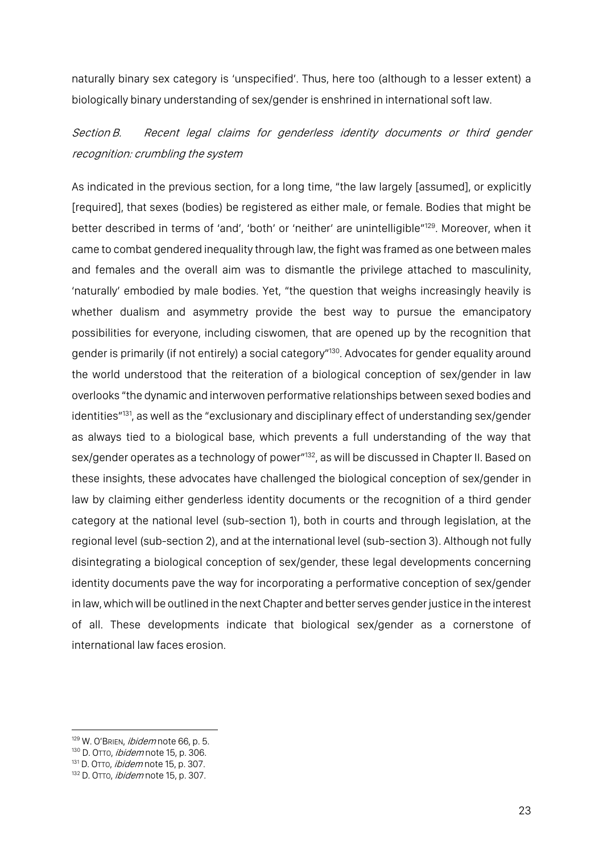naturally binary sex category is 'unspecified'. Thus, here too (although to a lesser extent) a biologically binary understanding of sex/gender is enshrined in international soft law.

Section B. Recent legal claims for genderless identity documents or third gender recognition: crumbling the system

As indicated in the previous section, for a long time, "the law largely [assumed], or explicitly [required], that sexes (bodies) be registered as either male, or female. Bodies that might be better described in terms of 'and', 'both' or 'neither' are unintelligible"<sup>129</sup>. Moreover, when it came to combat gendered inequality through law, the fight was framed as one between males and females and the overall aim was to dismantle the privilege attached to masculinity, 'naturally' embodied by male bodies. Yet, "the question that weighs increasingly heavily is whether dualism and asymmetry provide the best way to pursue the emancipatory possibilities for everyone, including ciswomen, that are opened up by the recognition that gender is primarily (if not entirely) a social category"<sup>130</sup>. Advocates for gender equality around the world understood that the reiteration of a biological conception of sex/gender in law overlooks "the dynamic and interwoven performative relationships between sexed bodies and identities"<sup>131</sup>, as well as the "exclusionary and disciplinary effect of understanding sex/gender as always tied to a biological base, which prevents a full understanding of the way that sex/gender operates as a technology of power"<sup>132</sup>, as will be discussed in Chapter II. Based on these insights, these advocates have challenged the biological conception of sex/gender in law by claiming either genderless identity documents or the recognition of a third gender category at the national level (sub-section 1), both in courts and through legislation, at the regional level (sub-section 2), and at the international level (sub-section 3). Although not fully disintegrating a biological conception of sex/gender, these legal developments concerning identity documents pave the way for incorporating a performative conception of sex/gender in law, which will be outlined in the next Chapter and better serves gender justice in the interest of all. These developments indicate that biological sex/gender as a cornerstone of international law faces erosion.

<sup>&</sup>lt;sup>129</sup> W. O'BRIEN, *ibidem* note 66, p. 5.

<sup>130</sup> D. OTTO, *ibidem* note 15, p. 306.

<sup>131</sup> D. OTTO, *ibidem* note 15, p. 307.

<sup>132</sup> D. OTTO, *ibidem* note 15, p. 307.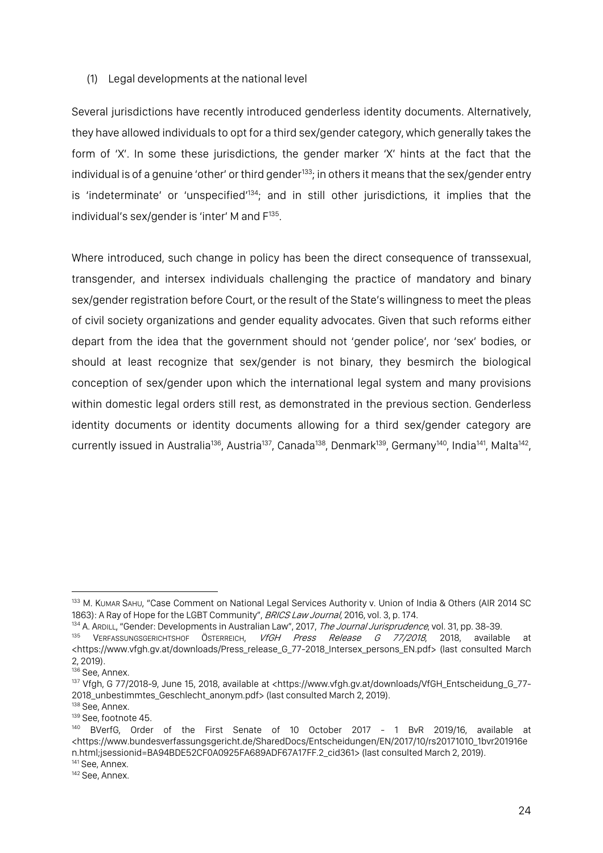#### (1) Legal developments at the national level

Several jurisdictions have recently introduced genderless identity documents. Alternatively, they have allowed individuals to opt for a third sex/gender category, which generally takes the form of 'X'. In some these jurisdictions, the gender marker 'X' hints at the fact that the individual is of a genuine 'other' or third gender<sup>133</sup>; in others it means that the sex/gender entry is 'indeterminate' or 'unspecified'<sup>134</sup>; and in still other jurisdictions, it implies that the individual's sex/gender is 'inter' M and  $F^{135}$ .

Where introduced, such change in policy has been the direct consequence of transsexual, transgender, and intersex individuals challenging the practice of mandatory and binary sex/gender registration before Court, or the result of the State's willingness to meet the pleas of civil society organizations and gender equality advocates. Given that such reforms either depart from the idea that the government should not 'gender police', nor 'sex' bodies, or should at least recognize that sex/gender is not binary, they besmirch the biological conception of sex/gender upon which the international legal system and many provisions within domestic legal orders still rest, as demonstrated in the previous section. Genderless identity documents or identity documents allowing for a third sex/gender category are currently issued in Australia<sup>136</sup>, Austria<sup>137</sup>, Canada<sup>138</sup>, Denmark<sup>139</sup>, Germany<sup>140</sup>, India<sup>141</sup>, Malta<sup>142</sup>,

<sup>133</sup> M. KUMAR SAHU, "Case Comment on National Legal Services Authority v. Union of India & Others (AIR 2014 SC 1863): A Ray of Hope for the LGBT Community", BRICS Law Journal, 2016, vol. 3, p. 174.

<sup>134</sup> A. ARDILL, "Gender: Developments in Australian Law", 2017, The Journal Jurisprudence, vol. 31, pp. 38-39.

<sup>&</sup>lt;sup>135</sup> VERFASSUNGSGERICHTSHOF ÖSTERREICH, VfGH Press Release G 77/2018, 2018, available at <https://www.vfgh.gv.at/downloads/Press\_release\_G\_77-2018\_Intersex\_persons\_EN.pdf> (last consulted March 2, 2019).

<sup>&</sup>lt;sup>136</sup> See, Annex.

<sup>137</sup> Vfgh, G 77/2018-9, June 15, 2018, available at <https://www.vfgh.gv.at/downloads/VfGH\_Entscheidung\_G\_77- 2018\_unbestimmtes\_Geschlecht\_anonym.pdf> (last consulted March 2, 2019).

<sup>138</sup> See, Annex.

<sup>139</sup> See, footnote 45.

<sup>140</sup> BVerfG, Order of the First Senate of 10 October 2017 - 1 BvR 2019/16, available at <https://www.bundesverfassungsgericht.de/SharedDocs/Entscheidungen/EN/2017/10/rs20171010\_1bvr201916e n.html;jsessionid=BA94BDE52CF0A0925FA689ADF67A17FF.2\_cid361> (last consulted March 2, 2019). <sup>141</sup> See, Annex.

<sup>142</sup> See, Annex.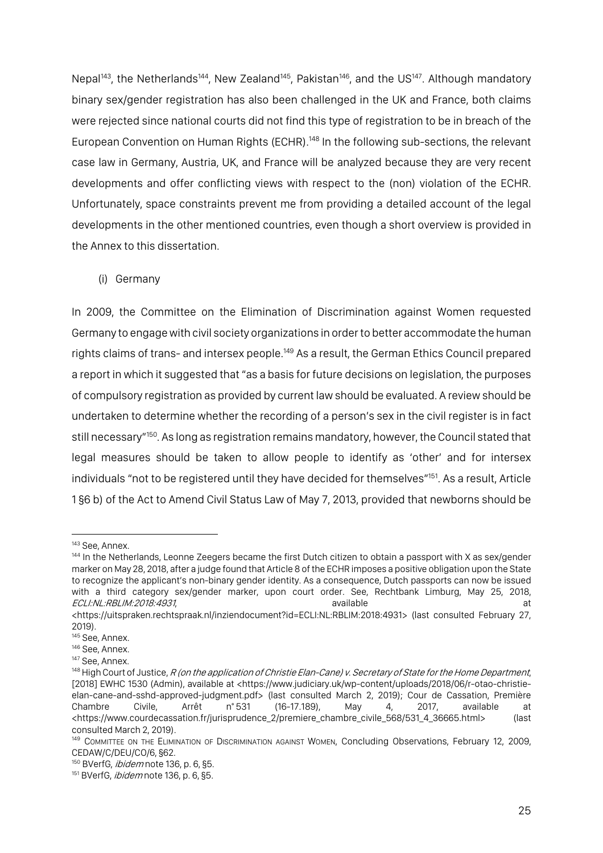Nepal<sup>143</sup>, the Netherlands<sup>144</sup>, New Zealand<sup>145</sup>, Pakistan<sup>146</sup>, and the US<sup>147</sup>. Although mandatory binary sex/gender registration has also been challenged in the UK and France, both claims were rejected since national courts did not find this type of registration to be in breach of the European Convention on Human Rights (ECHR).<sup>148</sup> In the following sub-sections, the relevant case law in Germany, Austria, UK, and France will be analyzed because they are very recent developments and offer conflicting views with respect to the (non) violation of the ECHR. Unfortunately, space constraints prevent me from providing a detailed account of the legal developments in the other mentioned countries, even though a short overview is provided in the Annex to this dissertation.

(i) Germany

In 2009, the Committee on the Elimination of Discrimination against Women requested Germany to engage with civil society organizations in order to better accommodate the human rights claims of trans- and intersex people. <sup>149</sup> As a result, the German Ethics Council prepared a report in which it suggested that "as a basis for future decisions on legislation, the purposes of compulsory registration as provided by current law should be evaluated. A review should be undertaken to determine whether the recording of a person's sex in the civil register is in fact still necessary<sup>"150</sup>. As long as registration remains mandatory, however, the Council stated that legal measures should be taken to allow people to identify as 'other' and for intersex individuals "not to be registered until they have decided for themselves"<sup>151</sup>. As a result, Article 1 §6 b) of the Act to Amend Civil Status Law of May 7, 2013, provided that newborns should be

<sup>&</sup>lt;sup>143</sup> See, Annex.<br><sup>143</sup> In the Netherlands, Leonne Zeegers became the first Dutch citizen to obtain a passport with X as sex/gender marker on May 28, 2018, after a judge found that Article 8 of the ECHR imposes a positive obligation upon the State to recognize the applicant's non-binary gender identity. As a consequence, Dutch passports can now be issued with a third category sex/gender marker, upon court order. See, Rechtbank Limburg, May 25, 2018, ECLI:NL:RBLIM:2018:4931, and a state at a state at a state at a state at a state at a state at a state at a state at a state at a state at a state at a state at a state at a state at a state at a state at a state at a stat

<sup>&</sup>lt;https://uitspraken.rechtspraak.nl/inziendocument?id=ECLI:NL:RBLIM:2018:4931> (last consulted February 27, 2019).

<sup>&</sup>lt;sup>145</sup> See, Annex.<br><sup>146</sup> See, Annex.

<sup>&</sup>lt;sup>147</sup> See, Annex.

<sup>&</sup>lt;sup>148</sup> High Court of Justice, R (on the application of Christie Elan-Cane) v. Secretary of State for the Home Department, [2018] EWHC 1530 (Admin), available at <https://www.judiciary.uk/wp-content/uploads/2018/06/r-otao-christieelan-cane-and-sshd-approved-judgment.pdf> (last consulted March 2, 2019); Cour de Cassation, Première Chambre Civile, Arrêt n° 531 (16-17.189), May 4, 2017, available at <https://www.courdecassation.fr/jurisprudence\_2/premiere\_chambre\_civile\_568/531\_4\_36665.html> (last consulted March 2, 2019).<br><sup>149</sup> COMMITTEE ON THE ELIMINATION OF DISCRIMINATION AGAINST WOMEN, Concluding Observations, February 12, 2009,

CEDAW/C/DEU/CO/6, §62.

<sup>150</sup> BVerfG, *ibidem* note 136, p. 6, §5.

<sup>151</sup> BVerfG, *ibidem* note 136, p. 6, §5.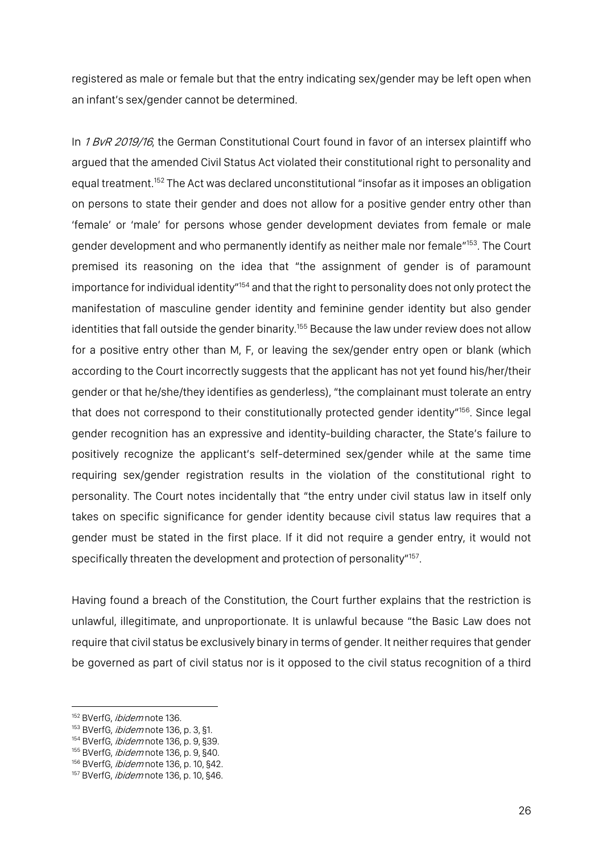registered as male or female but that the entry indicating sex/gender may be left open when an infant's sex/gender cannot be determined.

In 1 BvR 2019/16, the German Constitutional Court found in favor of an intersex plaintiff who argued that the amended Civil Status Act violated their constitutional right to personality and equal treatment.<sup>152</sup> The Act was declared unconstitutional "insofar as it imposes an obligation on persons to state their gender and does not allow for a positive gender entry other than 'female' or 'male' for persons whose gender development deviates from female or male gender development and who permanently identify as neither male nor female"<sup>153</sup>. The Court premised its reasoning on the idea that "the assignment of gender is of paramount importance for individual identity"154 and that the right to personality does not only protect the manifestation of masculine gender identity and feminine gender identity but also gender identities that fall outside the gender binarity. <sup>155</sup> Because the law under review does not allow for a positive entry other than M, F, or leaving the sex/gender entry open or blank (which according to the Court incorrectly suggests that the applicant has not yet found his/her/their gender or that he/she/they identifies as genderless), "the complainant must tolerate an entry that does not correspond to their constitutionally protected gender identity"<sup>156</sup>. Since legal gender recognition has an expressive and identity-building character, the State's failure to positively recognize the applicant's self-determined sex/gender while at the same time requiring sex/gender registration results in the violation of the constitutional right to personality. The Court notes incidentally that "the entry under civil status law in itself only takes on specific significance for gender identity because civil status law requires that a gender must be stated in the first place. If it did not require a gender entry, it would not specifically threaten the development and protection of personality"<sup>157</sup>.

Having found a breach of the Constitution, the Court further explains that the restriction is unlawful, illegitimate, and unproportionate. It is unlawful because "the Basic Law does not require that civil status be exclusively binary in terms of gender. It neither requires that gender be governed as part of civil status nor is it opposed to the civil status recognition of a third

<sup>&</sup>lt;sup>152</sup> BVerfG, *ibidem* note 136.

<sup>&</sup>lt;sup>153</sup> BVerfG, *ibidem* note 136, p. 3, §1.

<sup>154</sup> BVerfG, *ibidem* note 136, p. 9, §39.

<sup>155</sup> BVerfG, *ibidem* note 136, p. 9, §40.

<sup>156</sup> BVerfG, *ibidem* note 136, p. 10, §42.

<sup>157</sup> BVerfG, *ibidem* note 136, p. 10, §46.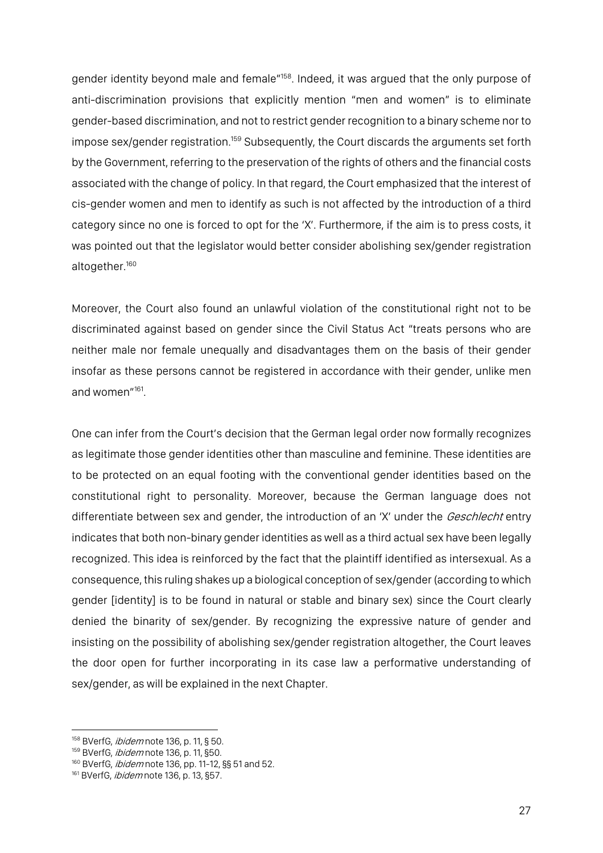gender identity beyond male and female"158. Indeed, it was argued that the only purpose of anti-discrimination provisions that explicitly mention "men and women" is to eliminate gender-based discrimination, and not to restrict gender recognition to a binary scheme nor to impose sex/gender registration.<sup>159</sup> Subsequently, the Court discards the arguments set forth by the Government, referring to the preservation of the rights of others and the financial costs associated with the change of policy. In that regard, the Court emphasized that the interest of cis-gender women and men to identify as such is not affected by the introduction of a third category since no one is forced to opt for the 'X'. Furthermore, if the aim is to press costs, it was pointed out that the legislator would better consider abolishing sex/gender registration altogether.<sup>160</sup>

Moreover, the Court also found an unlawful violation of the constitutional right not to be discriminated against based on gender since the Civil Status Act "treats persons who are neither male nor female unequally and disadvantages them on the basis of their gender insofar as these persons cannot be registered in accordance with their gender, unlike men and women"161.

One can infer from the Court's decision that the German legal order now formally recognizes as legitimate those gender identities other than masculine and feminine. These identities are to be protected on an equal footing with the conventional gender identities based on the constitutional right to personality. Moreover, because the German language does not differentiate between sex and gender, the introduction of an 'X' under the Geschlecht entry indicates that both non-binary gender identities as well as a third actual sex have been legally recognized. This idea is reinforced by the fact that the plaintiff identified as intersexual. As a consequence,this ruling shakes up a biological conception of sex/gender (according to which gender [identity] is to be found in natural or stable and binary sex) since the Court clearly denied the binarity of sex/gender. By recognizing the expressive nature of gender and insisting on the possibility of abolishing sex/gender registration altogether, the Court leaves the door open for further incorporating in its case law a performative understanding of sex/gender, as will be explained in the next Chapter.

<sup>158</sup> BVerfG, *ibidem* note 136, p. 11, § 50.

<sup>159</sup> BVerfG, *ibidem* note 136, p. 11, §50.

<sup>160</sup> BVerfG, *ibidem* note 136, pp. 11-12, §§ 51 and 52.

<sup>161</sup> BVerfG, *ibidem* note 136, p. 13, §57.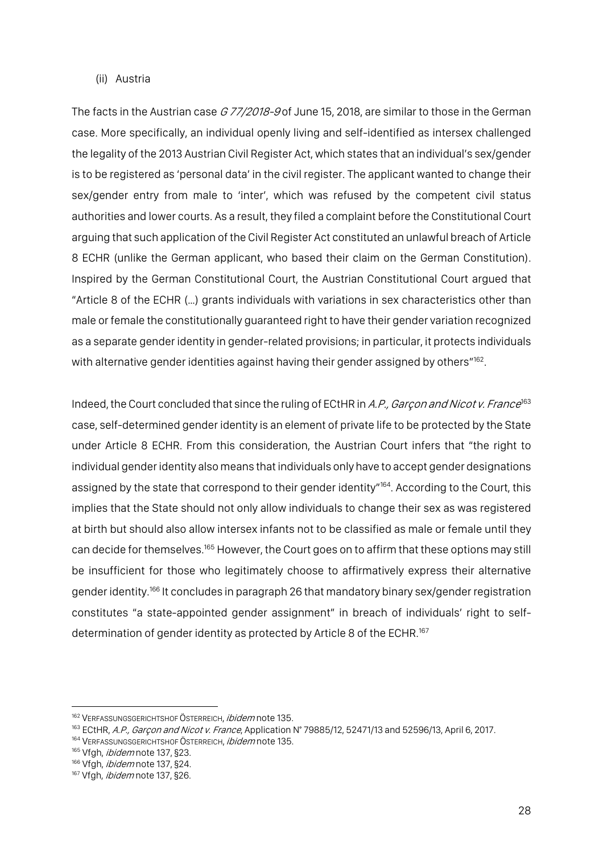#### (ii) Austria

The facts in the Austrian case  $G$  77/2018-9 of June 15, 2018, are similar to those in the German case. More specifically, an individual openly living and self-identified as intersex challenged the legality of the 2013 Austrian Civil Register Act, which states that an individual's sex/gender is to be registered as 'personal data' in the civil register. The applicant wanted to change their sex/gender entry from male to 'inter', which was refused by the competent civil status authorities and lower courts. As a result, they filed a complaint before the Constitutional Court arguing that such application of the Civil Register Act constituted an unlawful breach of Article 8 ECHR (unlike the German applicant, who based their claim on the German Constitution). Inspired by the German Constitutional Court, the Austrian Constitutional Court argued that "Article 8 of the ECHR (…) grants individuals with variations in sex characteristics other than male or female the constitutionally guaranteed right to have their gender variation recognized as a separate gender identity in gender-related provisions; in particular, it protects individuals with alternative gender identities against having their gender assigned by others"<sup>162</sup>.

Indeed, the Court concluded that since the ruling of ECtHR in A.P., Garçon and Nicot v. France<sup>163</sup> case, self-determined gender identity is an element of private life to be protected by the State under Article 8 ECHR. From this consideration, the Austrian Court infers that "the right to individual gender identity also means that individuals only have to accept gender designations assigned by the state that correspond to their gender identity"<sup>164</sup>. According to the Court, this implies that the State should not only allow individuals to change their sex as was registered at birth but should also allow intersex infants not to be classified as male or female until they can decide for themselves.<sup>165</sup> However, the Court goes on to affirm that these options may still be insufficient for those who legitimately choose to affirmatively express their alternative gender identity.<sup>166</sup> It concludes in paragraph 26 that mandatory binary sex/gender registration constitutes "a state-appointed gender assignment" in breach of individuals' right to selfdetermination of gender identity as protected by Article 8 of the ECHR.<sup>167</sup>

<sup>&</sup>lt;sup>162</sup> VERFASSUNGSGERICHTSHOF ÖSTERREICH, *ibidem* note 135.

<sup>&</sup>lt;sup>163</sup> ECtHR, A.P., Garcon and Nicot v. France, Application N° 79885/12, 52471/13 and 52596/13, April 6, 2017.

<sup>&</sup>lt;sup>164</sup> VERFASSUNGSGERICHTSHOF ÖSTERREICH, *ibidem* note 135.

<sup>165</sup> Vfgh, *ibidem* note 137, §23.

<sup>&</sup>lt;sup>166</sup> Vfgh, *ibidem* note 137, §24.

<sup>&</sup>lt;sup>167</sup> Vfgh, *ibidem* note 137, §26.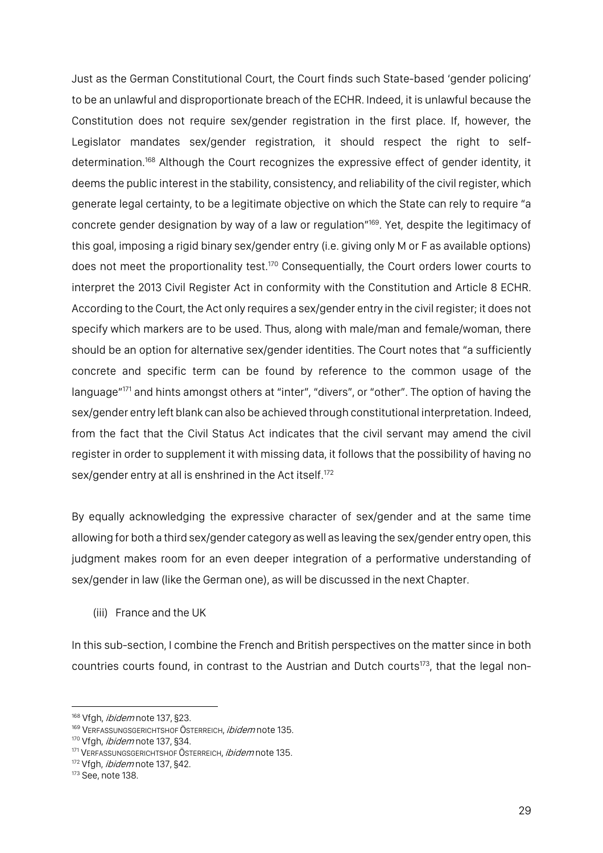Just as the German Constitutional Court, the Court finds such State-based 'gender policing' to be an unlawful and disproportionate breach of the ECHR. Indeed, it is unlawful because the Constitution does not require sex/gender registration in the first place. If, however, the Legislator mandates sex/gender registration, it should respect the right to selfdetermination.<sup>168</sup> Although the Court recognizes the expressive effect of gender identity, it deems the public interest in the stability, consistency, and reliability of the civil register, which generate legal certainty, to be a legitimate objective on which the State can rely to require "a concrete gender designation by way of a law or regulation"169. Yet, despite the legitimacy of this goal, imposing a rigid binary sex/gender entry (i.e. giving only M or F as available options) does not meet the proportionality test.<sup>170</sup> Consequentially, the Court orders lower courts to interpret the 2013 Civil Register Act in conformity with the Constitution and Article 8 ECHR. According to the Court, the Act only requires a sex/gender entry in the civil register; it does not specify which markers are to be used. Thus, along with male/man and female/woman, there should be an option for alternative sex/gender identities. The Court notes that "a sufficiently concrete and specific term can be found by reference to the common usage of the language"<sup>171</sup> and hints amongst others at "inter", "divers", or "other". The option of having the sex/gender entry left blank can also be achieved through constitutional interpretation. Indeed, from the fact that the Civil Status Act indicates that the civil servant may amend the civil register in order to supplement it with missing data, it follows that the possibility of having no sex/gender entry at all is enshrined in the Act itself.<sup>172</sup>

By equally acknowledging the expressive character of sex/gender and at the same time allowing for both a third sex/gender category as well as leaving the sex/gender entry open, this judgment makes room for an even deeper integration of a performative understanding of sex/gender in law (like the German one), as will be discussed in the next Chapter.

(iii) France and the UK

In this sub-section, I combine the French and British perspectives on the matter since in both countries courts found, in contrast to the Austrian and Dutch courts<sup>173</sup>, that the legal non-

<sup>&</sup>lt;sup>168</sup> Vfgh, *ibidem* note 137, §23.

<sup>169</sup> VERFASSUNGSGERICHTSHOF ÖSTERREICH, *ibidem* note 135.

<sup>170</sup> Vfgh, *ibidem* note 137, §34.

<sup>&</sup>lt;sup>171</sup> VERFASSUNGSGERICHTSHOF ÖSTERREICH, *ibidem* note 135.

<sup>172</sup> Vfgh, *ibidem* note 137, §42.

<sup>173</sup> See, note 138.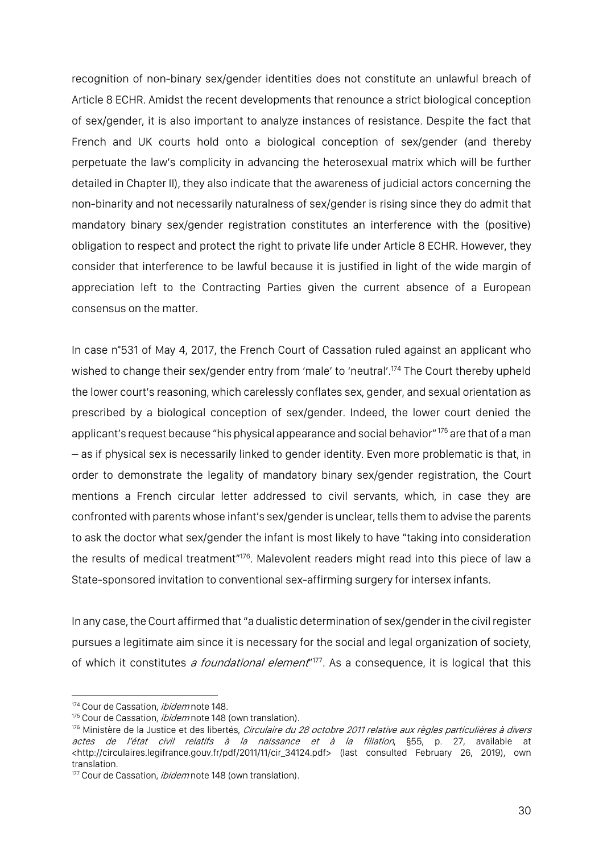recognition of non-binary sex/gender identities does not constitute an unlawful breach of Article 8 ECHR. Amidst the recent developments that renounce a strict biological conception of sex/gender, it is also important to analyze instances of resistance. Despite the fact that French and UK courts hold onto a biological conception of sex/gender (and thereby perpetuate the law's complicity in advancing the heterosexual matrix which will be further detailed in Chapter II), they also indicate that the awareness of judicial actors concerning the non-binarity and not necessarily naturalness of sex/gender is rising since they do admit that mandatory binary sex/gender registration constitutes an interference with the (positive) obligation to respect and protect the right to private life under Article 8 ECHR. However, they consider that interference to be lawful because it is justified in light of the wide margin of appreciation left to the Contracting Parties given the current absence of a European consensus on the matter.

In case n°531 of May 4, 2017, the French Court of Cassation ruled against an applicant who wished to change their sex/gender entry from 'male' to 'neutral'. <sup>174</sup> The Court thereby upheld the lower court's reasoning, which carelessly conflates sex, gender, and sexual orientation as prescribed by a biological conception of sex/gender. Indeed, the lower court denied the applicant's request because "his physical appearance and social behavior" 175 are that of a man – as if physical sex is necessarily linked to gender identity. Even more problematic is that, in order to demonstrate the legality of mandatory binary sex/gender registration, the Court mentions a French circular letter addressed to civil servants, which, in case they are confronted with parents whose infant's sex/gender is unclear, tells them to advise the parents to ask the doctor what sex/gender the infant is most likely to have "taking into consideration the results of medical treatment"<sup>176</sup>. Malevolent readers might read into this piece of law a State-sponsored invitation to conventional sex-affirming surgery for intersex infants.

In any case, the Court affirmed that "a dualistic determination of sex/gender in the civil register pursues a legitimate aim since it is necessary for the social and legal organization of society, of which it constitutes *a foundational element*"<sup>177</sup>. As a consequence, it is logical that this

<sup>174</sup> Cour de Cassation, *ibidem* note 148.

<sup>175</sup> Cour de Cassation, *ibidem* note 148 (own translation).

<sup>&</sup>lt;sup>176</sup> Ministère de la Justice et des libertés, Circulaire du 28 octobre 2011 relative aux règles particulières à divers actes de l'état civil relatifs à la naissance et à la filiation, §55, p. 27, available at <http://circulaires.legifrance.gouv.fr/pdf/2011/11/cir\_34124.pdf> (last consulted February 26, 2019), own translation.

<sup>177</sup> Cour de Cassation, *ibidem* note 148 (own translation).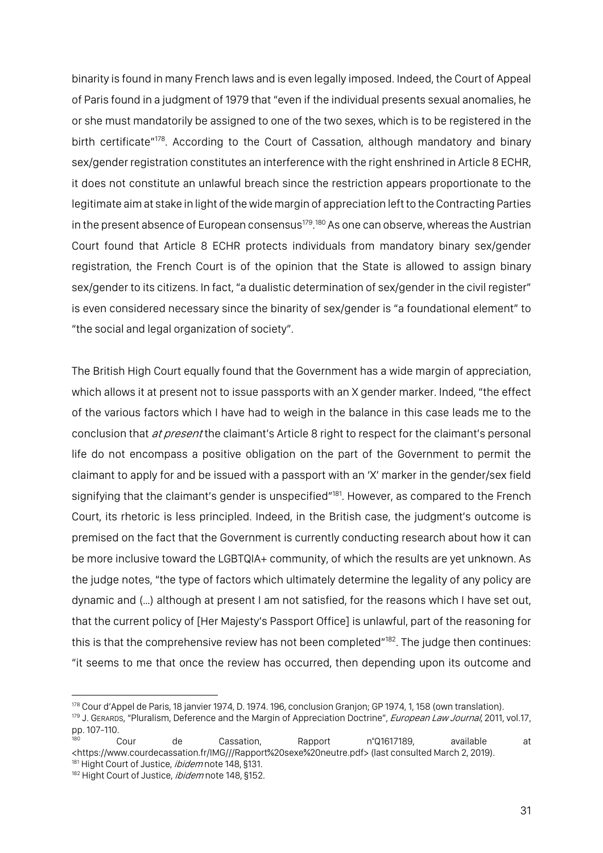binarity is found in many French laws and is even legally imposed. Indeed, the Court of Appeal of Paris found in a judgment of 1979 that "even if the individual presents sexual anomalies, he or she must mandatorily be assigned to one of the two sexes, which is to be registered in the birth certificate"<sup>178</sup>. According to the Court of Cassation, although mandatory and binary sex/gender registration constitutes an interference with the right enshrined in Article 8 ECHR, it does not constitute an unlawful breach since the restriction appears proportionate to the legitimate aim at stake in light of the wide margin of appreciation left to the Contracting Parties in the present absence of European consensus<sup>179</sup>.<sup>180</sup> As one can observe, whereas the Austrian Court found that Article 8 ECHR protects individuals from mandatory binary sex/gender registration, the French Court is of the opinion that the State is allowed to assign binary sex/gender to its citizens. In fact, "a dualistic determination of sex/gender in the civil register" is even considered necessary since the binarity of sex/gender is "a foundational element" to "the social and legal organization of society".

The British High Court equally found that the Government has a wide margin of appreciation, which allows it at present not to issue passports with an X gender marker. Indeed, "the effect of the various factors which I have had to weigh in the balance in this case leads me to the conclusion that *at present* the claimant's Article 8 right to respect for the claimant's personal life do not encompass a positive obligation on the part of the Government to permit the claimant to apply for and be issued with a passport with an 'X' marker in the gender/sex field signifying that the claimant's gender is unspecified"<sup>181</sup>. However, as compared to the French Court, its rhetoric is less principled. Indeed, in the British case, the judgment's outcome is premised on the fact that the Government is currently conducting research about how it can be more inclusive toward the LGBTQIA+ community, of which the results are yet unknown. As the judge notes, "the type of factors which ultimately determine the legality of any policy are dynamic and (…) although at present I am not satisfied, for the reasons which I have set out, that the current policy of [Her Majesty's Passport Office] is unlawful, part of the reasoning for this is that the comprehensive review has not been completed"<sup>182</sup>. The judge then continues: "it seems to me that once the review has occurred, then depending upon its outcome and

<sup>178</sup> Cour d'Appel de Paris, 18 janvier 1974, D. 1974. 196, conclusion Granjon; GP 1974, 1, 158 (own translation).

<sup>179</sup> J. GERARDS, "Pluralism, Deference and the Margin of Appreciation Doctrine", European Law Journal, 2011, vol.17, pp. 107-110.

<sup>180</sup> Cour de Cassation, Rapport n°Q1617189, available at <https://www.courdecassation.fr/IMG///Rapport%20sexe%20neutre.pdf> (last consulted March 2, 2019). <sup>181</sup> Hight Court of Justice, *ibidem* note 148, §131.

<sup>182</sup> Hight Court of Justice, ibidem note 148, §152.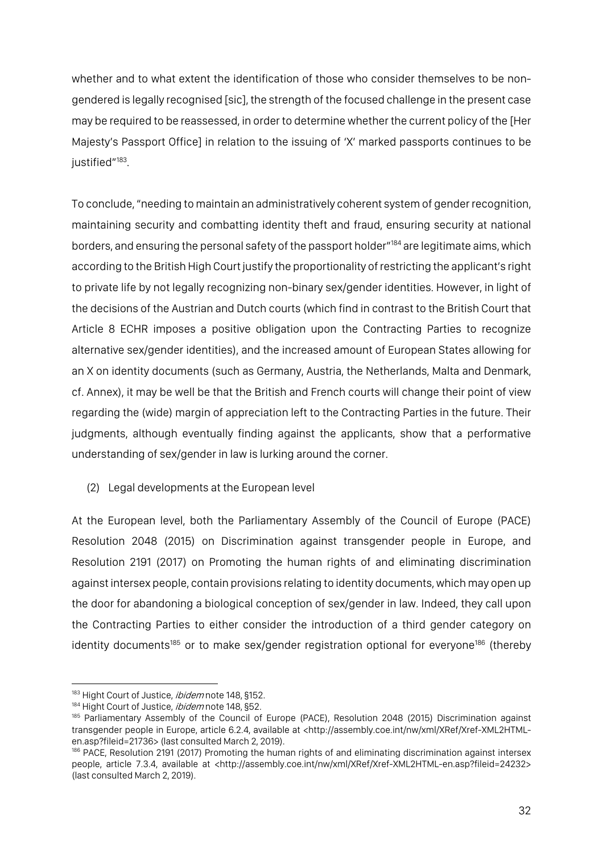whether and to what extent the identification of those who consider themselves to be nongendered is legally recognised [sic], the strength of the focused challenge in the present case may be required to be reassessed, in order to determine whether the current policy of the [Her Majesty's Passport Office] in relation to the issuing of 'X' marked passports continues to be justified"<sup>183</sup>.

To conclude,"needing to maintain an administratively coherent system of gender recognition, maintaining security and combatting identity theft and fraud, ensuring security at national borders, and ensuring the personal safety of the passport holder"<sup>184</sup> are legitimate aims, which according to the British High Court justify the proportionality of restricting the applicant's right to private life by not legally recognizing non-binary sex/gender identities. However, in light of the decisions of the Austrian and Dutch courts (which find in contrast to the British Court that Article 8 ECHR imposes a positive obligation upon the Contracting Parties to recognize alternative sex/gender identities), and the increased amount of European States allowing for an X on identity documents (such as Germany, Austria, the Netherlands, Malta and Denmark, cf. Annex), it may be well be that the British and French courts will change their point of view regarding the (wide) margin of appreciation left to the Contracting Parties in the future. Their judgments, although eventually finding against the applicants, show that a performative understanding of sex/gender in law is lurking around the corner.

# (2) Legal developments at the European level

At the European level, both the Parliamentary Assembly of the Council of Europe (PACE) Resolution 2048 (2015) on Discrimination against transgender people in Europe, and Resolution 2191 (2017) on Promoting the human rights of and eliminating discrimination against intersex people, contain provisions relating to identity documents, which may open up the door for abandoning a biological conception of sex/gender in law. Indeed, they call upon the Contracting Parties to either consider the introduction of a third gender category on identity documents<sup>185</sup> or to make sex/gender registration optional for everyone<sup>186</sup> (thereby

<sup>183</sup> Hight Court of Justice, *ibidem* note 148, §152.

<sup>184</sup> Hight Court of Justice, *ibidem* note 148, §52.

<sup>&</sup>lt;sup>185</sup> Parliamentary Assembly of the Council of Europe (PACE), Resolution 2048 (2015) Discrimination against transgender people in Europe, article 6.2.4, available at <http://assembly.coe.int/nw/xml/XRef/Xref-XML2HTMLen.asp?fileid=21736> (last consulted March 2, 2019).

<sup>186</sup> PACE, Resolution 2191 (2017) Promoting the human rights of and eliminating discrimination against intersex people, article 7.3.4, available at <http://assembly.coe.int/nw/xml/XRef/Xref-XML2HTML-en.asp?fileid=24232> (last consulted March 2, 2019).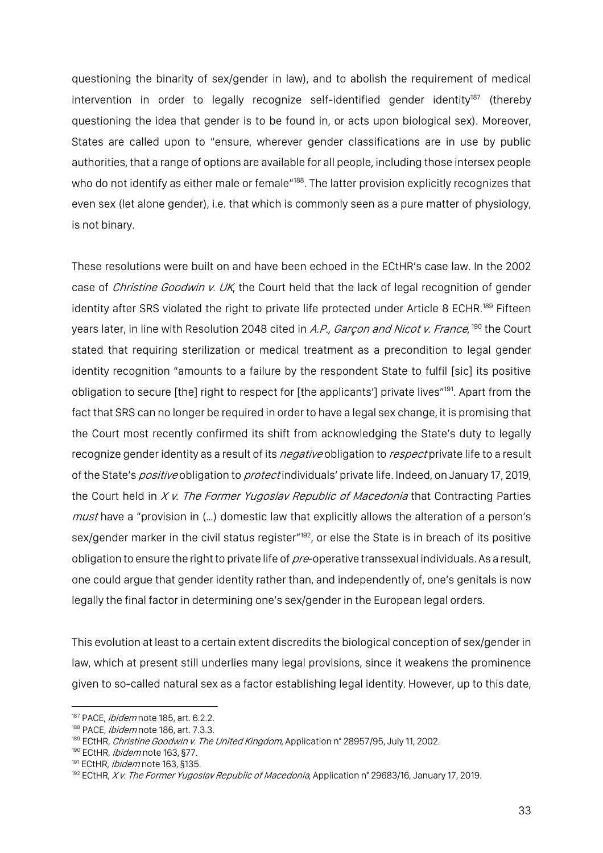questioning the binarity of sex/gender in law), and to abolish the requirement of medical intervention in order to legally recognize self-identified gender identity $187$  (thereby questioning the idea that gender is to be found in, or acts upon biological sex). Moreover, States are called upon to "ensure, wherever gender classifications are in use by public authorities, that a range of options are available for all people, including those intersex people who do not identify as either male or female<sup>"188</sup>. The latter provision explicitly recognizes that even sex (let alone gender), i.e. that which is commonly seen as a pure matter of physiology, is not binary.

These resolutions were built on and have been echoed in the ECtHR's case law. In the 2002 case of *Christine Goodwin v. UK*, the Court held that the lack of legal recognition of gender identity after SRS violated the right to private life protected under Article 8 ECHR.<sup>189</sup> Fifteen years later, in line with Resolution 2048 cited in *A.P., Garçon and Nicot v. France*, <sup>190</sup> the Court stated that requiring sterilization or medical treatment as a precondition to legal gender identity recognition "amounts to a failure by the respondent State to fulfil [sic] its positive obligation to secure [the] right to respect for [the applicants'] private lives"<sup>191</sup>. Apart from the fact that SRS can no longer be required in order to have a legal sex change, it is promising that the Court most recently confirmed its shift from acknowledging the State's duty to legally recognize gender identity as a result of its *negative* obligation to *respect* private life to a result of the State's positive obligation to protect individuals' private life. Indeed, on January 17, 2019, the Court held in X v. The Former Yugoslav Republic of Macedonia that Contracting Parties *must* have a "provision in (...) domestic law that explicitly allows the alteration of a person's sex/gender marker in the civil status register<sup>"192</sup>, or else the State is in breach of its positive obligation to ensure the right to private life of pre-operative transsexual individuals. As a result, one could argue that gender identity rather than, and independently of, one's genitals is now legally the final factor in determining one's sex/gender in the European legal orders.

This evolution at least to a certain extent discredits the biological conception of sex/gender in law, which at present still underlies many legal provisions, since it weakens the prominence given to so-called natural sex as a factor establishing legal identity. However, up to this date,

<sup>187</sup> PACE, *ibidem* note 185, art. 6.2.2.

<sup>188</sup> PACE, *ibidem* note 186, art. 7.3.3.

<sup>&</sup>lt;sup>189</sup> ECtHR, *Christine Goodwin v. The United Kingdom*, Application n° 28957/95, July 11, 2002.

<sup>&</sup>lt;sup>190</sup> ECtHR, *ibidem* note 163, §77.

<sup>&</sup>lt;sup>191</sup> ECtHR, *ibidem* note 163, §135.

<sup>&</sup>lt;sup>192</sup> ECtHR, X v. The Former Yugoslav Republic of Macedonia, Application n° 29683/16, January 17, 2019.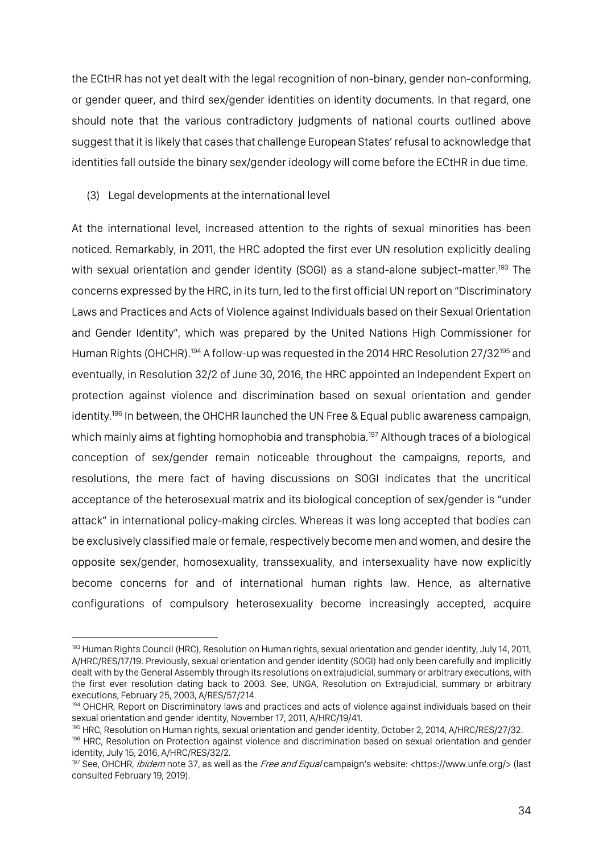the ECtHR has not yet dealt with the legal recognition of non-binary, gender non-conforming, or gender queer, and third sex/gender identities on identity documents. In that regard, one should note that the various contradictory judgments of national courts outlined above suggest that it is likely that cases that challenge European States' refusal to acknowledge that identities fall outside the binary sex/gender ideology will come before the ECtHR in due time.

(3) Legal developments at the international level

 $\overline{a}$ 

At the international level, increased attention to the rights of sexual minorities has been noticed. Remarkably, in 2011, the HRC adopted the first ever UN resolution explicitly dealing with sexual orientation and gender identity (SOGI) as a stand-alone subject-matter.<sup>193</sup> The concerns expressed by the HRC, in its turn, led to the first official UN report on "Discriminatory Laws and Practices and Acts of Violence against Individuals based on their Sexual Orientation and Gender Identity", which was prepared by the United Nations High Commissioner for Human Rights (OHCHR).<sup>194</sup> A follow-up was requested in the 2014 HRC Resolution 27/32<sup>195</sup> and eventually, in Resolution 32/2 of June 30, 2016, the HRC appointed an Independent Expert on protection against violence and discrimination based on sexual orientation and gender identity.<sup>196</sup> In between, the OHCHR launched the UN Free & Equal public awareness campaign, which mainly aims at fighting homophobia and transphobia.<sup>197</sup> Although traces of a biological conception of sex/gender remain noticeable throughout the campaigns, reports, and resolutions, the mere fact of having discussions on SOGI indicates that the uncritical acceptance of the heterosexual matrix and its biological conception of sex/gender is "under attack" in international policy-making circles. Whereas it was long accepted that bodies can be exclusively classified male or female, respectively become men and women, and desire the opposite sex/gender, homosexuality, transsexuality, and intersexuality have now explicitly become concerns for and of international human rights law. Hence, as alternative configurations of compulsory heterosexuality become increasingly accepted, acquire

<sup>&</sup>lt;sup>193</sup> Human Rights Council (HRC), Resolution on Human rights, sexual orientation and gender identity, July 14, 2011, A/HRC/RES/17/19. Previously, sexual orientation and gender identity (SOGI) had only been carefully and implicitly dealt with by the General Assembly through its resolutions on extrajudicial, summary or arbitrary executions, with the first ever resolution dating back to 2003. See, UNGA, Resolution on Extrajudicial, summary or arbitrary executions, February 25, 2003, A/RES/57/214.

<sup>194</sup> OHCHR, Report on Discriminatory laws and practices and acts of violence against individuals based on their sexual orientation and gender identity, November 17, 2011, A/HRC/19/41.

<sup>195</sup> HRC, Resolution on Human rights, sexual orientation and gender identity, October 2, 2014, A/HRC/RES/27/32.

<sup>196</sup> HRC, Resolution on Protection against violence and discrimination based on sexual orientation and gender identity, July 15, 2016, A/HRC/RES/32/2.

<sup>&</sup>lt;sup>197</sup> See, OHCHR, *ibidem* note 37, as well as the *Free and Equal* campaign's website: <https://www.unfe.org/> (last consulted February 19, 2019).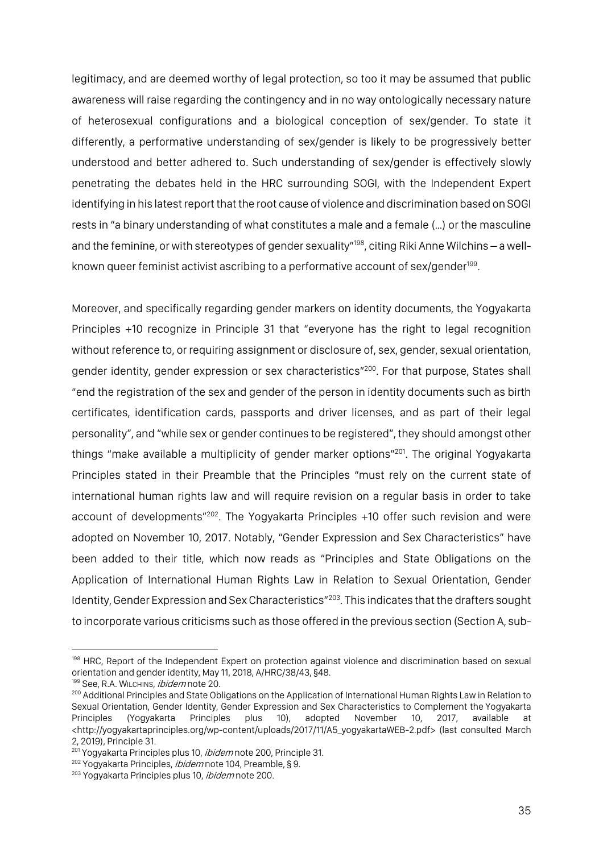legitimacy, and are deemed worthy of legal protection, so too it may be assumed that public awareness will raise regarding the contingency and in no way ontologically necessary nature of heterosexual configurations and a biological conception of sex/gender. To state it differently, a performative understanding of sex/gender is likely to be progressively better understood and better adhered to. Such understanding of sex/gender is effectively slowly penetrating the debates held in the HRC surrounding SOGI, with the Independent Expert identifying in his latest report that the root cause of violence and discrimination based on SOGI rests in "a binary understanding of what constitutes a male and a female (…) or the masculine and the feminine, or with stereotypes of gender sexuality"<sup>198</sup>, citing Riki Anne Wilchins – a wellknown queer feminist activist ascribing to a performative account of sex/gender<sup>199</sup>.

Moreover, and specifically regarding gender markers on identity documents, the Yogyakarta Principles +10 recognize in Principle 31 that "everyone has the right to legal recognition without reference to, or requiring assignment or disclosure of, sex, gender, sexual orientation, gender identity, gender expression or sex characteristics"<sup>200</sup>. For that purpose, States shall "end the registration of the sex and gender of the person in identity documents such as birth certificates, identification cards, passports and driver licenses, and as part of their legal personality", and "while sex or gender continues to be registered", they should amongst other things "make available a multiplicity of gender marker options"<sup>201</sup>. The original Yogyakarta Principles stated in their Preamble that the Principles "must rely on the current state of international human rights law and will require revision on a regular basis in order to take account of developments"<sup>202</sup>. The Yogyakarta Principles +10 offer such revision and were adopted on November 10, 2017. Notably, "Gender Expression and Sex Characteristics" have been added to their title, which now reads as "Principles and State Obligations on the Application of International Human Rights Law in Relation to Sexual Orientation, Gender Identity, Gender Expression and Sex Characteristics"203. This indicates that the drafters sought to incorporate various criticisms such as those offered in the previous section (Section A, sub-

<sup>&</sup>lt;sup>198</sup> HRC, Report of the Independent Expert on protection against violence and discrimination based on sexual orientation and gender identity, May 11, 2018, A/HRC/38/43, §48.

<sup>199</sup> See, R.A. WILCHINS, *ibidem* note 20.

<sup>200</sup> Additional Principles and State Obligations on the Application of International Human Rights Law in Relation to Sexual Orientation, Gender Identity, Gender Expression and Sex Characteristics to Complement the Yogyakarta Principles (Yogyakarta Principles plus 10), adopted November 10, 2017, available at <http://yogyakartaprinciples.org/wp-content/uploads/2017/11/A5\_yogyakartaWEB-2.pdf> (last consulted March 2, 2019), Principle 31.

<sup>&</sup>lt;sup>201</sup> Yogyakarta Principles plus 10, *ibidem* note 200, Principle 31.

<sup>&</sup>lt;sup>202</sup> Yogyakarta Principles, *ibidem* note 104, Preamble, § 9.

<sup>&</sup>lt;sup>203</sup> Yogyakarta Principles plus 10, *ibidem* note 200.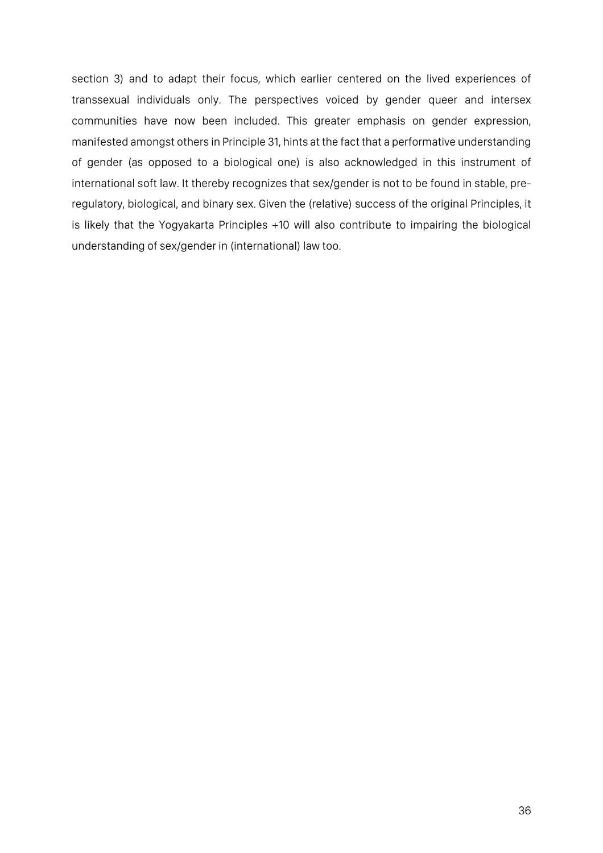section 3) and to adapt their focus, which earlier centered on the lived experiences of transsexual individuals only. The perspectives voiced by gender queer and intersex communities have now been included. This greater emphasis on gender expression, manifested amongst others in Principle 31, hints at the fact that a performative understanding of gender (as opposed to a biological one) is also acknowledged in this instrument of international soft law. It thereby recognizes that sex/gender is not to be found in stable, preregulatory, biological, and binary sex. Given the (relative) success of the original Principles, it is likely that the Yogyakarta Principles +10 will also contribute to impairing the biological understanding of sex/gender in (international) law too.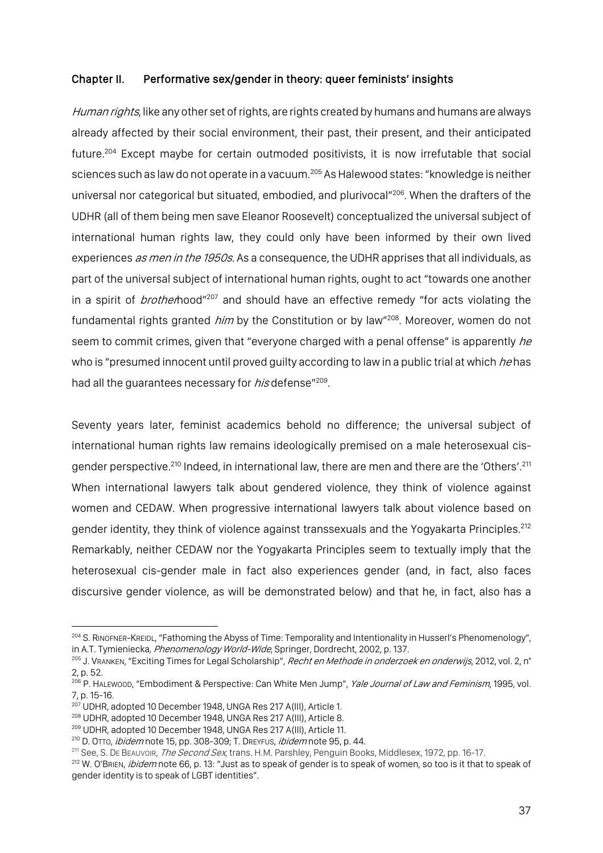### Chapter II. Performative sex/gender in theory: queer feminists' insights

Human rights, like any other set of rights, are rights created by humans and humans are always already affected by their social environment, their past, their present, and their anticipated future.204 Except maybe for certain outmoded positivists, it is now irrefutable that social sciences such as law do not operate in a vacuum.<sup>205</sup> As Halewood states: "knowledge is neither universal nor categorical but situated, embodied, and plurivocal"<sup>206</sup>. When the drafters of the UDHR (all of them being men save Eleanor Roosevelt) conceptualized the universal subject of international human rights law, they could only have been informed by their own lived experiences as men in the 1950s. As a consequence, the UDHR apprises that all individuals, as part of the universal subject of international human rights, ought to act "towards one another in a spirit of *brother*hood"<sup>207</sup> and should have an effective remedy "for acts violating the fundamental rights granted *him* by the Constitution or by law"<sup>208</sup>. Moreover, women do not seem to commit crimes, given that "everyone charged with a penal offense" is apparently he who is "presumed innocent until proved quilty according to law in a public trial at which he has had all the guarantees necessary for *his* defense<sup>"209</sup>.

Seventy years later, feminist academics behold no difference; the universal subject of international human rights law remains ideologically premised on a male heterosexual cisgender perspective.<sup>210</sup> Indeed, in international law, there are men and there are the 'Others'.<sup>211</sup> When international lawyers talk about gendered violence, they think of violence against women and CEDAW. When progressive international lawyers talk about violence based on gender identity, they think of violence against transsexuals and the Yogyakarta Principles.<sup>212</sup> Remarkably, neither CEDAW nor the Yogyakarta Principles seem to textually imply that the heterosexual cis-gender male in fact also experiences gender (and, in fact, also faces discursive gender violence, as will be demonstrated below) and that he, in fact, also has a

<sup>&</sup>lt;sup>204</sup> S. RINOFNER-KREIDL, "Fathoming the Abyss of Time: Temporality and Intentionality in Husserl's Phenomenology", in A.T. Tymieniecka, Phenomenology World-Wide, Springer, Dordrecht, 2002, p. 137.

<sup>&</sup>lt;sup>205</sup> J. VRANKEN, "Exciting Times for Legal Scholarship", *Recht en Methode in onderzoek en onderwijs*, 2012, vol. 2, n° 2, p. 52.

<sup>&</sup>lt;sup>206</sup> P. HALEWOOD, "Embodiment & Perspective: Can White Men Jump", *Yale Journal of Law and Feminism*, 1995, vol. 7, p. 15-16.

<sup>207</sup> UDHR, adopted 10 December 1948, UNGA Res 217 A(III), Article 1.

<sup>208</sup> UDHR, adopted 10 December 1948, UNGA Res 217 A(III), Article 8.

<sup>209</sup> UDHR, adopted 10 December 1948, UNGA Res 217 A(III), Article 11.

 $210$  D. OTTO, *ibidem* note 15, pp. 308-309; T. DREYFUS, *ibidem* note 95, p. 44.

<sup>&</sup>lt;sup>211</sup> See, S. DE BEAUVOIR, *The Second Sex*, trans. H.M. Parshley, Penguin Books, Middlesex, 1972, pp. 16-17.

<sup>&</sup>lt;sup>212</sup> W. O'BRIEN, *ibidem* note 66, p. 13: "Just as to speak of gender is to speak of women, so too is it that to speak of gender identity is to speak of LGBT identities".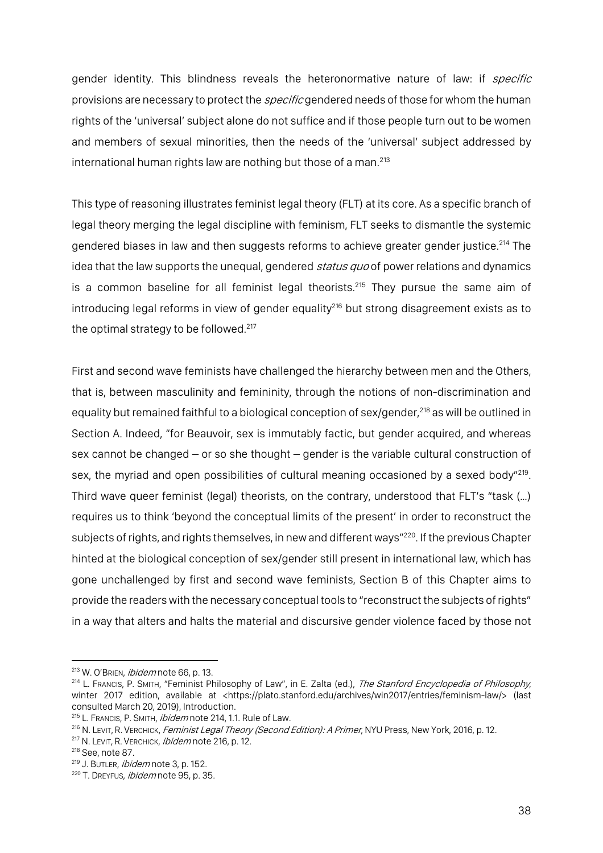gender identity. This blindness reveals the heteronormative nature of law: if *specific* provisions are necessary to protect the *specific* gendered needs of those for whom the human rights of the 'universal' subject alone do not suffice and if those people turn out to be women and members of sexual minorities, then the needs of the 'universal' subject addressed by international human rights law are nothing but those of a man.<sup>213</sup>

This type of reasoning illustrates feminist legal theory (FLT) at its core. As a specific branch of legal theory merging the legal discipline with feminism, FLT seeks to dismantle the systemic gendered biases in law and then suggests reforms to achieve greater gender justice.<sup>214</sup> The idea that the law supports the unequal, gendered *status quo* of power relations and dynamics is a common baseline for all feminist legal theorists.<sup>215</sup> They pursue the same aim of introducing legal reforms in view of gender equality<sup>216</sup> but strong disagreement exists as to the optimal strategy to be followed.<sup>217</sup>

First and second wave feminists have challenged the hierarchy between men and the Others, that is, between masculinity and femininity, through the notions of non-discrimination and equality but remained faithful to a biological conception of sex/gender,<sup>218</sup> as will be outlined in Section A. Indeed, "for Beauvoir, sex is immutably factic, but gender acquired, and whereas sex cannot be changed – or so she thought – gender is the variable cultural construction of sex, the myriad and open possibilities of cultural meaning occasioned by a sexed body"<sup>219</sup>. Third wave queer feminist (legal) theorists, on the contrary, understood that FLT's "task (…) requires us to think 'beyond the conceptual limits of the present' in order to reconstruct the subjects of rights, and rights themselves, in new and different ways"220. If the previous Chapter hinted at the biological conception of sex/gender still present in international law, which has gone unchallenged by first and second wave feminists, Section B of this Chapter aims to provide the readers with the necessary conceptual tools to "reconstruct the subjects of rights" in a way that alters and halts the material and discursive gender violence faced by those not

<sup>&</sup>lt;sup>213</sup> W. O'BRIEN, *ibidem* note 66, p. 13.

<sup>&</sup>lt;sup>214</sup> L. FRANCIS, P. SMITH, "Feminist Philosophy of Law", in E. Zalta (ed.), The Stanford Encyclopedia of Philosophy, winter 2017 edition, available at <https://plato.stanford.edu/archives/win2017/entries/feminism-law/> (last consulted March 20, 2019), Introduction.

<sup>&</sup>lt;sup>215</sup> L. Francis, P. Smith, *ibidem* note 214, 1.1. Rule of Law.<br><sup>216</sup> N. Levit, R. Verchick, *Feminist Legal Theory (Second Edition): A Primer*, NYU Press, New York, 2016, p. 12.

<sup>217</sup> N. LEVIT, R. VERCHICK, *ibidem* note 216, p. 12.

<sup>218</sup> See, note 87.

<sup>&</sup>lt;sup>219</sup> J. BUTLER, *ibidem* note 3, p. 152.

<sup>&</sup>lt;sup>220</sup> T. DREYFUS, *ibidem* note 95, p. 35.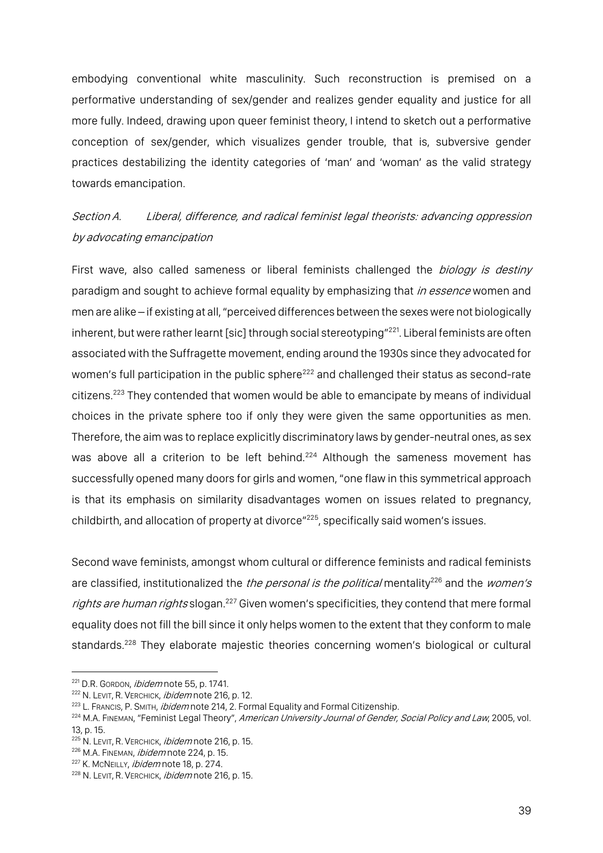embodying conventional white masculinity. Such reconstruction is premised on a performative understanding of sex/gender and realizes gender equality and justice for all more fully. Indeed, drawing upon queer feminist theory, I intend to sketch out a performative conception of sex/gender, which visualizes gender trouble, that is, subversive gender practices destabilizing the identity categories of 'man' and 'woman' as the valid strategy towards emancipation.

Section A. Liberal, difference, and radical feminist legal theorists: advancing oppression by advocating emancipation

First wave, also called sameness or liberal feminists challenged the biology is destiny paradigm and sought to achieve formal equality by emphasizing that in essence women and men are alike – if existing at all, "perceived differences between the sexes were not biologically inherent, but were rather learnt [sic] through social stereotyping"<sup>221</sup>. Liberal feminists are often associated with the Suffragette movement, ending around the 1930s since they advocated for women's full participation in the public sphere<sup>222</sup> and challenged their status as second-rate citizens.223 They contended that women would be able to emancipate by means of individual choices in the private sphere too if only they were given the same opportunities as men. Therefore, the aim was to replace explicitly discriminatory laws by gender-neutral ones, as sex was above all a criterion to be left behind.<sup>224</sup> Although the sameness movement has successfully opened many doors for girls and women, "one flaw in this symmetrical approach is that its emphasis on similarity disadvantages women on issues related to pregnancy, childbirth, and allocation of property at divorce"<sup>225</sup>, specifically said women's issues.

Second wave feminists, amongst whom cultural or difference feminists and radical feminists are classified, institutionalized the *the personal is the political* mentality<sup>226</sup> and the *women's* rights are human rights slogan.<sup>227</sup> Given women's specificities, they contend that mere formal equality does not fill the bill since it only helps women to the extent that they conform to male standards.<sup>228</sup> They elaborate majestic theories concerning women's biological or cultural

<sup>&</sup>lt;sup>221</sup> D.R. GORDON, *ibidem* note 55, p. 1741.

<sup>&</sup>lt;sup>222</sup> N. LEVIT, R. VERCHICK, *ibidem* note 216, p. 12.<br><sup>223</sup> L. Francis, P. Smith, *ibidem* note 214, 2. Formal Equality and Formal Citizenship.

<sup>&</sup>lt;sup>224</sup> M.A. FINEMAN, "Feminist Legal Theory", American University Journal of Gender, Social Policy and Law, 2005, vol. 13, p. 15.

<sup>&</sup>lt;sup>225</sup> N. LEVIT, R. VERCHICK, *ibidem* note 216, p. 15.

<sup>&</sup>lt;sup>226</sup> M.A. FINEMAN, *ibidem* note 224, p. 15.

<sup>&</sup>lt;sup>227</sup> K. MCNEILLY, *ibidem* note 18, p. 274.

<sup>228</sup> N. LEVIT, R. VERCHICK, *ibidem* note 216, p. 15.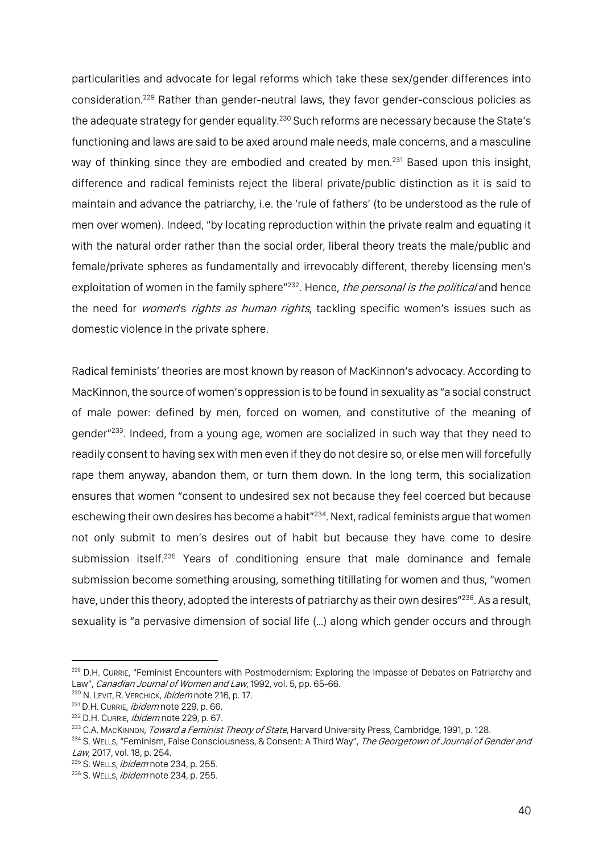particularities and advocate for legal reforms which take these sex/gender differences into consideration. <sup>229</sup> Rather than gender-neutral laws, they favor gender-conscious policies as the adequate strategy for gender equality.<sup>230</sup> Such reforms are necessary because the State's functioning and laws are said to be axed around male needs, male concerns, and a masculine way of thinking since they are embodied and created by men.<sup>231</sup> Based upon this insight, difference and radical feminists reject the liberal private/public distinction as it is said to maintain and advance the patriarchy, i.e. the 'rule of fathers' (to be understood as the rule of men over women). Indeed, "by locating reproduction within the private realm and equating it with the natural order rather than the social order, liberal theory treats the male/public and female/private spheres as fundamentally and irrevocably different, thereby licensing men's exploitation of women in the family sphere"<sup>232</sup>. Hence, *the personal is the political* and hence the need for *women's rights as human rights*, tackling specific women's issues such as domestic violence in the private sphere.

Radical feminists' theories are most known by reason of MacKinnon's advocacy. According to MacKinnon, the source of women's oppression is to be found in sexuality as "a social construct of male power: defined by men, forced on women, and constitutive of the meaning of gender<sup>"233</sup>. Indeed, from a young age, women are socialized in such way that they need to readily consent to having sex with men even if they do not desire so, or else men will forcefully rape them anyway, abandon them, or turn them down. In the long term, this socialization ensures that women "consent to undesired sex not because they feel coerced but because eschewing their own desires has become a habit"<sup>234</sup>. Next, radical feminists argue that women not only submit to men's desires out of habit but because they have come to desire submission itself.<sup>235</sup> Years of conditioning ensure that male dominance and female submission become something arousing, something titillating for women and thus, "women have, under this theory, adopted the interests of patriarchy as their own desires"<sup>236</sup>. As a result, sexuality is "a pervasive dimension of social life (…) along which gender occurs and through

<sup>&</sup>lt;sup>229</sup> D.H. Currie, "Feminist Encounters with Postmodernism: Exploring the Impasse of Debates on Patriarchy and Law", Canadian Journal of Women and Law, 1992, vol. 5, pp. 65-66.

<sup>&</sup>lt;sup>230</sup> N. LEVIT, R. VERCHICK, *ibidem* note 216, p. 17.

<sup>&</sup>lt;sup>231</sup> D.H. CURRIE, *ibidem* note 229, p. 66.

<sup>&</sup>lt;sup>232</sup> D.H. CURRIE, *ibidem* note 229, p. 67.

<sup>&</sup>lt;sup>233</sup> C.A. MACKINNON, *Toward a Feminist Theory of State*, Harvard University Press, Cambridge, 1991, p. 128.

<sup>&</sup>lt;sup>234</sup> S. WELLS, "Feminism, False Consciousness, & Consent: A Third Way", The Georgetown of Journal of Gender and Law, 2017, vol. 18, p. 254.

<sup>&</sup>lt;sup>235</sup> S. WELLS, *ibidem* note 234, p. 255.

<sup>&</sup>lt;sup>236</sup> S. WELLS, *ibidem* note 234, p. 255.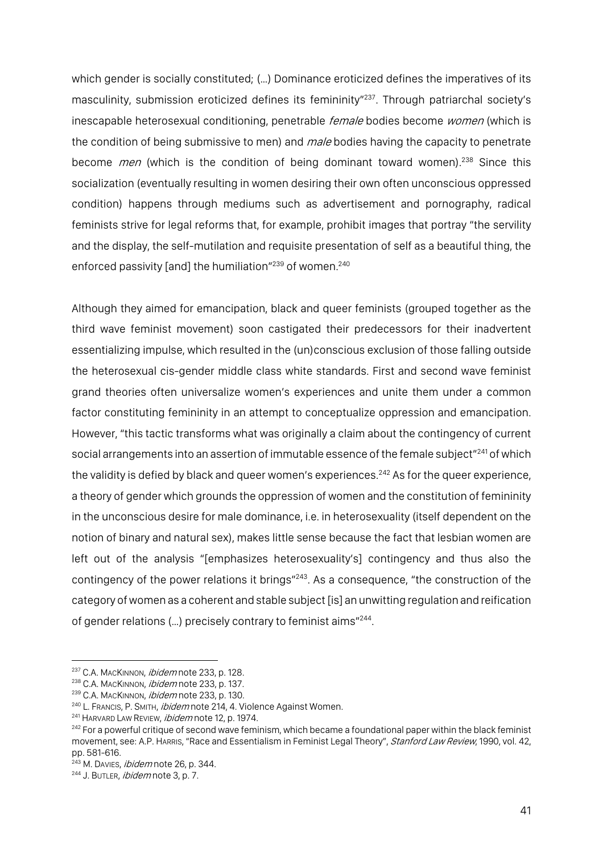which gender is socially constituted; (…) Dominance eroticized defines the imperatives of its masculinity, submission eroticized defines its femininity<sup>"237</sup>. Through patriarchal society's inescapable heterosexual conditioning, penetrable female bodies become women (which is the condition of being submissive to men) and *male* bodies having the capacity to penetrate become *men* (which is the condition of being dominant toward women).<sup>238</sup> Since this socialization (eventually resulting in women desiring their own often unconscious oppressed condition) happens through mediums such as advertisement and pornography, radical feminists strive for legal reforms that, for example, prohibit images that portray "the servility and the display, the self-mutilation and requisite presentation of self as a beautiful thing, the enforced passivity [and] the humiliation"<sup>239</sup> of women.<sup>240</sup>

Although they aimed for emancipation, black and queer feminists (grouped together as the third wave feminist movement) soon castigated their predecessors for their inadvertent essentializing impulse, which resulted in the (un)conscious exclusion of those falling outside the heterosexual cis-gender middle class white standards. First and second wave feminist grand theories often universalize women's experiences and unite them under a common factor constituting femininity in an attempt to conceptualize oppression and emancipation. However, "this tactic transforms what was originally a claim about the contingency of current social arrangements into an assertion of immutable essence of the female subject"<sup>241</sup> of which the validity is defied by black and queer women's experiences.<sup>242</sup> As for the queer experience, a theory of gender which grounds the oppression of women and the constitution of femininity in the unconscious desire for male dominance, i.e. in heterosexuality (itself dependent on the notion of binary and natural sex), makes little sense because the fact that lesbian women are left out of the analysis "[emphasizes heterosexuality's] contingency and thus also the contingency of the power relations it brings"243. As a consequence, "the construction of the category of women as a coherent and stable subject [is] an unwitting regulation and reification of gender relations (…) precisely contrary to feminist aims"244.

<sup>&</sup>lt;sup>237</sup> C.A. MACKINNON, *ibidem* note 233, p. 128.

<sup>&</sup>lt;sup>238</sup> C.A. MacKINNON, *ibidem* note 233, p. 137.

<sup>&</sup>lt;sup>239</sup> C.A. MACKINNON, *ibidem* note 233, p. 130.

<sup>&</sup>lt;sup>240</sup> L. FRANCIS, P. SMITH, *ibidem* note 214, 4. Violence Against Women.

<sup>&</sup>lt;sup>241</sup> HARVARD LAW REVIEW, *ibidem* note 12, p. 1974.

<sup>&</sup>lt;sup>242</sup> For a powerful critique of second wave feminism, which became a foundational paper within the black feminist movement, see: A.P. HARRIS, "Race and Essentialism in Feminist Legal Theory", Stanford Law Review, 1990, vol. 42, pp. 581-616.

<sup>&</sup>lt;sup>243</sup> M. DAVIES, *ibidem* note 26, p. 344.

<sup>&</sup>lt;sup>244</sup> J. BUTLER, *ibidem* note 3, p. 7.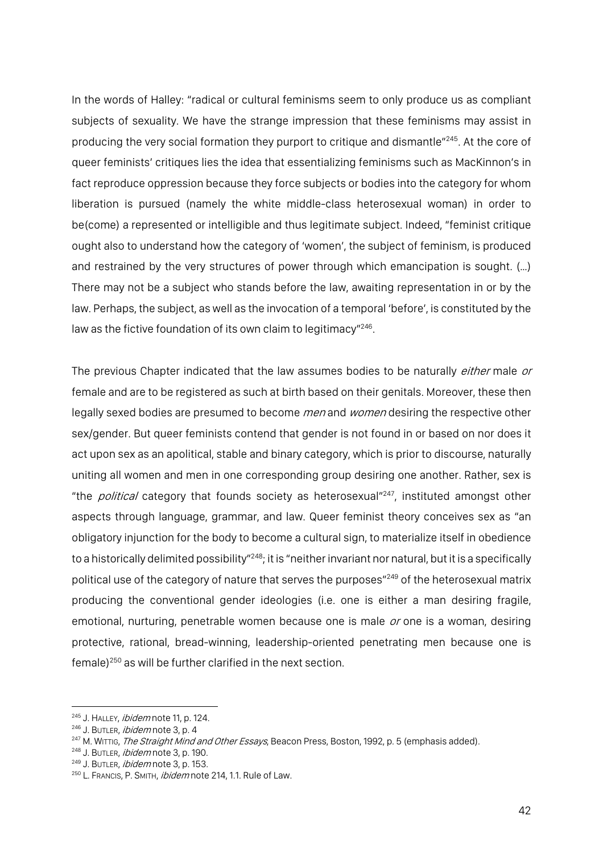In the words of Halley: "radical or cultural feminisms seem to only produce us as compliant subjects of sexuality. We have the strange impression that these feminisms may assist in producing the very social formation they purport to critique and dismantle"<sup>245</sup>. At the core of queer feminists' critiques lies the idea that essentializing feminisms such as MacKinnon's in fact reproduce oppression because they force subjects or bodies into the category for whom liberation is pursued (namely the white middle-class heterosexual woman) in order to be(come) a represented or intelligible and thus legitimate subject. Indeed, "feminist critique ought also to understand how the category of 'women', the subject of feminism, is produced and restrained by the very structures of power through which emancipation is sought. (…) There may not be a subject who stands before the law, awaiting representation in or by the law. Perhaps, the subject, as well as the invocation of a temporal 'before', is constituted by the law as the fictive foundation of its own claim to legitimacy"<sup>246</sup>.

The previous Chapter indicated that the law assumes bodies to be naturally *either* male or female and are to be registered as such at birth based on their genitals. Moreover, these then legally sexed bodies are presumed to become *men* and *women* desiring the respective other sex/gender. But queer feminists contend that gender is not found in or based on nor does it act upon sex as an apolitical, stable and binary category, which is prior to discourse, naturally uniting all women and men in one corresponding group desiring one another. Rather, sex is "the *political* category that founds society as heterosexual<sup>"247</sup>, instituted amongst other aspects through language, grammar, and law. Queer feminist theory conceives sex as "an obligatory injunction for the body to become a cultural sign, to materialize itself in obedience to a historically delimited possibility"<sup>248</sup>; it is "neither invariant nor natural, but it is a specifically political use of the category of nature that serves the purposes"249 of the heterosexual matrix producing the conventional gender ideologies (i.e. one is either a man desiring fragile, emotional, nurturing, penetrable women because one is male or one is a woman, desiring protective, rational, bread-winning, leadership-oriented penetrating men because one is female)<sup>250</sup> as will be further clarified in the next section.

<sup>&</sup>lt;sup>245</sup> J. HALLEY, *ibidem* note 11, p. 124.<br><sup>246</sup> J. BUTLER, *ibidem* note 3, p. 4

<sup>&</sup>lt;sup>247</sup> M. WITTIG, *The Straight Mind and Other Essays*, Beacon Press, Boston, 1992, p. 5 (emphasis added).

<sup>&</sup>lt;sup>248</sup> J. BUTLER, *ibidem* note 3, p. 190.

<sup>&</sup>lt;sup>249</sup> J. BUTLER, *ibidem* note 3, p. 153.

<sup>250</sup> L. FRANCIS, P. SMITH, *ibidem* note 214, 1.1. Rule of Law.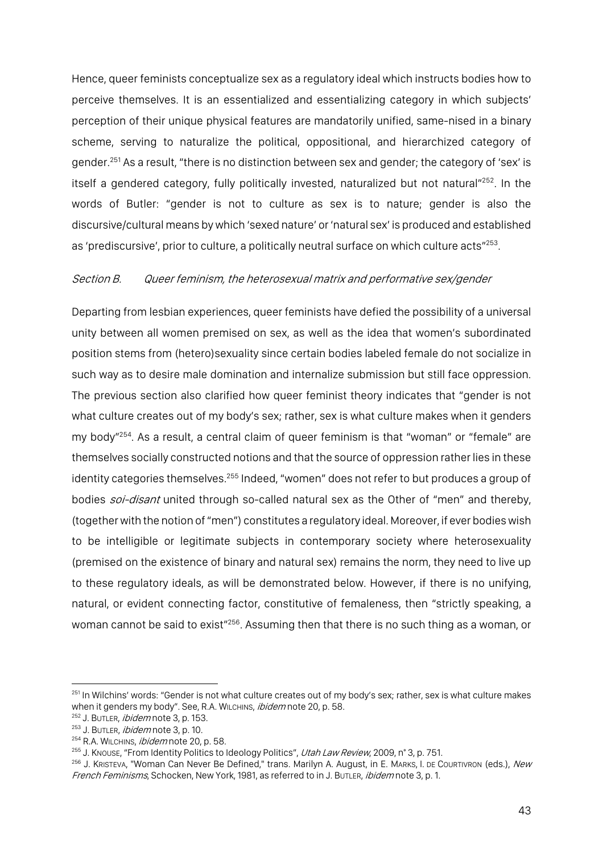Hence, queer feminists conceptualize sex as a regulatory ideal which instructs bodies how to perceive themselves. It is an essentialized and essentializing category in which subjects' perception of their unique physical features are mandatorily unified, same-nised in a binary scheme, serving to naturalize the political, oppositional, and hierarchized category of gender.251 As a result, "there is no distinction between sex and gender; the category of 'sex' is itself a gendered category, fully politically invested, naturalized but not natural"<sup>252</sup>. In the words of Butler: "gender is not to culture as sex is to nature; gender is also the discursive/cultural means by which 'sexed nature' or 'natural sex' is produced and established as 'prediscursive', prior to culture, a politically neutral surface on which culture acts"<sup>253</sup>.

## Section B. Queer feminism, the heterosexual matrix and performative sex/gender

Departing from lesbian experiences, queer feminists have defied the possibility of a universal unity between all women premised on sex, as well as the idea that women's subordinated position stems from (hetero)sexuality since certain bodies labeled female do not socialize in such way as to desire male domination and internalize submission but still face oppression. The previous section also clarified how queer feminist theory indicates that "gender is not what culture creates out of my body's sex; rather, sex is what culture makes when it genders my body"254. As a result, a central claim of queer feminism is that "woman" or "female" are themselves socially constructed notions and that the source of oppression rather lies in these identity categories themselves.<sup>255</sup> Indeed, "women" does not refer to but produces a group of bodies *soi-disant* united through so-called natural sex as the Other of "men" and thereby, (together with the notion of "men") constitutes a regulatory ideal. Moreover, if ever bodies wish to be intelligible or legitimate subjects in contemporary society where heterosexuality (premised on the existence of binary and natural sex) remains the norm, they need to live up to these regulatory ideals, as will be demonstrated below. However, if there is no unifying, natural, or evident connecting factor, constitutive of femaleness, then "strictly speaking, a woman cannot be said to exist<sup>"256</sup>. Assuming then that there is no such thing as a woman, or

<sup>&</sup>lt;sup>251</sup> In Wilchins' words: "Gender is not what culture creates out of my body's sex; rather, sex is what culture makes when it genders my body". See, R.A. WILCHINS, ibidem note 20, p. 58.

<sup>&</sup>lt;sup>252</sup> J. BUTLER, *ibidem* note 3, p. 153.

 $253$  J. Butler, *ibidem* note 3, p. 10.

<sup>254</sup> R.A. WILCHINS, *ibidem* note 20, p. 58.

<sup>&</sup>lt;sup>255</sup> J. Knouse, "From Identity Politics to Ideology Politics", Utah Law Review, 2009, n° 3, p. 751.

<sup>&</sup>lt;sup>256</sup> J. KRISTEVA, "Woman Can Never Be Defined," trans. Marilyn A. August, in E. MARKS, I. DE COURTIVRON (eds.), New French Feminisms, Schocken, New York, 1981, as referred to in J. BUTLER, ibidem note 3, p. 1.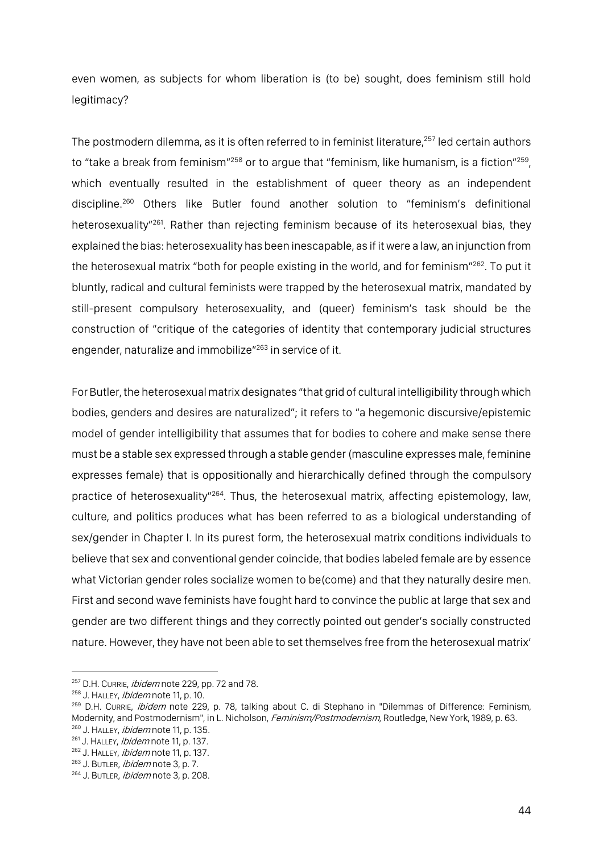even women, as subjects for whom liberation is (to be) sought, does feminism still hold legitimacy?

The postmodern dilemma, as it is often referred to in feminist literature,<sup>257</sup> led certain authors to "take a break from feminism"<sup>258</sup> or to argue that "feminism, like humanism, is a fiction"<sup>259</sup>, which eventually resulted in the establishment of queer theory as an independent discipline.260 Others like Butler found another solution to "feminism's definitional heterosexuality"261. Rather than rejecting feminism because of its heterosexual bias, they explained the bias: heterosexuality has been inescapable, as if it were a law, an injunction from the heterosexual matrix "both for people existing in the world, and for feminism" $^{262}$ . To put it bluntly, radical and cultural feminists were trapped by the heterosexual matrix, mandated by still-present compulsory heterosexuality, and (queer) feminism's task should be the construction of "critique of the categories of identity that contemporary judicial structures engender, naturalize and immobilize"263 in service of it.

For Butler, the heterosexual matrix designates "that grid of cultural intelligibility through which bodies, genders and desires are naturalized"; it refers to "a hegemonic discursive/epistemic model of gender intelligibility that assumes that for bodies to cohere and make sense there must be a stable sex expressed through a stable gender (masculine expresses male, feminine expresses female) that is oppositionally and hierarchically defined through the compulsory practice of heterosexuality<sup>"264</sup>. Thus, the heterosexual matrix, affecting epistemology, law, culture, and politics produces what has been referred to as a biological understanding of sex/gender in Chapter I. In its purest form, the heterosexual matrix conditions individuals to believe that sex and conventional gender coincide, that bodies labeled female are by essence what Victorian gender roles socialize women to be(come) and that they naturally desire men. First and second wave feminists have fought hard to convince the public at large that sex and gender are two different things and they correctly pointed out gender's socially constructed nature. However, they have not been able to set themselves free from the heterosexual matrix'

<sup>&</sup>lt;sup>257</sup> D.H. CURRIE, *ibidem* note 229, pp. 72 and 78.

<sup>&</sup>lt;sup>258</sup> J. HALLEY, *ibidem* note 11, p. 10.

<sup>&</sup>lt;sup>259</sup> D.H. CURRIE, *ibidem* note 229, p. 78, talking about C. di Stephano in "Dilemmas of Difference: Feminism, Modernity, and Postmodernism", in L. Nicholson, *Feminism/Postmodernism,* Routledge, New York, 1989, p. 63. <sup>260</sup> J. HALLEY, *ibidem* note 11, p. 135.

 $261$  J. HALLEY, *ibidem* note 11, p. 137.

<sup>&</sup>lt;sup>262</sup> J. HALLEY, *ibidem* note 11, p. 137.

<sup>&</sup>lt;sup>263</sup> J. BUTLER, *ibidem* note 3, p. 7.

<sup>264</sup> J. BUTLER, ibidem note 3, p. 208.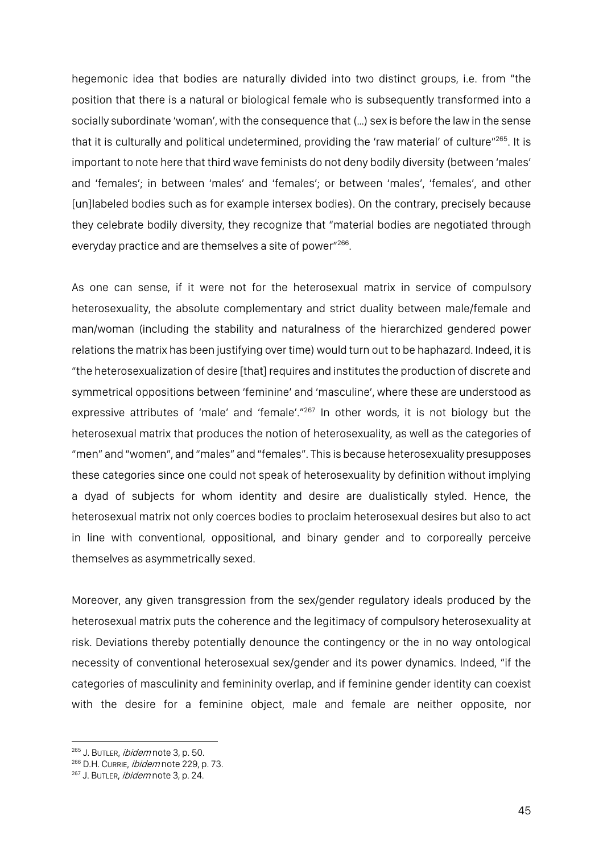hegemonic idea that bodies are naturally divided into two distinct groups, i.e. from "the position that there is a natural or biological female who is subsequently transformed into a socially subordinate 'woman', with the consequence that (…) sex is before the law in the sense that it is culturally and political undetermined, providing the 'raw material' of culture"<sup>265</sup>. It is important to note here that third wave feminists do not deny bodily diversity (between 'males' and 'females'; in between 'males' and 'females'; or between 'males', 'females', and other [un]labeled bodies such as for example intersex bodies). On the contrary, precisely because they celebrate bodily diversity, they recognize that "material bodies are negotiated through everyday practice and are themselves a site of power"266.

As one can sense, if it were not for the heterosexual matrix in service of compulsory heterosexuality, the absolute complementary and strict duality between male/female and man/woman (including the stability and naturalness of the hierarchized gendered power relations the matrix has been justifying over time) would turn out to be haphazard. Indeed, it is "the heterosexualization of desire [that] requires and institutes the production of discrete and symmetrical oppositions between 'feminine' and 'masculine', where these are understood as expressive attributes of 'male' and 'female'."267 In other words, it is not biology but the heterosexual matrix that produces the notion of heterosexuality, as well as the categories of "men" and "women", and "males" and "females". This is because heterosexuality presupposes these categories since one could not speak of heterosexuality by definition without implying a dyad of subjects for whom identity and desire are dualistically styled. Hence, the heterosexual matrix not only coerces bodies to proclaim heterosexual desires but also to act in line with conventional, oppositional, and binary gender and to corporeally perceive themselves as asymmetrically sexed.

Moreover, any given transgression from the sex/gender regulatory ideals produced by the heterosexual matrix puts the coherence and the legitimacy of compulsory heterosexuality at risk. Deviations thereby potentially denounce the contingency or the in no way ontological necessity of conventional heterosexual sex/gender and its power dynamics. Indeed, "if the categories of masculinity and femininity overlap, and if feminine gender identity can coexist with the desire for a feminine object, male and female are neither opposite, nor

<sup>265</sup> J. BUTLER, *ibidem* note 3, p. 50.

<sup>&</sup>lt;sup>266</sup> D.H. CURRIE, *ibidem* note 229, p. 73.

<sup>&</sup>lt;sup>267</sup> J. BUTLER, *ibidem* note 3, p. 24.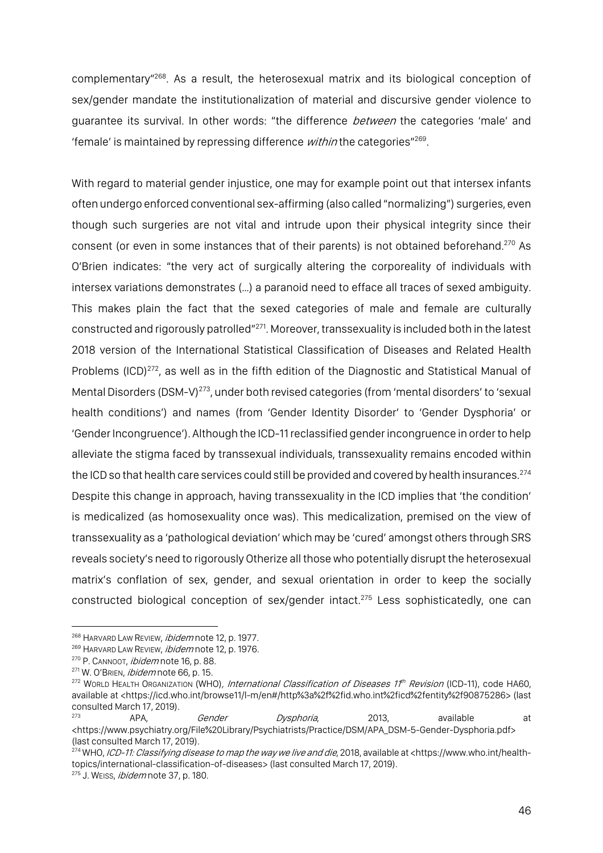complementary"268. As a result, the heterosexual matrix and its biological conception of sex/gender mandate the institutionalization of material and discursive gender violence to guarantee its survival. In other words: "the difference *between* the categories 'male' and 'female' is maintained by repressing difference within the categories"<sup>269</sup>.

With regard to material gender injustice, one may for example point out that intersex infants often undergo enforced conventional sex-affirming (also called "normalizing") surgeries, even though such surgeries are not vital and intrude upon their physical integrity since their consent (or even in some instances that of their parents) is not obtained beforehand.<sup>270</sup> As O'Brien indicates: "the very act of surgically altering the corporeality of individuals with intersex variations demonstrates (…) a paranoid need to efface all traces of sexed ambiguity. This makes plain the fact that the sexed categories of male and female are culturally constructed and rigorously patrolled"271. Moreover, transsexuality is included both in the latest 2018 version of the International Statistical Classification of Diseases and Related Health Problems (ICD)<sup>272</sup>, as well as in the fifth edition of the Diagnostic and Statistical Manual of Mental Disorders (DSM-V)<sup>273</sup>, under both revised categories (from 'mental disorders' to 'sexual health conditions') and names (from 'Gender Identity Disorder' to 'Gender Dysphoria' or 'Gender Incongruence'). Although the ICD-11 reclassified gender incongruence in order to help alleviate the stigma faced by transsexual individuals, transsexuality remains encoded within the ICD so that health care services could still be provided and covered by health insurances.<sup>274</sup> Despite this change in approach, having transsexuality in the ICD implies that 'the condition' is medicalized (as homosexuality once was). This medicalization, premised on the view of transsexuality as a 'pathological deviation' which may be 'cured' amongst others through SRS reveals society's need to rigorously Otherize all those who potentially disrupt the heterosexual matrix's conflation of sex, gender, and sexual orientation in order to keep the socially constructed biological conception of sex/gender intact. <sup>275</sup> Less sophisticatedly, one can

<sup>&</sup>lt;sup>268</sup> HARVARD LAW REVIEW, *ibidem* note 12, p. 1977.

 $269$  HARVARD LAW REVIEW, *ibidem* note 12, p. 1976.

<sup>&</sup>lt;sup>270</sup> P. CANNOOT, *ibidem* note 16, p. 88.

<sup>&</sup>lt;sup>271</sup> W. O'BRIEN, *ibidem* note 66, p. 15.

<sup>&</sup>lt;sup>272</sup> WORLD HEALTH ORGANIZATION (WHO), International Classification of Diseases 1<sup>#h</sup> Revision (ICD-11), code HA60, available at <https://icd.who.int/browse11/l-m/en#/http%3a%2f%2fid.who.int%2ficd%2fentity%2f90875286> (last consulted March 17, 2019).

<sup>273</sup> APA, Gender Dysphoria, 2013, available at <https://www.psychiatry.org/File%20Library/Psychiatrists/Practice/DSM/APA\_DSM-5-Gender-Dysphoria.pdf> (last consulted March 17, 2019).

<sup>&</sup>lt;sup>274</sup> WHO, *ICD-11: Classifying disease to map the way we live and die*, 2018, available at <https://www.who.int/healthtopics/international-classification-of-diseases> (last consulted March 17, 2019).

<sup>&</sup>lt;sup>275</sup> J. WEISS, *ibidem* note 37, p. 180.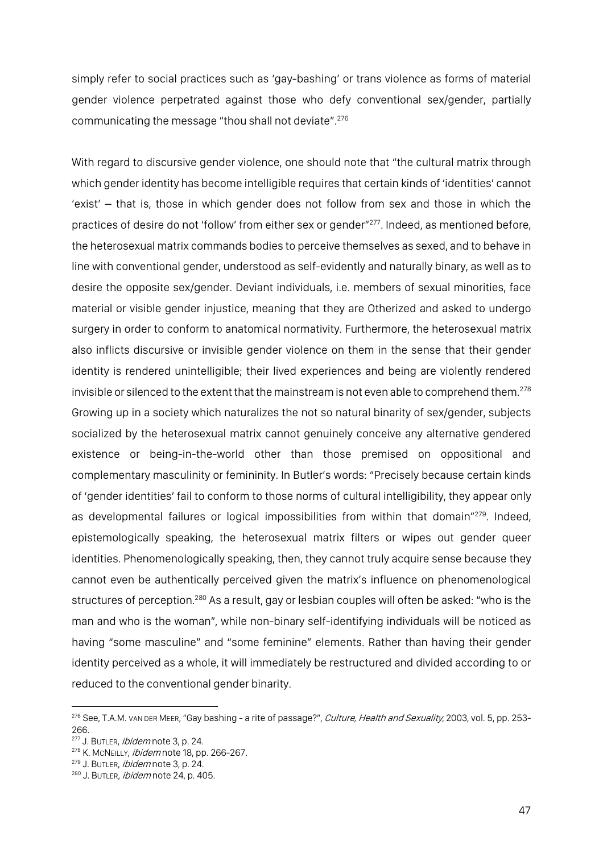simply refer to social practices such as 'gay-bashing' or trans violence as forms of material gender violence perpetrated against those who defy conventional sex/gender, partially communicating the message "thou shall not deviate".276

With regard to discursive gender violence, one should note that "the cultural matrix through which gender identity has become intelligible requires that certain kinds of 'identities' cannot 'exist' – that is, those in which gender does not follow from sex and those in which the practices of desire do not 'follow' from either sex or gender"277. Indeed, as mentioned before, the heterosexual matrix commands bodies to perceive themselves as sexed, and to behave in line with conventional gender, understood as self-evidently and naturally binary, as well as to desire the opposite sex/gender. Deviant individuals, i.e. members of sexual minorities, face material or visible gender injustice, meaning that they are Otherized and asked to undergo surgery in order to conform to anatomical normativity. Furthermore, the heterosexual matrix also inflicts discursive or invisible gender violence on them in the sense that their gender identity is rendered unintelligible; their lived experiences and being are violently rendered invisible or silenced to the extent that the mainstream is not even able to comprehend them.<sup>278</sup> Growing up in a society which naturalizes the not so natural binarity of sex/gender, subjects socialized by the heterosexual matrix cannot genuinely conceive any alternative gendered existence or being-in-the-world other than those premised on oppositional and complementary masculinity or femininity. In Butler's words: "Precisely because certain kinds of 'gender identities' fail to conform to those norms of cultural intelligibility, they appear only as developmental failures or logical impossibilities from within that domain"<sup>279</sup>. Indeed, epistemologically speaking, the heterosexual matrix filters or wipes out gender queer identities. Phenomenologically speaking, then, they cannot truly acquire sense because they cannot even be authentically perceived given the matrix's influence on phenomenological structures of perception.<sup>280</sup> As a result, gay or lesbian couples will often be asked: "who is the man and who is the woman", while non-binary self-identifying individuals will be noticed as having "some masculine" and "some feminine" elements. Rather than having their gender identity perceived as a whole, it will immediately be restructured and divided according to or reduced to the conventional gender binarity.

<sup>&</sup>lt;sup>276</sup> See, T.A.M. vAN DER MEER, "Gay bashing - a rite of passage?", *Culture, Health and Sexuality*, 2003, vol. 5, pp. 253-266.

<sup>&</sup>lt;sup>277</sup> J. BUTLER, *ibidem* note 3, p. 24.

<sup>&</sup>lt;sup>278</sup> K. McNEILLY, *ibidem* note 18, pp. 266-267.

<sup>&</sup>lt;sup>279</sup> J. BUTLER, *ibidem* note 3, p. 24.

<sup>280</sup> J. BUTLER, ibidem note 24, p. 405.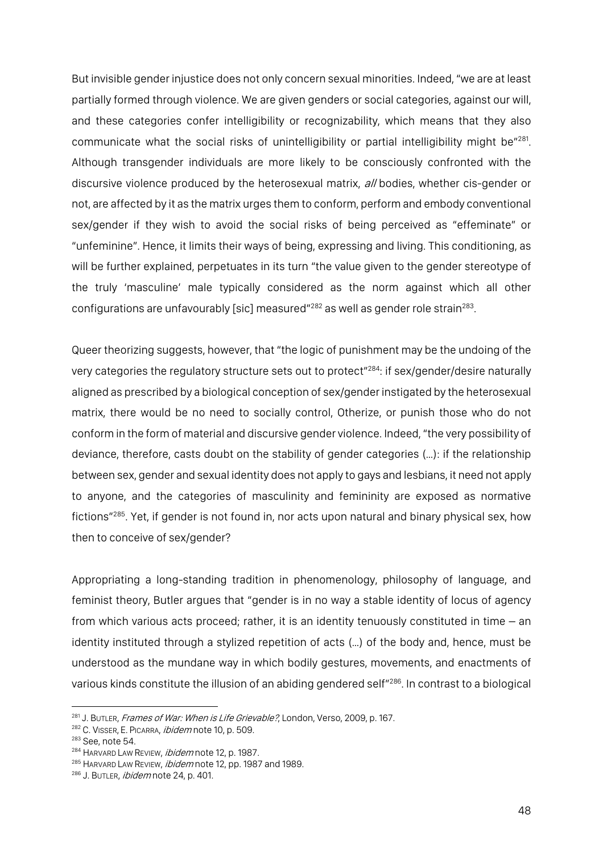But invisible gender injustice does not only concern sexual minorities. Indeed, "we are at least partially formed through violence. We are given genders or social categories, against our will, and these categories confer intelligibility or recognizability, which means that they also communicate what the social risks of unintelligibility or partial intelligibility might be"281. Although transgender individuals are more likely to be consciously confronted with the discursive violence produced by the heterosexual matrix, all bodies, whether cis-gender or not, are affected by it as the matrix urges them to conform, perform and embody conventional sex/gender if they wish to avoid the social risks of being perceived as "effeminate" or "unfeminine". Hence, it limits their ways of being, expressing and living. This conditioning, as will be further explained, perpetuates in its turn "the value given to the gender stereotype of the truly 'masculine' male typically considered as the norm against which all other configurations are unfavourably [sic] measured"<sup>282</sup> as well as gender role strain<sup>283</sup>.

Queer theorizing suggests, however, that "the logic of punishment may be the undoing of the very categories the regulatory structure sets out to protect"<sup>284</sup>: if sex/gender/desire naturally aligned as prescribed by a biological conception of sex/gender instigated by the heterosexual matrix, there would be no need to socially control, Otherize, or punish those who do not conform in the form of material and discursive gender violence. Indeed, "the very possibility of deviance, therefore, casts doubt on the stability of gender categories (…): if the relationship between sex, gender and sexual identity does not apply to gays and lesbians, it need not apply to anyone, and the categories of masculinity and femininity are exposed as normative fictions"<sup>285</sup>. Yet, if gender is not found in, nor acts upon natural and binary physical sex, how then to conceive of sex/gender?

Appropriating a long-standing tradition in phenomenology, philosophy of language, and feminist theory, Butler argues that "gender is in no way a stable identity of locus of agency from which various acts proceed; rather, it is an identity tenuously constituted in time – an identity instituted through a stylized repetition of acts (…) of the body and, hence, must be understood as the mundane way in which bodily gestures, movements, and enactments of various kinds constitute the illusion of an abiding gendered self"286. In contrast to a biological

<sup>&</sup>lt;sup>281</sup> J. BUTLER, *Frames of War: When is Life Grievable?*, London, Verso, 2009, p. 167.

<sup>&</sup>lt;sup>282</sup> C. VISSER, E. PICARRA, *ibidem* note 10, p. 509.

<sup>283</sup> See, note 54.

<sup>&</sup>lt;sup>284</sup> HARVARD LAW REVIEW, *ibidem* note 12, p. 1987.

<sup>&</sup>lt;sup>285</sup> HARVARD LAW REVIEW, *ibidem* note 12, pp. 1987 and 1989.

<sup>286</sup> J. BUTLER, ibidem note 24, p. 401.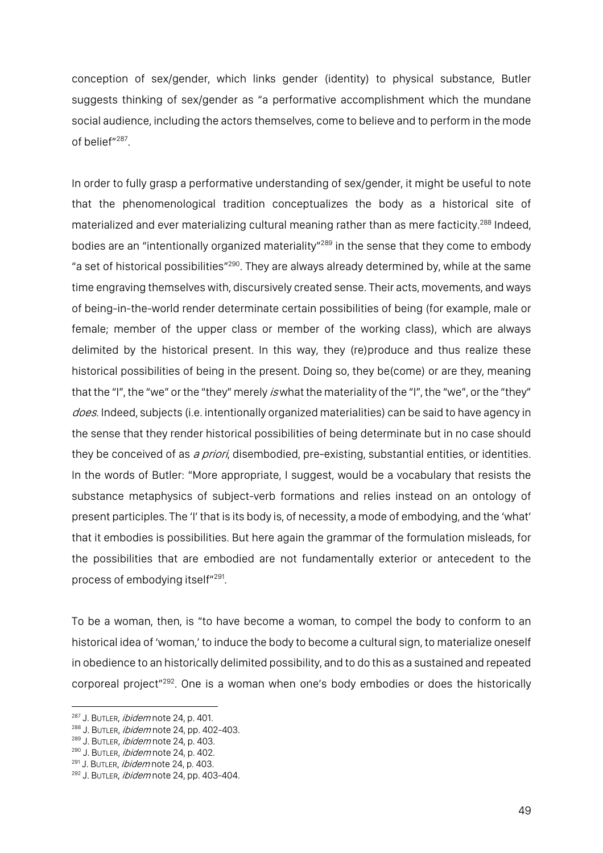conception of sex/gender, which links gender (identity) to physical substance, Butler suggests thinking of sex/gender as "a performative accomplishment which the mundane social audience, including the actors themselves, come to believe and to perform in the mode of belief"287.

In order to fully grasp a performative understanding of sex/gender, it might be useful to note that the phenomenological tradition conceptualizes the body as a historical site of materialized and ever materializing cultural meaning rather than as mere facticity.<sup>288</sup> Indeed, bodies are an "intentionally organized materiality"<sup>289</sup> in the sense that they come to embody "a set of historical possibilities"<sup>290</sup>. They are always already determined by, while at the same time engraving themselves with, discursively created sense. Their acts, movements, and ways of being-in-the-world render determinate certain possibilities of being (for example, male or female; member of the upper class or member of the working class), which are always delimited by the historical present. In this way, they (re)produce and thus realize these historical possibilities of being in the present. Doing so, they be(come) or are they, meaning that the "I", the "we" or the "they" merely *is* what the materiality of the "I", the "we", or the "they" does. Indeed, subjects (i.e. intentionally organized materialities) can be said to have agency in the sense that they render historical possibilities of being determinate but in no case should they be conceived of as a priori, disembodied, pre-existing, substantial entities, or identities. In the words of Butler: "More appropriate, I suggest, would be a vocabulary that resists the substance metaphysics of subject-verb formations and relies instead on an ontology of present participles. The 'I' that is its body is, of necessity, a mode of embodying, and the 'what' that it embodies is possibilities. But here again the grammar of the formulation misleads, for the possibilities that are embodied are not fundamentally exterior or antecedent to the process of embodying itself"291.

To be a woman, then, is "to have become a woman, to compel the body to conform to an historical idea of 'woman,' to induce the body to become a cultural sign, to materialize oneself in obedience to an historically delimited possibility, and to do this as a sustained and repeated corporeal project"292. One is a woman when one's body embodies or does the historically

<sup>&</sup>lt;sup>287</sup> J. BUTLER, *ibidem* note 24, p. 401.

<sup>288</sup> J. BUTLER, *ibidem* note 24, pp. 402-403.

<sup>289</sup> J. BUTLER, *ibidem* note 24, p. 403.

<sup>290</sup> J. BUTLER, ibidem note 24, p. 402.

<sup>&</sup>lt;sup>291</sup> J. BUTLER, *ibidem* note 24, p. 403.

<sup>292</sup> J. BUTLER, *ibidem* note 24, pp. 403-404.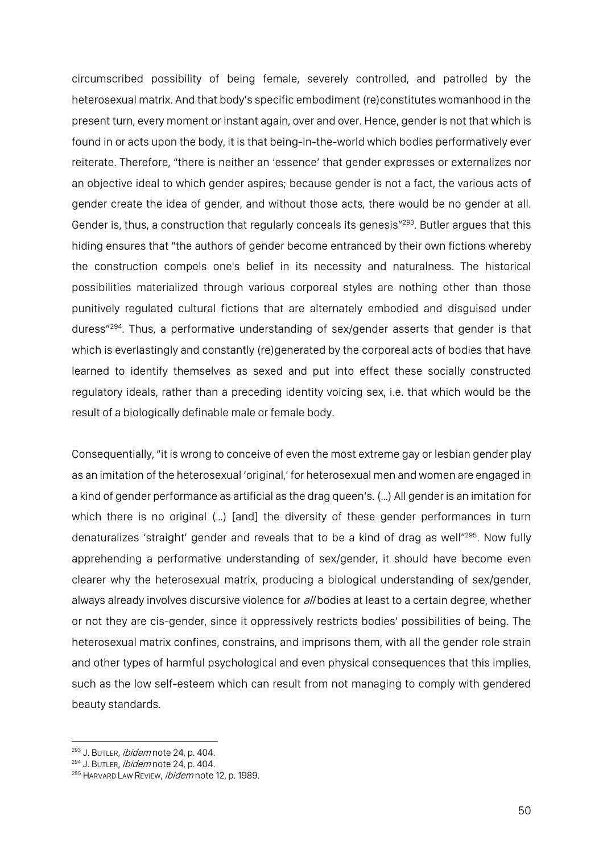circumscribed possibility of being female, severely controlled, and patrolled by the heterosexual matrix. And that body's specific embodiment (re)constitutes womanhood in the present turn, every moment or instant again, over and over. Hence, gender is not that which is found in or acts upon the body, it is that being-in-the-world which bodies performatively ever reiterate. Therefore, "there is neither an 'essence' that gender expresses or externalizes nor an objective ideal to which gender aspires; because gender is not a fact, the various acts of gender create the idea of gender, and without those acts, there would be no gender at all. Gender is, thus, a construction that regularly conceals its genesis"<sup>293</sup>. Butler argues that this hiding ensures that "the authors of gender become entranced by their own fictions whereby the construction compels one's belief in its necessity and naturalness. The historical possibilities materialized through various corporeal styles are nothing other than those punitively regulated cultural fictions that are alternately embodied and disguised under duress"294. Thus, a performative understanding of sex/gender asserts that gender is that which is everlastingly and constantly (re)generated by the corporeal acts of bodies that have learned to identify themselves as sexed and put into effect these socially constructed regulatory ideals, rather than a preceding identity voicing sex, i.e. that which would be the result of a biologically definable male or female body.

Consequentially, "it is wrong to conceive of even the most extreme gay or lesbian gender play as an imitation of the heterosexual 'original,' for heterosexual men and women are engaged in a kind of gender performance as artificial as the drag queen's. (…) All gender is an imitation for which there is no original (...) [and] the diversity of these gender performances in turn denaturalizes 'straight' gender and reveals that to be a kind of drag as well"<sup>295</sup>. Now fully apprehending a performative understanding of sex/gender, it should have become even clearer why the heterosexual matrix, producing a biological understanding of sex/gender, always already involves discursive violence for all bodies at least to a certain degree, whether or not they are cis-gender, since it oppressively restricts bodies' possibilities of being. The heterosexual matrix confines, constrains, and imprisons them, with all the gender role strain and other types of harmful psychological and even physical consequences that this implies, such as the low self-esteem which can result from not managing to comply with gendered beauty standards.

<sup>&</sup>lt;sup>293</sup> J. BUTLER, *ibidem* note 24, p. 404.

<sup>294</sup> J. BUTLER, ibidem note 24, p. 404.

<sup>&</sup>lt;sup>295</sup> HARVARD LAW REVIEW, *ibidem* note 12, p. 1989.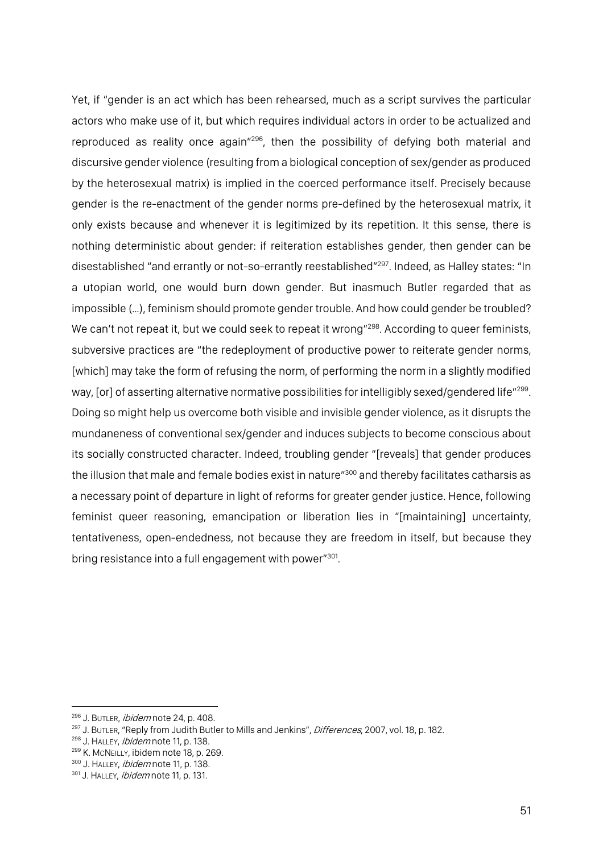Yet, if "gender is an act which has been rehearsed, much as a script survives the particular actors who make use of it, but which requires individual actors in order to be actualized and reproduced as reality once again"296, then the possibility of defying both material and discursive gender violence (resulting from a biological conception of sex/gender as produced by the heterosexual matrix) is implied in the coerced performance itself. Precisely because gender is the re-enactment of the gender norms pre-defined by the heterosexual matrix, it only exists because and whenever it is legitimized by its repetition. It this sense, there is nothing deterministic about gender: if reiteration establishes gender, then gender can be disestablished "and errantly or not-so-errantly reestablished"297. Indeed, as Halley states: "In a utopian world, one would burn down gender. But inasmuch Butler regarded that as impossible (…), feminism should promote gender trouble. And how could gender be troubled? We can't not repeat it, but we could seek to repeat it wrong"<sup>298</sup>. According to queer feminists, subversive practices are "the redeployment of productive power to reiterate gender norms, [which] may take the form of refusing the norm, of performing the norm in a slightly modified way, [or] of asserting alternative normative possibilities for intelligibly sexed/gendered life"<sup>299</sup>. Doing so might help us overcome both visible and invisible gender violence, as it disrupts the mundaneness of conventional sex/gender and induces subjects to become conscious about its socially constructed character. Indeed, troubling gender "[reveals] that gender produces the illusion that male and female bodies exist in nature"<sup>300</sup> and thereby facilitates catharsis as a necessary point of departure in light of reforms for greater gender justice. Hence, following feminist queer reasoning, emancipation or liberation lies in "[maintaining] uncertainty, tentativeness, open-endedness, not because they are freedom in itself, but because they bring resistance into a full engagement with power"301.

<sup>296</sup> J. BUTLER, *ibidem* note 24, p. 408.

<sup>&</sup>lt;sup>297</sup> J. BUTLER, "Reply from Judith Butler to Mills and Jenkins", *Differences*, 2007, vol. 18, p. 182.

<sup>&</sup>lt;sup>298</sup> J. HALLEY, *ibidem* note 11, p. 138.

<sup>299</sup> K. McNEILLY, ibidem note 18, p. 269.

<sup>300</sup> J. HALLEY, *ibidem* note 11, p. 138.

<sup>301</sup> J. HALLEY, *ibidem* note 11, p. 131.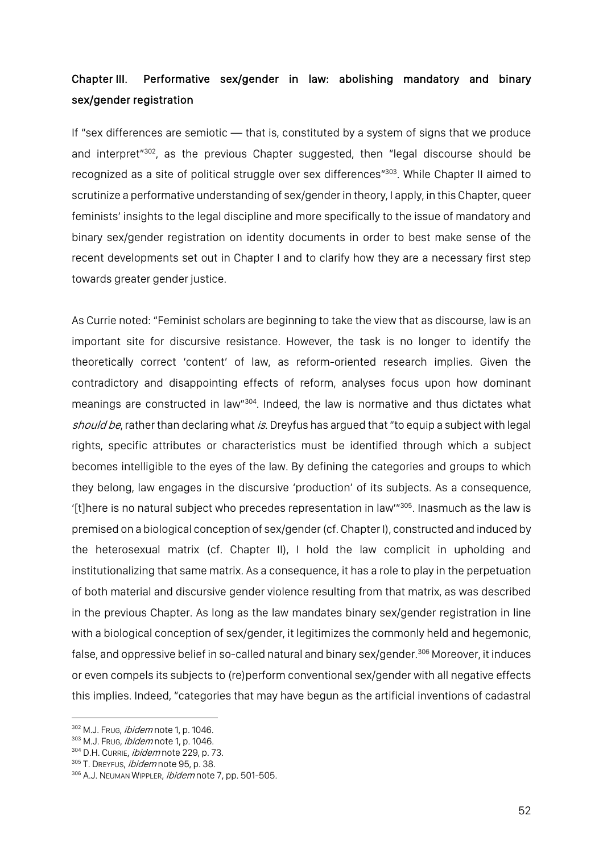# Chapter III. Performative sex/gender in law: abolishing mandatory and binary sex/gender registration

If "sex differences are semiotic — that is, constituted by a system of signs that we produce and interpret"302, as the previous Chapter suggested, then "legal discourse should be recognized as a site of political struggle over sex differences<sup>"303</sup>. While Chapter II aimed to scrutinize a performative understanding of sex/gender in theory, I apply, in this Chapter, queer feminists' insights to the legal discipline and more specifically to the issue of mandatory and binary sex/gender registration on identity documents in order to best make sense of the recent developments set out in Chapter I and to clarify how they are a necessary first step towards greater gender justice.

As Currie noted: "Feminist scholars are beginning to take the view that as discourse, law is an important site for discursive resistance. However, the task is no longer to identify the theoretically correct 'content' of law, as reform-oriented research implies. Given the contradictory and disappointing effects of reform, analyses focus upon how dominant meanings are constructed in law"304. Indeed, the law is normative and thus dictates what should be, rather than declaring what is. Dreyfus has argued that "to equip a subject with legal rights, specific attributes or characteristics must be identified through which a subject becomes intelligible to the eyes of the law. By defining the categories and groups to which they belong, law engages in the discursive 'production' of its subjects. As a consequence, '[t]here is no natural subject who precedes representation in law'"305. Inasmuch as the law is premised on a biological conception of sex/gender (cf. Chapter I), constructed and induced by the heterosexual matrix (cf. Chapter II), I hold the law complicit in upholding and institutionalizing that same matrix. As a consequence, it has a role to play in the perpetuation of both material and discursive gender violence resulting from that matrix, as was described in the previous Chapter. As long as the law mandates binary sex/gender registration in line with a biological conception of sex/gender, it legitimizes the commonly held and hegemonic, false, and oppressive belief in so-called natural and binary sex/gender.<sup>306</sup> Moreover, it induces or even compels its subjects to (re)perform conventional sex/gender with all negative effects this implies. Indeed, "categories that may have begun as the artificial inventions of cadastral

<sup>302</sup> M.J. Frug, *ibidem* note 1, p. 1046.

<sup>303</sup> M.J. Frug, *ibidem* note 1, p. 1046.

<sup>304</sup> D.H. CURRIE, *ibidem* note 229, p. 73.

<sup>305</sup> T. DREYFUS, *ibidem* note 95, p. 38.

<sup>306</sup> A.J. NEUMAN WIPPLER, *ibidem* note 7, pp. 501-505.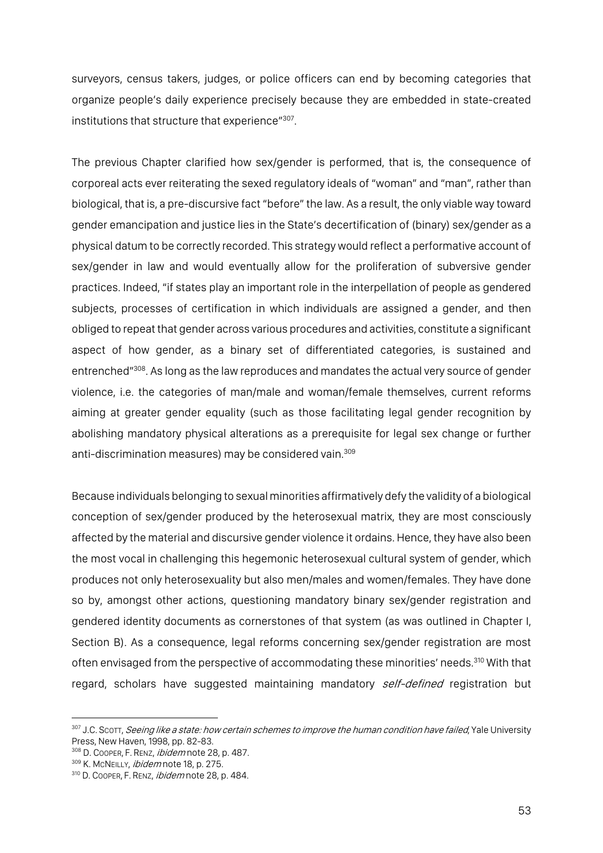surveyors, census takers, judges, or police officers can end by becoming categories that organize people's daily experience precisely because they are embedded in state-created institutions that structure that experience"307.

The previous Chapter clarified how sex/gender is performed, that is, the consequence of corporeal acts ever reiterating the sexed regulatory ideals of "woman" and "man", rather than biological, that is, a pre-discursive fact "before" the law. As a result, the only viable way toward gender emancipation and justice lies in the State's decertification of (binary) sex/gender as a physical datum to be correctly recorded. This strategy would reflect a performative account of sex/gender in law and would eventually allow for the proliferation of subversive gender practices. Indeed, "if states play an important role in the interpellation of people as gendered subjects, processes of certification in which individuals are assigned a gender, and then obliged to repeat that gender across various procedures and activities, constitute a significant aspect of how gender, as a binary set of differentiated categories, is sustained and entrenched"308. As long as the law reproduces and mandates the actual very source of gender violence, i.e. the categories of man/male and woman/female themselves, current reforms aiming at greater gender equality (such as those facilitating legal gender recognition by abolishing mandatory physical alterations as a prerequisite for legal sex change or further anti-discrimination measures) may be considered vain. 309

Because individuals belonging to sexual minorities affirmatively defy the validity of a biological conception of sex/gender produced by the heterosexual matrix, they are most consciously affected by the material and discursive gender violence it ordains. Hence, they have also been the most vocal in challenging this hegemonic heterosexual cultural system of gender, which produces not only heterosexuality but also men/males and women/females. They have done so by, amongst other actions, questioning mandatory binary sex/gender registration and gendered identity documents as cornerstones of that system (as was outlined in Chapter I, Section B). As a consequence, legal reforms concerning sex/gender registration are most often envisaged from the perspective of accommodating these minorities' needs.<sup>310</sup> With that regard, scholars have suggested maintaining mandatory self-defined registration but

<sup>307</sup> J.C. Scott, Seeing like a state: how certain schemes to improve the human condition have failed, Yale University Press, New Haven, 1998, pp. 82-83.

<sup>308</sup> D. COOPER, F. RENZ, *ibidem* note 28, p. 487.

<sup>309</sup> K. MCNEILLY, ibidem note 18, p. 275.

<sup>310</sup> D. COOPER, F. RENZ, ibidem note 28, p. 484.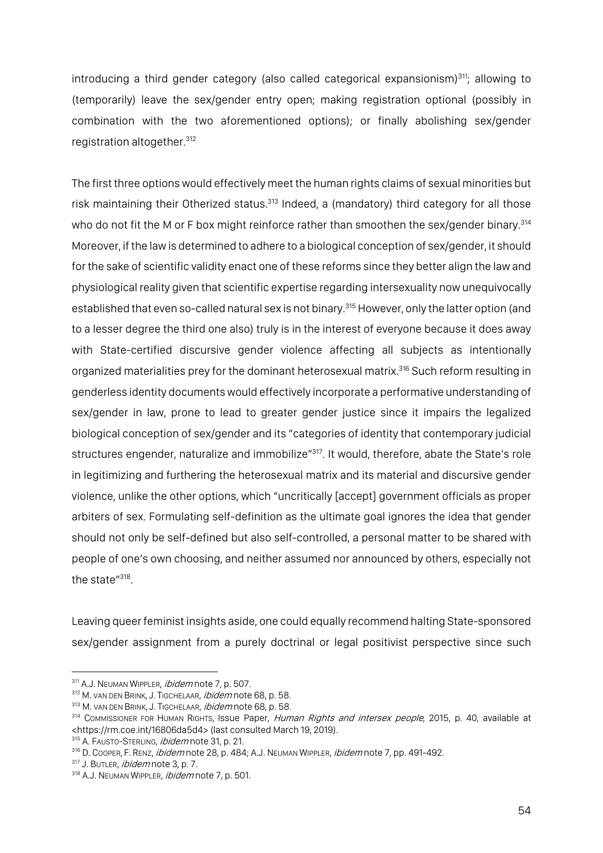introducing a third gender category (also called categorical expansionism)<sup>311</sup>; allowing to (temporarily) leave the sex/gender entry open; making registration optional (possibly in combination with the two aforementioned options); or finally abolishing sex/gender registration altogether.312

The first three options would effectively meet the human rights claims of sexual minorities but risk maintaining their Otherized status.<sup>313</sup> Indeed, a (mandatory) third category for all those who do not fit the M or F box might reinforce rather than smoothen the sex/gender binary.<sup>314</sup> Moreover, if the law is determined to adhere to a biological conception of sex/gender, it should for the sake of scientific validity enact one of these reforms since they better align the law and physiological reality given that scientific expertise regarding intersexuality now unequivocally established that even so-called natural sex is not binary.<sup>315</sup> However, only the latter option (and to a lesser degree the third one also) truly is in the interest of everyone because it does away with State-certified discursive gender violence affecting all subjects as intentionally organized materialities prey for the dominant heterosexual matrix.<sup>316</sup> Such reform resulting in genderless identity documents would effectively incorporate a performative understanding of sex/gender in law, prone to lead to greater gender justice since it impairs the legalized biological conception of sex/gender and its "categories of identity that contemporary judicial structures engender, naturalize and immobilize"<sup>317</sup>. It would, therefore, abate the State's role in legitimizing and furthering the heterosexual matrix and its material and discursive gender violence, unlike the other options, which "uncritically [accept] government officials as proper arbiters of sex. Formulating self-definition as the ultimate goal ignores the idea that gender should not only be self-defined but also self-controlled, a personal matter to be shared with people of one's own choosing, and neither assumed nor announced by others, especially not the state"<sup>318</sup>.

Leaving queer feminist insights aside, one could equally recommend halting State-sponsored sex/gender assignment from a purely doctrinal or legal positivist perspective since such

<sup>311</sup> A.J. NEUMAN WIPPLER, *ibidem* note 7, p. 507.

<sup>312</sup> M. VAN DEN BRINK, J. TIGCHELAAR, *ibidem* note 68, p. 58.

<sup>313</sup> M. VAN DEN BRINK, J. TIGCHELAAR, ibidem note 68, p. 58.

<sup>&</sup>lt;sup>314</sup> COMMISSIONER FOR HUMAN RIGHTS, ISSUE Paper, Human Rights and intersex people, 2015, p. 40, available at <https://rm.coe.int/16806da5d4> (last consulted March 19, 2019).

<sup>&</sup>lt;sup>315</sup> A. FAUSTO-STERLING, *ibidem* note 31, p. 21.

<sup>316</sup> D. COOPER, F. RENZ, *ibidem* note 28, p. 484; A.J. NEUMAN WIPPLER, *ibidem* note 7, pp. 491-492.

<sup>317</sup> J. BUTLER, *ibidem* note 3, p. 7.

<sup>318</sup> A.J. NEUMAN WIPPLER, *ibidem* note 7, p. 501.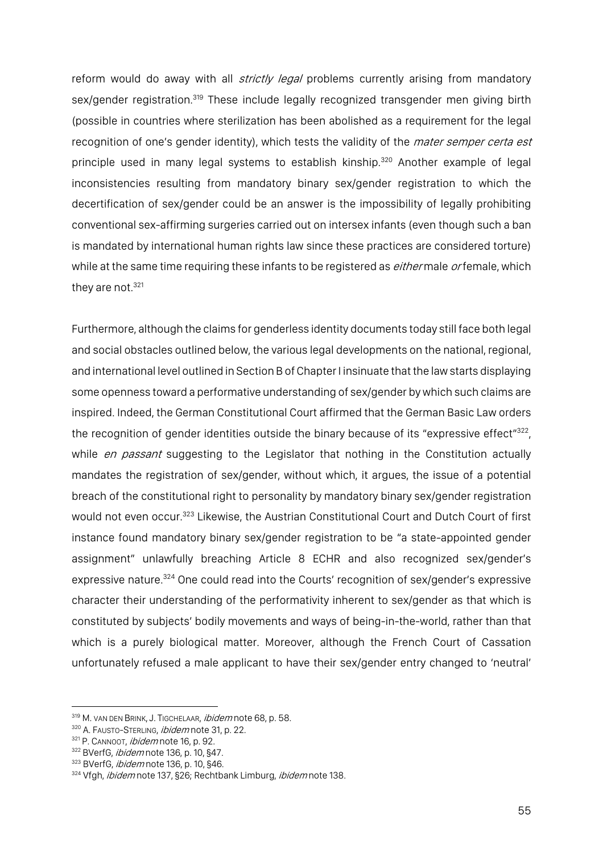reform would do away with all *strictly legal* problems currently arising from mandatory sex/gender registration.<sup>319</sup> These include legally recognized transgender men giving birth (possible in countries where sterilization has been abolished as a requirement for the legal recognition of one's gender identity), which tests the validity of the *mater semper certa est* principle used in many legal systems to establish kinship.<sup>320</sup> Another example of legal inconsistencies resulting from mandatory binary sex/gender registration to which the decertification of sex/gender could be an answer is the impossibility of legally prohibiting conventional sex-affirming surgeries carried out on intersex infants (even though such a ban is mandated by international human rights law since these practices are considered torture) while at the same time requiring these infants to be registered as *either* male *or* female, which they are not.<sup>321</sup>

Furthermore, although the claims for genderless identity documents today still face both legal and social obstacles outlined below, the various legal developments on the national, regional, and international level outlined in Section B of Chapter I insinuate that the law starts displaying some openness toward a performative understanding of sex/gender by which such claims are inspired. Indeed, the German Constitutional Court affirmed that the German Basic Law orders the recognition of gender identities outside the binary because of its "expressive effect"<sup>322</sup>, while en passant suggesting to the Legislator that nothing in the Constitution actually mandates the registration of sex/gender, without which, it argues, the issue of a potential breach of the constitutional right to personality by mandatory binary sex/gender registration would not even occur.323 Likewise, the Austrian Constitutional Court and Dutch Court of first instance found mandatory binary sex/gender registration to be "a state-appointed gender assignment" unlawfully breaching Article 8 ECHR and also recognized sex/gender's expressive nature.<sup>324</sup> One could read into the Courts' recognition of sex/gender's expressive character their understanding of the performativity inherent to sex/gender as that which is constituted by subjects' bodily movements and ways of being-in-the-world, rather than that which is a purely biological matter. Moreover, although the French Court of Cassation unfortunately refused a male applicant to have their sex/gender entry changed to 'neutral'

<sup>319</sup> M. VAN DEN BRINK, J. TIGCHELAAR, *ibidem* note 68, p. 58.

<sup>320</sup> A. FAUSTO-STERLING, *ibidem* note 31, p. 22.

<sup>321</sup> P. CANNOOT, *ibidem* note 16, p. 92.

<sup>322</sup> BVerfG, *ibidem* note 136, p. 10, §47.

<sup>323</sup> BVerfG, *ibidem* note 136, p. 10, §46.

<sup>324</sup> Vfgh, *ibidem* note 137, §26; Rechtbank Limburg, *ibidem* note 138.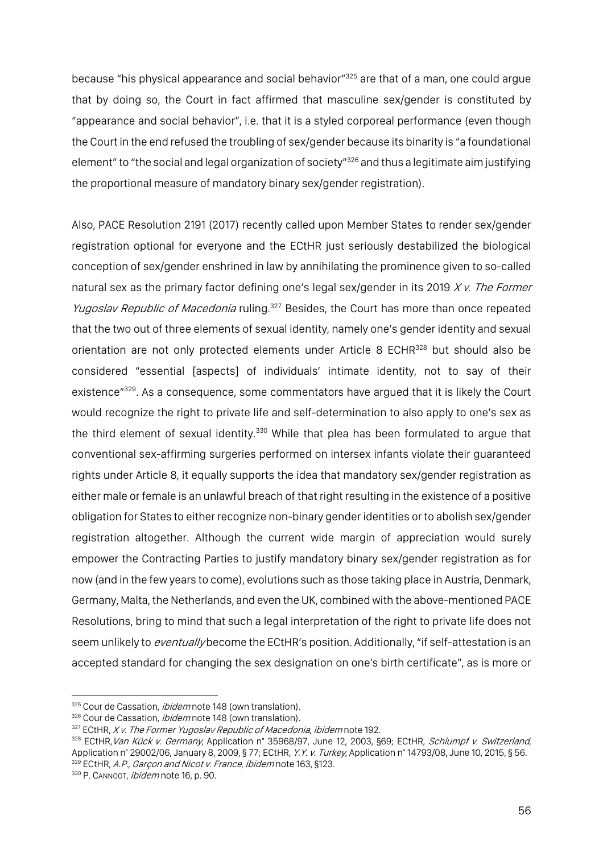because "his physical appearance and social behavior"<sup>325</sup> are that of a man, one could argue that by doing so, the Court in fact affirmed that masculine sex/gender is constituted by "appearance and social behavior", i.e. that it is a styled corporeal performance (even though the Court in the end refused the troubling of sex/gender because its binarity is "a foundational element" to "the social and legal organization of society"<sup>326</sup> and thus a legitimate aim justifying the proportional measure of mandatory binary sex/gender registration).

Also, PACE Resolution 2191 (2017) recently called upon Member States to render sex/gender registration optional for everyone and the ECtHR just seriously destabilized the biological conception of sex/gender enshrined in law by annihilating the prominence given to so-called natural sex as the primary factor defining one's legal sex/gender in its 2019  $Xv$ . The Former Yugoslav Republic of Macedonia ruling.<sup>327</sup> Besides, the Court has more than once repeated that the two out of three elements of sexual identity, namely one's gender identity and sexual orientation are not only protected elements under Article 8 ECHR<sup>328</sup> but should also be considered "essential [aspects] of individuals' intimate identity, not to say of their existence"<sup>329</sup>. As a consequence, some commentators have argued that it is likely the Court would recognize the right to private life and self-determination to also apply to one's sex as the third element of sexual identity.<sup>330</sup> While that plea has been formulated to argue that conventional sex-affirming surgeries performed on intersex infants violate their guaranteed rights under Article 8, it equally supports the idea that mandatory sex/gender registration as either male or female is an unlawful breach of that right resulting in the existence of a positive obligation for States to either recognize non-binary gender identities or to abolish sex/gender registration altogether. Although the current wide margin of appreciation would surely empower the Contracting Parties to justify mandatory binary sex/gender registration as for now (and in the few years to come), evolutions such as those taking place in Austria, Denmark, Germany, Malta, the Netherlands, and even the UK, combined with the above-mentioned PACE Resolutions, bring to mind that such a legal interpretation of the right to private life does not seem unlikely to *eventually* become the ECtHR's position. Additionally, "if self-attestation is an accepted standard for changing the sex designation on one's birth certificate", as is more or

<sup>325</sup> Cour de Cassation, *ibidem* note 148 (own translation).

<sup>326</sup> Cour de Cassation, *ibidem* note 148 (own translation).

 $327$  ECtHR, X v. The Former Yugoslav Republic of Macedonia, ibidem note 192.

<sup>328</sup> ECtHR, Van Kück v. Germany, Application n° 35968/97, June 12, 2003, §69; ECtHR, Schlumpf v. Switzerland, Application n° 29002/06, January 8, 2009, § 77; ECtHR, Y.Y. v. Turkey, Application n° 14793/08, June 10, 2015, § 56. 329 ECtHR, A.P., Garçon and Nicot v. France, ibidem note 163, §123.

<sup>330</sup> P. CANNOOT, *ibidem* note 16, p. 90.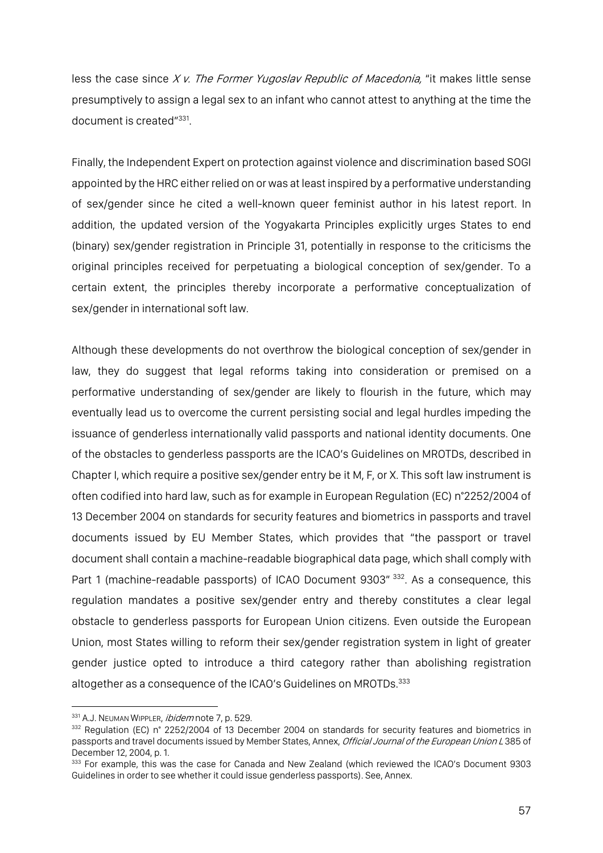less the case since  $Xv$ . The Former Yugoslav Republic of Macedonia, "it makes little sense presumptively to assign a legal sex to an infant who cannot attest to anything at the time the document is created"331.

Finally, the Independent Expert on protection against violence and discrimination based SOGI appointed by the HRC either relied on or was at least inspired by a performative understanding of sex/gender since he cited a well-known queer feminist author in his latest report. In addition, the updated version of the Yogyakarta Principles explicitly urges States to end (binary) sex/gender registration in Principle 31, potentially in response to the criticisms the original principles received for perpetuating a biological conception of sex/gender. To a certain extent, the principles thereby incorporate a performative conceptualization of sex/gender in international soft law.

Although these developments do not overthrow the biological conception of sex/gender in law, they do suggest that legal reforms taking into consideration or premised on a performative understanding of sex/gender are likely to flourish in the future, which may eventually lead us to overcome the current persisting social and legal hurdles impeding the issuance of genderless internationally valid passports and national identity documents. One of the obstacles to genderless passports are the ICAO's Guidelines on MROTDs, described in Chapter I, which require a positive sex/gender entry be it M, F, or X. This soft law instrument is often codified into hard law, such as for example in European Regulation (EC) n°2252/2004 of 13 December 2004 on standards for security features and biometrics in passports and travel documents issued by EU Member States, which provides that "the passport or travel document shall contain a machine-readable biographical data page, which shall comply with Part 1 (machine-readable passports) of ICAO Document 9303" 332. As a consequence, this regulation mandates a positive sex/gender entry and thereby constitutes a clear legal obstacle to genderless passports for European Union citizens. Even outside the European Union, most States willing to reform their sex/gender registration system in light of greater gender justice opted to introduce a third category rather than abolishing registration altogether as a consequence of the ICAO's Guidelines on MROTDs. 333

<sup>331</sup> A.J. NEUMAN WIPPLER, *ibidem* note 7, p. 529.

<sup>&</sup>lt;sup>332</sup> Regulation (EC) n° 2252/2004 of 13 December 2004 on standards for security features and biometrics in passports and travel documents issued by Member States, Annex, *Official Journal of the European Union L* 385 of December 12, 2004, p. 1.

<sup>&</sup>lt;sup>333</sup> For example, this was the case for Canada and New Zealand (which reviewed the ICAO's Document 9303 Guidelines in order to see whether it could issue genderless passports). See, Annex.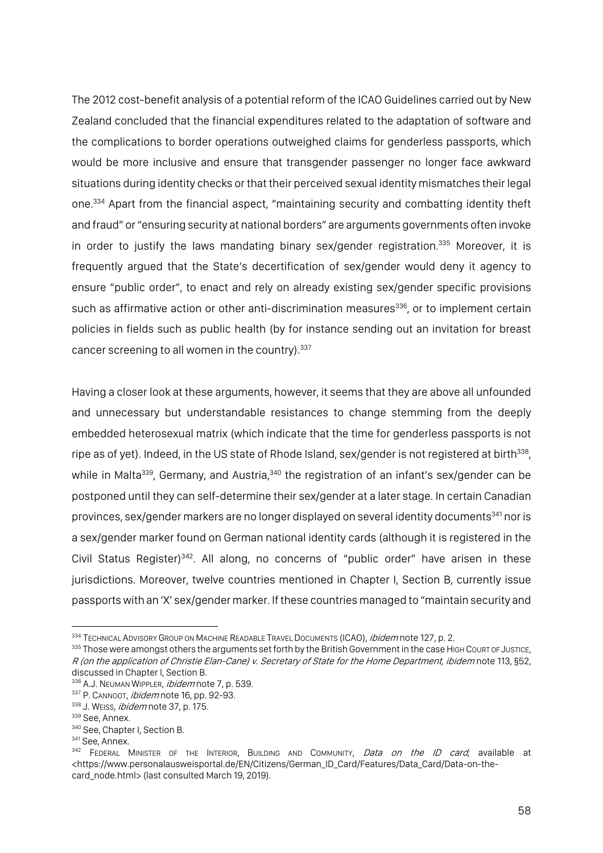The 2012 cost-benefit analysis of a potential reform of the ICAO Guidelines carried out by New Zealand concluded that the financial expenditures related to the adaptation of software and the complications to border operations outweighed claims for genderless passports, which would be more inclusive and ensure that transgender passenger no longer face awkward situations during identity checks or that their perceived sexual identity mismatches their legal one.334 Apart from the financial aspect, "maintaining security and combatting identity theft and fraud" or "ensuring security at national borders" are arguments governments often invoke in order to justify the laws mandating binary sex/gender registration.<sup>335</sup> Moreover, it is frequently argued that the State's decertification of sex/gender would deny it agency to ensure "public order", to enact and rely on already existing sex/gender specific provisions such as affirmative action or other anti-discrimination measures<sup>336</sup>, or to implement certain policies in fields such as public health (by for instance sending out an invitation for breast cancer screening to all women in the country). 337

Having a closer look at these arguments, however, it seems that they are above all unfounded and unnecessary but understandable resistances to change stemming from the deeply embedded heterosexual matrix (which indicate that the time for genderless passports is not ripe as of yet). Indeed, in the US state of Rhode Island, sex/gender is not registered at birth<sup>338</sup>. while in Malta<sup>339</sup>, Germany, and Austria,<sup>340</sup> the registration of an infant's sex/gender can be postponed until they can self-determine their sex/gender at a later stage. In certain Canadian provinces, sex/gender markers are no longer displayed on several identity documents<sup>341</sup> nor is a sex/gender marker found on German national identity cards (although it is registered in the Civil Status Register)<sup>342</sup>. All along, no concerns of "public order" have arisen in these jurisdictions. Moreover, twelve countries mentioned in Chapter I, Section B, currently issue passports with an 'X' sex/gender marker. If these countries managed to "maintain security and

<sup>334</sup> TECHNICAL ADVISORY GROUP ON MACHINE READABLE TRAVEL DOCUMENTS (ICAO), *ibidem* note 127, p. 2.

<sup>335</sup> Those were amongst others the arguments set forth by the British Government in the case HIGH COURT OF JUSTICE. R (on the application of Christie Elan-Cane) v. Secretary of State for the Home Department, ibidem note 113, §52, discussed in Chapter I, Section B.

<sup>336</sup> A.J. NEUMAN WIPPLER, *ibidem* note 7, p. 539.

<sup>337</sup> P. CANNOOT, ibidem note 16, pp. 92-93.

<sup>338</sup> J. WEISS, ibidem note 37, p. 175.

<sup>&</sup>lt;sup>339</sup> See, Annex.

<sup>&</sup>lt;sup>340</sup> See, Chapter I, Section B.<br><sup>341</sup> See, Annex.

<sup>&</sup>lt;sup>342</sup> FEDERAL MINISTER OF THE INTERIOR, BUILDING AND COMMUNITY, *Data on the ID card*, available at <https://www.personalausweisportal.de/EN/Citizens/German\_ID\_Card/Features/Data\_Card/Data-on-thecard\_node.html> (last consulted March 19, 2019).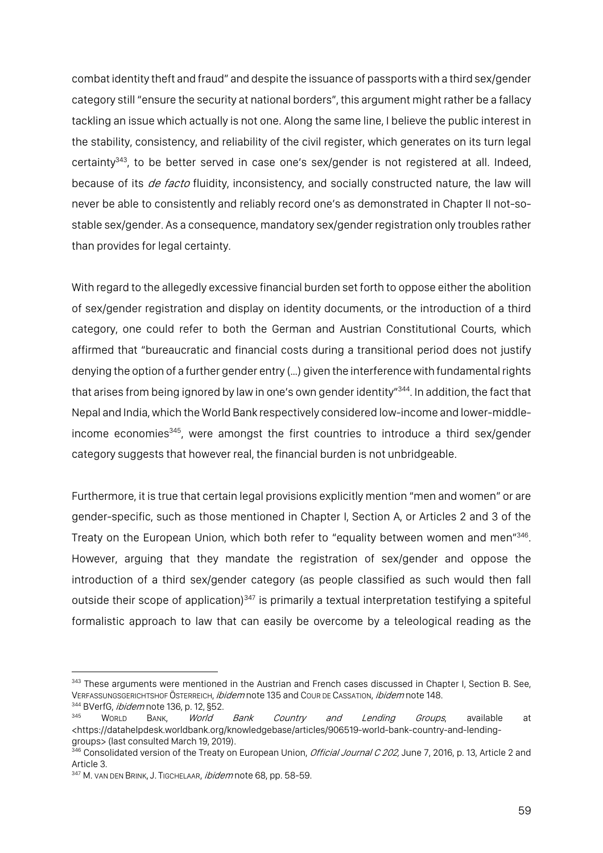combat identity theft and fraud" and despite the issuance of passports with a third sex/gender category still "ensure the security at national borders", this argument might rather be a fallacy tackling an issue which actually is not one. Along the same line, I believe the public interest in the stability, consistency, and reliability of the civil register, which generates on its turn legal certainty343, to be better served in case one's sex/gender is not registered at all. Indeed, because of its *de facto* fluidity, inconsistency, and socially constructed nature, the law will never be able to consistently and reliably record one's as demonstrated in Chapter II not-sostable sex/gender. As a consequence, mandatory sex/gender registration only troubles rather than provides for legal certainty.

With regard to the allegedly excessive financial burden set forth to oppose either the abolition of sex/gender registration and display on identity documents, or the introduction of a third category, one could refer to both the German and Austrian Constitutional Courts, which affirmed that "bureaucratic and financial costs during a transitional period does not justify denying the option of a further gender entry (…) given the interference with fundamental rights that arises from being ignored by law in one's own gender identity"<sup>344</sup>. In addition, the fact that Nepal and India, which the World Bank respectively considered low-income and lower-middleincome economies<sup>345</sup>, were amongst the first countries to introduce a third sex/gender category suggests that however real, the financial burden is not unbridgeable.

Furthermore, it is true that certain legal provisions explicitly mention "men and women" or are gender-specific, such as those mentioned in Chapter I, Section A, or Articles 2 and 3 of the Treaty on the European Union, which both refer to "equality between women and men"346. However, arguing that they mandate the registration of sex/gender and oppose the introduction of a third sex/gender category (as people classified as such would then fall outside their scope of application)<sup>347</sup> is primarily a textual interpretation testifying a spiteful formalistic approach to law that can easily be overcome by a teleological reading as the

<sup>343</sup> These arguments were mentioned in the Austrian and French cases discussed in Chapter I, Section B. See, VERFASSUNGSGERICHTSHOF ÖSTERREICH, *ibidem* note 135 and Cour DE CASSATION, *ibidem* note 148.

 $344$  BVerfG, *ibidem* note 136, p. 12, §52.<br> $345$  WORLD BANK. *World* 

<sup>&</sup>lt;sup>345</sup> World Bank, *World Bank Country and Lending Groups*, available at <https://datahelpdesk.worldbank.org/knowledgebase/articles/906519-world-bank-country-and-lendinggroups> (last consulted March 19, 2019).

<sup>&</sup>lt;sup>346</sup> Consolidated version of the Treaty on European Union, *Official Journal C 202,* June 7, 2016, p. 13, Article 2 and Article 3.

<sup>347</sup> M. VAN DEN BRINK, J. TIGCHELAAR, ibidem note 68, pp. 58-59.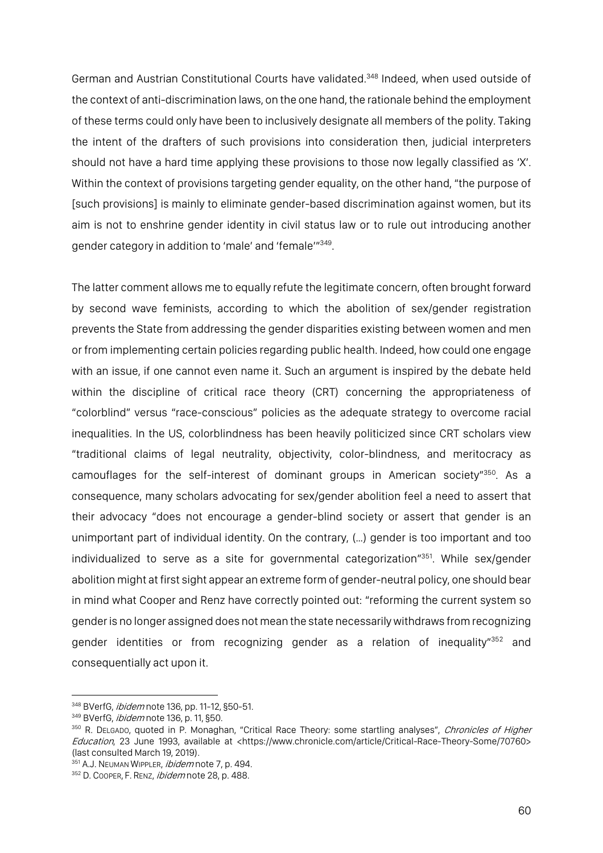German and Austrian Constitutional Courts have validated.<sup>348</sup> Indeed, when used outside of the context of anti-discrimination laws, on the one hand, the rationale behind the employment of these terms could only have been to inclusively designate all members of the polity. Taking the intent of the drafters of such provisions into consideration then, judicial interpreters should not have a hard time applying these provisions to those now legally classified as 'X'. Within the context of provisions targeting gender equality, on the other hand, "the purpose of [such provisions] is mainly to eliminate gender-based discrimination against women, but its aim is not to enshrine gender identity in civil status law or to rule out introducing another gender category in addition to 'male' and 'female'"349.

The latter comment allows me to equally refute the legitimate concern, often brought forward by second wave feminists, according to which the abolition of sex/gender registration prevents the State from addressing the gender disparities existing between women and men or from implementing certain policies regarding public health. Indeed, how could one engage with an issue, if one cannot even name it. Such an argument is inspired by the debate held within the discipline of critical race theory (CRT) concerning the appropriateness of "colorblind" versus "race-conscious" policies as the adequate strategy to overcome racial inequalities. In the US, colorblindness has been heavily politicized since CRT scholars view "traditional claims of legal neutrality, objectivity, color-blindness, and meritocracy as camouflages for the self-interest of dominant groups in American society"350. As a consequence, many scholars advocating for sex/gender abolition feel a need to assert that their advocacy "does not encourage a gender-blind society or assert that gender is an unimportant part of individual identity. On the contrary, (…) gender is too important and too individualized to serve as a site for governmental categorization"<sup>351</sup>. While sex/gender abolition might at first sight appear an extreme form of gender-neutral policy, one should bear in mind what Cooper and Renz have correctly pointed out: "reforming the current system so gender is no longer assigned does not mean the state necessarily withdraws from recognizing gender identities or from recognizing gender as a relation of inequality<sup>"352</sup> and consequentially act upon it.

<sup>348</sup> BVerfG, *ibidem* note 136, pp. 11-12, §50-51.

<sup>349</sup> BVerfG, *ibidem* note 136, p. 11, §50.

<sup>&</sup>lt;sup>350</sup> R. DELGADO, quoted in P. Monaghan, "Critical Race Theory: some startling analyses", Chronicles of Higher Education, 23 June 1993, available at <https://www.chronicle.com/article/Critical-Race-Theory-Some/70760> (last consulted March 19, 2019).

<sup>351</sup> A.J. NEUMAN WIPPLER, *ibidem* note 7, p. 494.

<sup>352</sup> D. COOPER, F. RENZ, ibidemnote 28, p. 488.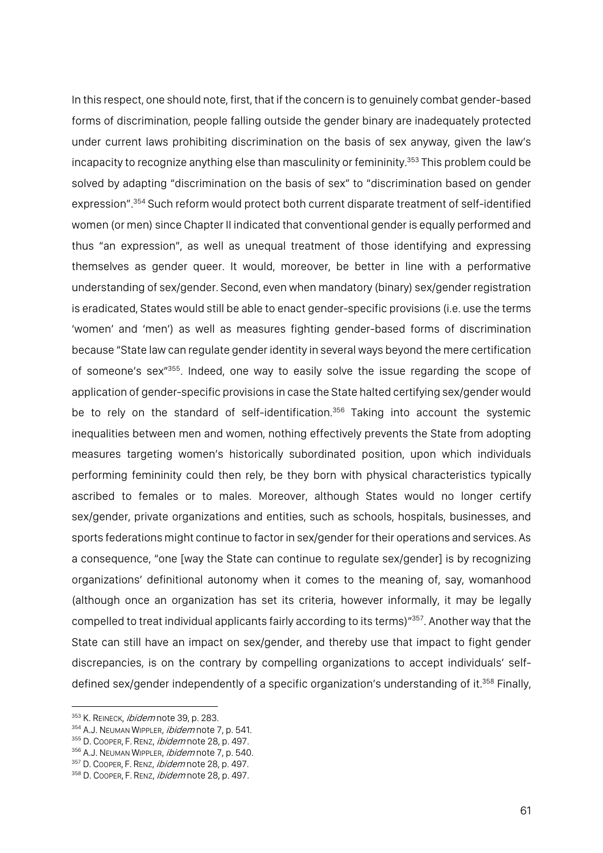In this respect, one should note, first, that if the concern is to genuinely combat gender-based forms of discrimination, people falling outside the gender binary are inadequately protected under current laws prohibiting discrimination on the basis of sex anyway, given the law's incapacity to recognize anything else than masculinity or femininity.<sup>353</sup> This problem could be solved by adapting "discrimination on the basis of sex" to "discrimination based on gender expression". <sup>354</sup> Such reform would protect both current disparate treatment of self-identified women (or men) since Chapter II indicated that conventional gender is equally performed and thus "an expression", as well as unequal treatment of those identifying and expressing themselves as gender queer. It would, moreover, be better in line with a performative understanding of sex/gender. Second, even when mandatory (binary) sex/gender registration is eradicated, States would still be able to enact gender-specific provisions (i.e. use the terms 'women' and 'men') as well as measures fighting gender-based forms of discrimination because "State law can regulate gender identity in several ways beyond the mere certification of someone's sex"355. Indeed, one way to easily solve the issue regarding the scope of application of gender-specific provisions in case the State halted certifying sex/gender would be to rely on the standard of self-identification.<sup>356</sup> Taking into account the systemic inequalities between men and women, nothing effectively prevents the State from adopting measures targeting women's historically subordinated position, upon which individuals performing femininity could then rely, be they born with physical characteristics typically ascribed to females or to males. Moreover, although States would no longer certify sex/gender, private organizations and entities, such as schools, hospitals, businesses, and sports federations might continue to factor in sex/gender for their operations and services. As a consequence, "one [way the State can continue to regulate sex/gender] is by recognizing organizations' definitional autonomy when it comes to the meaning of, say, womanhood (although once an organization has set its criteria, however informally, it may be legally compelled to treat individual applicants fairly according to its terms)"357. Another way that the State can still have an impact on sex/gender, and thereby use that impact to fight gender discrepancies, is on the contrary by compelling organizations to accept individuals' selfdefined sex/gender independently of a specific organization's understanding of it.<sup>358</sup> Finally,

<sup>353</sup> K. REINECK, *ibidem* note 39, p. 283.

<sup>354</sup> A.J. NEUMAN WIPPLER, *ibidem* note 7, p. 541.

<sup>355</sup> D. COOPER, F. RENZ, *ibidem* note 28, p. 497.

<sup>356</sup> A.J. NEUMAN WIPPLER, *ibidem* note 7, p. 540.

<sup>357</sup> D. COOPER, F. RENZ, ibidem note 28, p. 497.

<sup>358</sup> D. COOPER, F. RENZ, ibidem note 28, p. 497.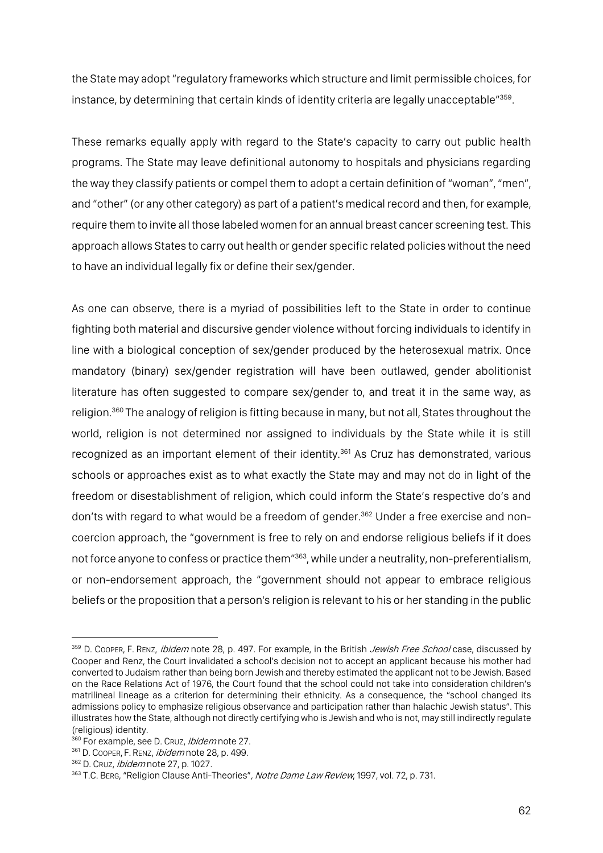the State may adopt "regulatory frameworks which structure and limit permissible choices, for instance, by determining that certain kinds of identity criteria are legally unacceptable"<sup>359</sup>.

These remarks equally apply with regard to the State's capacity to carry out public health programs. The State may leave definitional autonomy to hospitals and physicians regarding the way they classify patients or compel them to adopt a certain definition of "woman", "men", and "other" (or any other category) as part of a patient's medical record and then, for example, require them to invite all those labeled women for an annual breast cancer screening test. This approach allows States to carry out health or gender specific related policies without the need to have an individual legally fix or define their sex/gender.

As one can observe, there is a myriad of possibilities left to the State in order to continue fighting both material and discursive gender violence without forcing individuals to identify in line with a biological conception of sex/gender produced by the heterosexual matrix. Once mandatory (binary) sex/gender registration will have been outlawed, gender abolitionist literature has often suggested to compare sex/gender to, and treat it in the same way, as religion.<sup>360</sup> The analogy of religion is fitting because in many, but not all, States throughout the world, religion is not determined nor assigned to individuals by the State while it is still recognized as an important element of their identity.<sup>361</sup> As Cruz has demonstrated, various schools or approaches exist as to what exactly the State may and may not do in light of the freedom or disestablishment of religion, which could inform the State's respective do's and don'ts with regard to what would be a freedom of gender.<sup>362</sup> Under a free exercise and noncoercion approach, the "government is free to rely on and endorse religious beliefs if it does not force anyone to confess or practice them"363, while under a neutrality, non-preferentialism, or non-endorsement approach, the "government should not appear to embrace religious beliefs or the proposition that a person's religion is relevant to his or her standing in the public

<sup>&</sup>lt;sup>359</sup> D. COOPER, F. RENZ, *ibidem* note 28, p. 497. For example, in the British *Jewish Free School* case, discussed by Cooper and Renz, the Court invalidated a school's decision not to accept an applicant because his mother had converted to Judaism rather than being born Jewish and thereby estimated the applicant not to be Jewish. Based on the Race Relations Act of 1976, the Court found that the school could not take into consideration children's matrilineal lineage as a criterion for determining their ethnicity. As a consequence, the "school changed its admissions policy to emphasize religious observance and participation rather than halachic Jewish status". This illustrates how the State, although not directly certifying who is Jewish and who is not, may still indirectly regulate (religious) identity.

<sup>360</sup> For example, see D. CRUZ, *ibidem* note 27.

<sup>361</sup> D. COOPER, F. RENZ, ibidem note 28, p. 499.

<sup>362</sup> D. CRUZ, *ibidem* note 27, p. 1027.

<sup>363</sup> T.C. BERG, "Religion Clause Anti-Theories", Notre Dame Law Review, 1997, vol. 72, p. 731.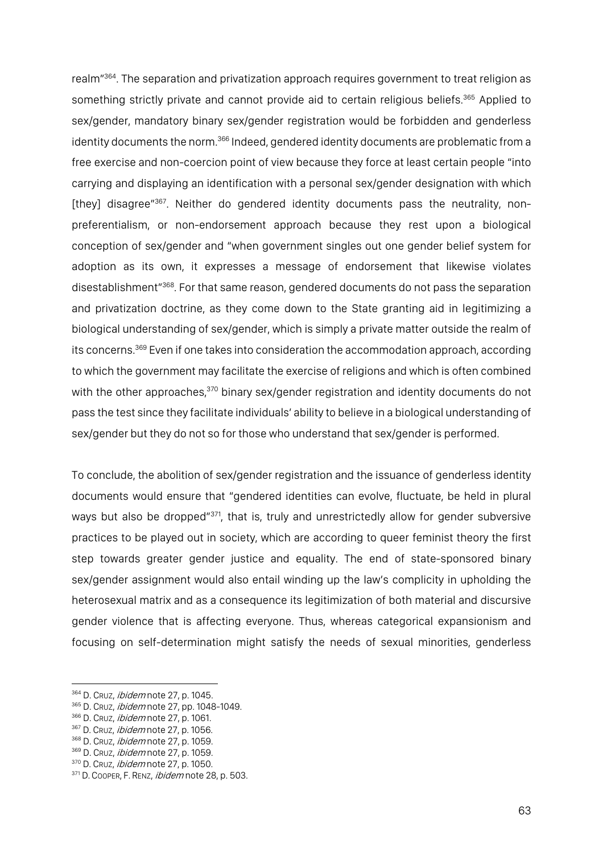realm<sup>"364</sup>. The separation and privatization approach requires government to treat religion as something strictly private and cannot provide aid to certain religious beliefs.<sup>365</sup> Applied to sex/gender, mandatory binary sex/gender registration would be forbidden and genderless identity documents the norm.<sup>366</sup> Indeed, gendered identity documents are problematic from a free exercise and non-coercion point of view because they force at least certain people "into carrying and displaying an identification with a personal sex/gender designation with which [they] disagree"<sup>367</sup>. Neither do gendered identity documents pass the neutrality, nonpreferentialism, or non-endorsement approach because they rest upon a biological conception of sex/gender and "when government singles out one gender belief system for adoption as its own, it expresses a message of endorsement that likewise violates disestablishment"368. For that same reason, gendered documents do not pass the separation and privatization doctrine, as they come down to the State granting aid in legitimizing a biological understanding of sex/gender, which is simply a private matter outside the realm of its concerns.<sup>369</sup> Even if one takes into consideration the accommodation approach, according to which the government may facilitate the exercise of religions and which is often combined with the other approaches,<sup>370</sup> binary sex/gender registration and identity documents do not pass the test since they facilitate individuals' ability to believe in a biological understanding of sex/gender but they do not so for those who understand that sex/gender is performed.

To conclude, the abolition of sex/gender registration and the issuance of genderless identity documents would ensure that "gendered identities can evolve, fluctuate, be held in plural ways but also be dropped<sup>"371</sup>, that is, truly and unrestrictedly allow for gender subversive practices to be played out in society, which are according to queer feminist theory the first step towards greater gender justice and equality. The end of state-sponsored binary sex/gender assignment would also entail winding up the law's complicity in upholding the heterosexual matrix and as a consequence its legitimization of both material and discursive gender violence that is affecting everyone. Thus, whereas categorical expansionism and focusing on self-determination might satisfy the needs of sexual minorities, genderless

<sup>364</sup> D. CRUZ, *ibidem* note 27, p. 1045.

<sup>365</sup> D. CRUZ, *ibidem* note 27, pp. 1048-1049.

<sup>366</sup> D. Cruz, *ibidem* note 27, p. 1061.

<sup>367</sup> D. CRUZ, *ibidem* note 27, p. 1056.

<sup>368</sup> D. Cruz, *ibidem* note 27, p. 1059.

<sup>369</sup> D. Cruz, *ibidem* note 27, p. 1059.

<sup>370</sup> D. Cruz, *ibidem* note 27, p. 1050.

<sup>371</sup> D. COOPER, F. RENZ, ibidem note 28, p. 503.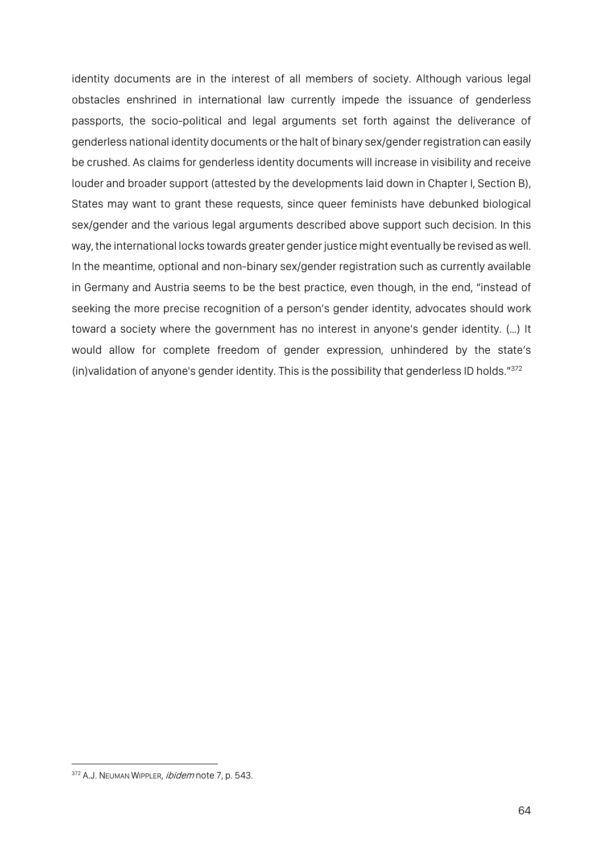identity documents are in the interest of all members of society. Although various legal obstacles enshrined in international law currently impede the issuance of genderless passports, the socio-political and legal arguments set forth against the deliverance of genderless national identity documents or the halt of binary sex/gender registration can easily be crushed. As claims for genderless identity documents will increase in visibility and receive louder and broader support (attested by the developments laid down in Chapter I, Section B), States may want to grant these requests, since queer feminists have debunked biological sex/gender and the various legal arguments described above support such decision. In this way, the international locks towards greater gender justice might eventually be revised as well. In the meantime, optional and non-binary sex/gender registration such as currently available in Germany and Austria seems to be the best practice, even though, in the end, "instead of seeking the more precise recognition of a person's gender identity, advocates should work toward a society where the government has no interest in anyone's gender identity. (…) It would allow for complete freedom of gender expression, unhindered by the state's (in)validation of anyone's gender identity. This is the possibility that genderless ID holds."372

<sup>372</sup> A.J. NEUMAN WIPPLER, *ibidem* note 7, p. 543.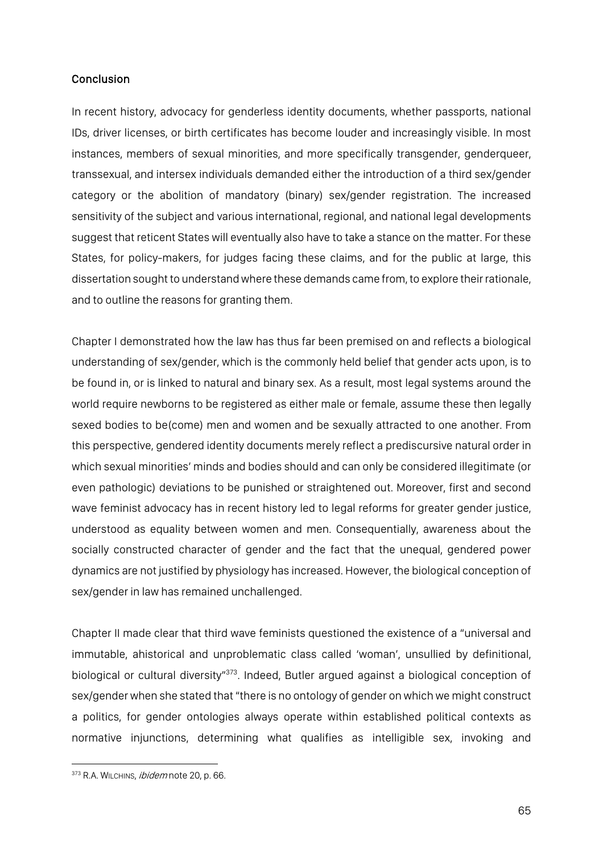### **Conclusion**

In recent history, advocacy for genderless identity documents, whether passports, national IDs, driver licenses, or birth certificates has become louder and increasingly visible. In most instances, members of sexual minorities, and more specifically transgender, genderqueer, transsexual, and intersex individuals demanded either the introduction of a third sex/gender category or the abolition of mandatory (binary) sex/gender registration. The increased sensitivity of the subject and various international, regional, and national legal developments suggest that reticent States will eventually also have to take a stance on the matter. For these States, for policy-makers, for judges facing these claims, and for the public at large, this dissertation sought to understand where these demands came from, to explore their rationale, and to outline the reasons for granting them.

Chapter I demonstrated how the law has thus far been premised on and reflects a biological understanding of sex/gender, which is the commonly held belief that gender acts upon, is to be found in, or is linked to natural and binary sex. As a result, most legal systems around the world require newborns to be registered as either male or female, assume these then legally sexed bodies to be(come) men and women and be sexually attracted to one another. From this perspective, gendered identity documents merely reflect a prediscursive natural order in which sexual minorities' minds and bodies should and can only be considered illegitimate (or even pathologic) deviations to be punished or straightened out. Moreover, first and second wave feminist advocacy has in recent history led to legal reforms for greater gender justice, understood as equality between women and men. Consequentially, awareness about the socially constructed character of gender and the fact that the unequal, gendered power dynamics are not justified by physiology has increased. However, the biological conception of sex/gender in law has remained unchallenged.

Chapter II made clear that third wave feminists questioned the existence of a "universal and immutable, ahistorical and unproblematic class called 'woman', unsullied by definitional, biological or cultural diversity"<sup>373</sup>. Indeed, Butler argued against a biological conception of sex/gender when she stated that"there is no ontology of gender on which we might construct a politics, for gender ontologies always operate within established political contexts as normative injunctions, determining what qualifies as intelligible sex, invoking and

<sup>373</sup> R.A. WILCHINS, ibidem note 20, p. 66.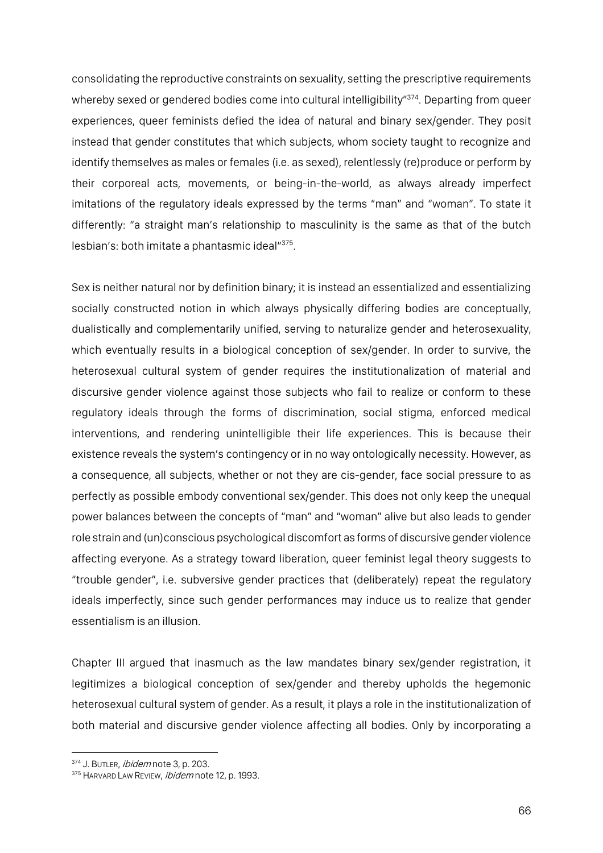consolidating the reproductive constraints on sexuality, setting the prescriptive requirements whereby sexed or gendered bodies come into cultural intelligibility"<sup>374</sup>. Departing from queer experiences, queer feminists defied the idea of natural and binary sex/gender. They posit instead that gender constitutes that which subjects, whom society taught to recognize and identify themselves as males or females (i.e. as sexed), relentlessly (re)produce or perform by their corporeal acts, movements, or being-in-the-world, as always already imperfect imitations of the regulatory ideals expressed by the terms "man" and "woman". To state it differently: "a straight man's relationship to masculinity is the same as that of the butch lesbian's: both imitate a phantasmic ideal"375.

Sex is neither natural nor by definition binary; it is instead an essentialized and essentializing socially constructed notion in which always physically differing bodies are conceptually, dualistically and complementarily unified, serving to naturalize gender and heterosexuality, which eventually results in a biological conception of sex/gender. In order to survive, the heterosexual cultural system of gender requires the institutionalization of material and discursive gender violence against those subjects who fail to realize or conform to these regulatory ideals through the forms of discrimination, social stigma, enforced medical interventions, and rendering unintelligible their life experiences. This is because their existence reveals the system's contingency or in no way ontologically necessity. However, as a consequence, all subjects, whether or not they are cis-gender, face social pressure to as perfectly as possible embody conventional sex/gender. This does not only keep the unequal power balances between the concepts of "man" and "woman" alive but also leads to gender role strain and (un)conscious psychological discomfort as forms of discursive gender violence affecting everyone. As a strategy toward liberation, queer feminist legal theory suggests to "trouble gender", i.e. subversive gender practices that (deliberately) repeat the regulatory ideals imperfectly, since such gender performances may induce us to realize that gender essentialism is an illusion.

Chapter III argued that inasmuch as the law mandates binary sex/gender registration, it legitimizes a biological conception of sex/gender and thereby upholds the hegemonic heterosexual cultural system of gender. As a result, it plays a role in the institutionalization of both material and discursive gender violence affecting all bodies. Only by incorporating a

<sup>374</sup> J. BUTLER, ibidem note 3, p. 203.

<sup>375</sup> HARVARD LAW REVIEW, *ibidem* note 12, p. 1993.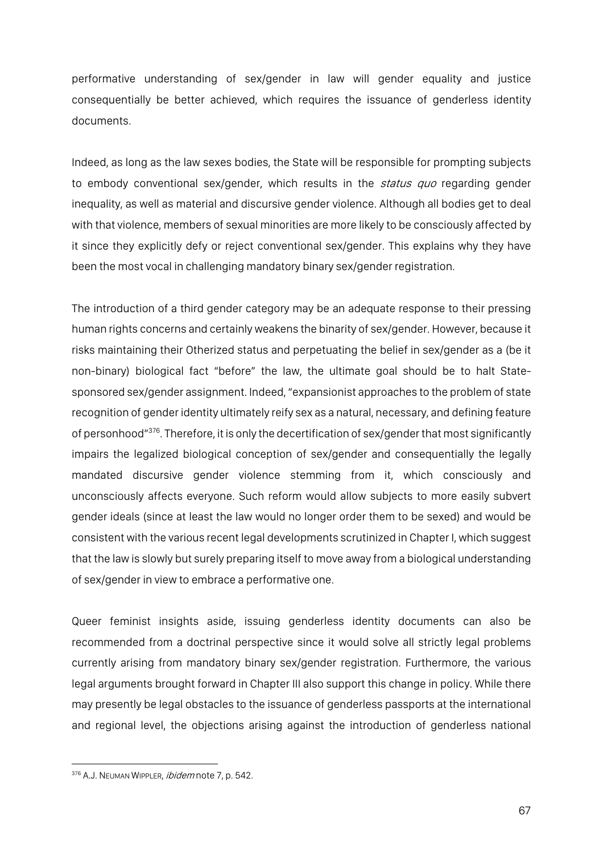performative understanding of sex/gender in law will gender equality and justice consequentially be better achieved, which requires the issuance of genderless identity documents.

Indeed, as long as the law sexes bodies, the State will be responsible for prompting subjects to embody conventional sex/gender, which results in the *status quo* regarding gender inequality, as well as material and discursive gender violence. Although all bodies get to deal with that violence, members of sexual minorities are more likely to be consciously affected by it since they explicitly defy or reject conventional sex/gender. This explains why they have been the most vocal in challenging mandatory binary sex/gender registration.

The introduction of a third gender category may be an adequate response to their pressing human rights concerns and certainly weakens the binarity of sex/gender. However, because it risks maintaining their Otherized status and perpetuating the belief in sex/gender as a (be it non-binary) biological fact "before" the law, the ultimate goal should be to halt Statesponsored sex/gender assignment. Indeed, "expansionist approaches to the problem of state recognition of gender identity ultimately reify sex as a natural, necessary, and defining feature of personhood"<sup>376</sup>. Therefore, it is only the decertification of sex/gender that most significantly impairs the legalized biological conception of sex/gender and consequentially the legally mandated discursive gender violence stemming from it, which consciously and unconsciously affects everyone. Such reform would allow subjects to more easily subvert gender ideals (since at least the law would no longer order them to be sexed) and would be consistent with the various recent legal developments scrutinized in Chapter I, which suggest that the law is slowly but surely preparing itself to move away from a biological understanding of sex/gender in view to embrace a performative one.

Queer feminist insights aside, issuing genderless identity documents can also be recommended from a doctrinal perspective since it would solve all strictly legal problems currently arising from mandatory binary sex/gender registration. Furthermore, the various legal arguments brought forward in Chapter III also support this change in policy. While there may presently be legal obstacles to the issuance of genderless passports at the international and regional level, the objections arising against the introduction of genderless national

<sup>376</sup> A.J. NEUMAN WIPPLER, *ibidem* note 7, p. 542.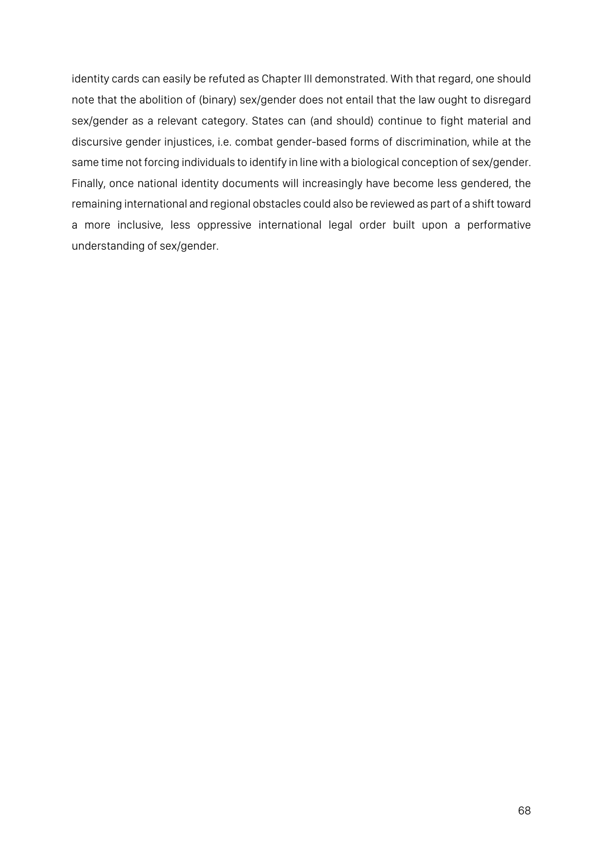identity cards can easily be refuted as Chapter III demonstrated. With that regard, one should note that the abolition of (binary) sex/gender does not entail that the law ought to disregard sex/gender as a relevant category. States can (and should) continue to fight material and discursive gender injustices, i.e. combat gender-based forms of discrimination, while at the same time not forcing individuals to identify in line with a biological conception of sex/gender. Finally, once national identity documents will increasingly have become less gendered, the remaining international and regional obstacles could also be reviewed as part of a shift toward a more inclusive, less oppressive international legal order built upon a performative understanding of sex/gender.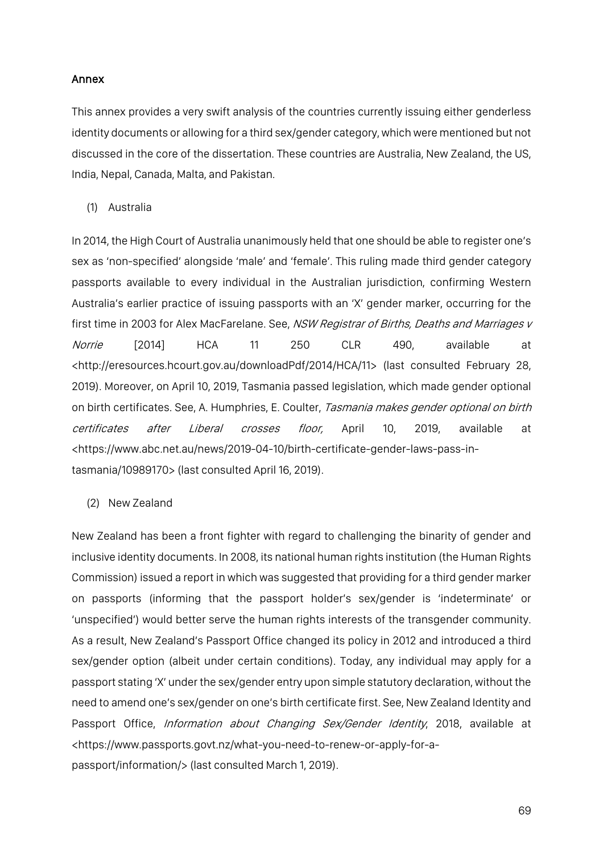### Annex

This annex provides a very swift analysis of the countries currently issuing either genderless identity documents or allowing for a third sex/gender category, which were mentioned but not discussed in the core of the dissertation. These countries are Australia, New Zealand, the US, India, Nepal, Canada, Malta, and Pakistan.

(1) Australia

In 2014, the High Court of Australia unanimously held that one should be able to register one's sex as 'non-specified' alongside 'male' and 'female'. This ruling made third gender category passports available to every individual in the Australian jurisdiction, confirming Western Australia's earlier practice of issuing passports with an 'X' gender marker, occurring for the first time in 2003 for Alex MacFarelane. See, NSW Registrar of Births, Deaths and Marriages v *Norrie* [2014] HCA 11 250 CLR 490, available at <http://eresources.hcourt.gov.au/downloadPdf/2014/HCA/11> (last consulted February 28, 2019). Moreover, on April 10, 2019, Tasmania passed legislation, which made gender optional on birth certificates. See, A. Humphries, E. Coulter, Tasmania makes gender optional on birth certificates after Liberal crosses floor, April 10, 2019, available at <https://www.abc.net.au/news/2019-04-10/birth-certificate-gender-laws-pass-intasmania/10989170> (last consulted April 16, 2019).

(2) New Zealand

New Zealand has been a front fighter with regard to challenging the binarity of gender and inclusive identity documents. In 2008, its national human rights institution (the Human Rights Commission) issued a report in which was suggested that providing for a third gender marker on passports (informing that the passport holder's sex/gender is 'indeterminate' or 'unspecified') would better serve the human rights interests of the transgender community. As a result, New Zealand's Passport Office changed its policy in 2012 and introduced a third sex/gender option (albeit under certain conditions). Today, any individual may apply for a passport stating 'X' under the sex/gender entry upon simple statutory declaration, without the need to amend one's sex/gender on one's birth certificate first. See, New Zealand Identity and Passport Office, Information about Changing Sex/Gender Identity, 2018, available at <https://www.passports.govt.nz/what-you-need-to-renew-or-apply-for-apassport/information/> (last consulted March 1, 2019).

69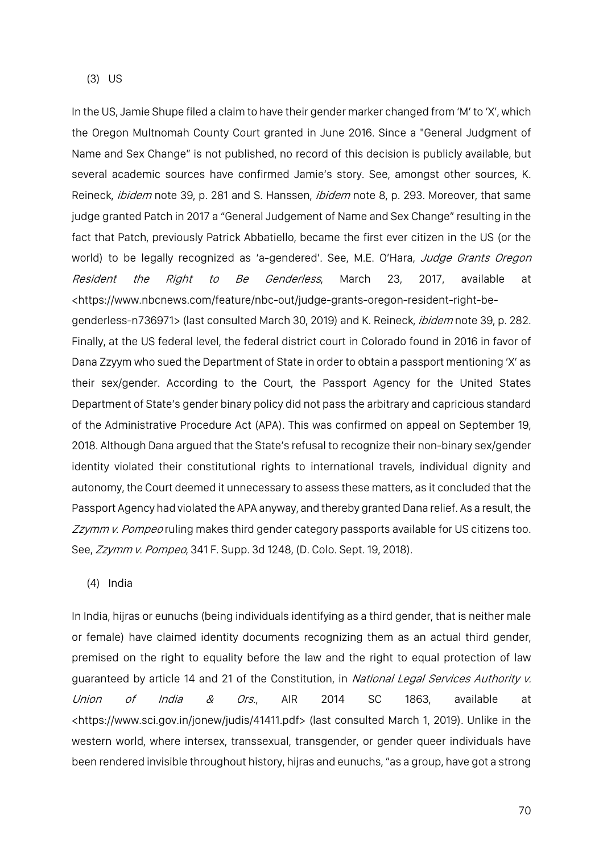In the US, Jamie Shupe filed a claim to have their gender marker changed from 'M' to 'X', which the Oregon Multnomah County Court granted in June 2016. Since a "General Judgment of Name and Sex Change" is not published, no record of this decision is publicly available, but several academic sources have confirmed Jamie's story. See, amongst other sources, K. Reineck, *ibidem* note 39, p. 281 and S. Hanssen, *ibidem* note 8, p. 293. Moreover, that same judge granted Patch in 2017 a "General Judgement of Name and Sex Change" resulting in the fact that Patch, previously Patrick Abbatiello, became the first ever citizen in the US (or the world) to be legally recognized as 'a-gendered'. See, M.E. O'Hara, Judge Grants Oregon Resident the Right to Be Genderless, March 23, 2017, available at <https://www.nbcnews.com/feature/nbc-out/judge-grants-oregon-resident-right-begenderless-n736971> (last consulted March 30, 2019) and K. Reineck, ibidem note 39, p. 282. Finally, at the US federal level, the federal district court in Colorado found in 2016 in favor of Dana Zzyym who sued the Department of State in order to obtain a passport mentioning 'X' as their sex/gender. According to the Court, the Passport Agency for the United States Department of State's gender binary policy did not pass the arbitrary and capricious standard of the Administrative Procedure Act (APA). This was confirmed on appeal on September 19, 2018. Although Dana argued that the State's refusal to recognize their non-binary sex/gender identity violated their constitutional rights to international travels, individual dignity and autonomy, the Court deemed it unnecessary to assess these matters, as it concluded that the Passport Agency had violated the APA anyway, and thereby granted Dana relief. As a result, the Zzymm v. Pompeo ruling makes third gender category passports available for US citizens too. See, Zzymm v. Pompeo, 341 F. Supp. 3d 1248, (D. Colo. Sept. 19, 2018).

#### (4) India

In India, hijras or eunuchs (being individuals identifying as a third gender, that is neither male or female) have claimed identity documents recognizing them as an actual third gender, premised on the right to equality before the law and the right to equal protection of law guaranteed by article 14 and 21 of the Constitution, in National Legal Services Authority v. Union of India & Ors., AIR 2014 SC 1863, available at <https://www.sci.gov.in/jonew/judis/41411.pdf> (last consulted March 1, 2019). Unlike in the western world, where intersex, transsexual, transgender, or gender queer individuals have been rendered invisible throughout history, hijras and eunuchs, "as a group, have got a strong

70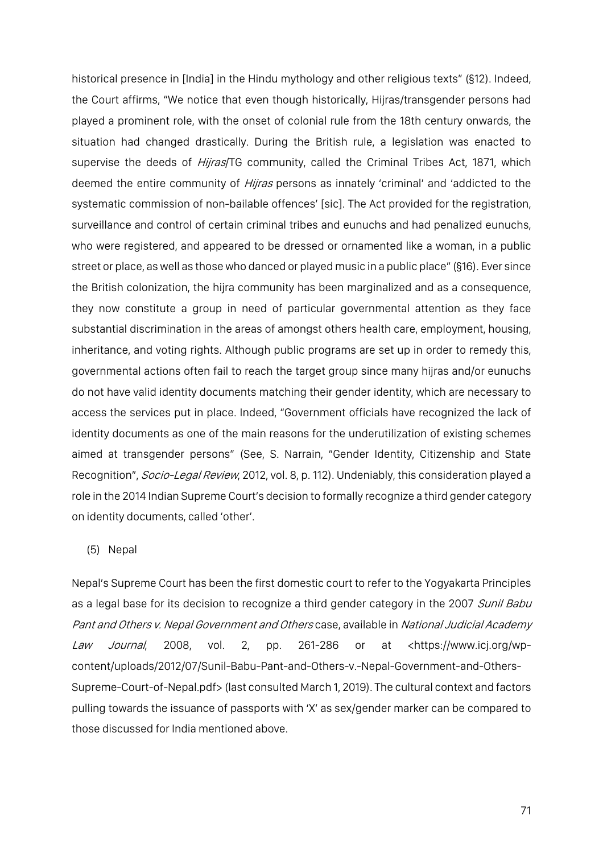historical presence in [India] in the Hindu mythology and other religious texts" (§12). Indeed, the Court affirms, "We notice that even though historically, Hijras/transgender persons had played a prominent role, with the onset of colonial rule from the 18th century onwards, the situation had changed drastically. During the British rule, a legislation was enacted to supervise the deeds of *Hijras*/TG community, called the Criminal Tribes Act, 1871, which deemed the entire community of *Hijras* persons as innately 'criminal' and 'addicted to the systematic commission of non-bailable offences' [sic]. The Act provided for the registration, surveillance and control of certain criminal tribes and eunuchs and had penalized eunuchs, who were registered, and appeared to be dressed or ornamented like a woman, in a public street or place, as well as those who danced or played music in a public place" (§16). Ever since the British colonization, the hijra community has been marginalized and as a consequence, they now constitute a group in need of particular governmental attention as they face substantial discrimination in the areas of amongst others health care, employment, housing, inheritance, and voting rights. Although public programs are set up in order to remedy this, governmental actions often fail to reach the target group since many hijras and/or eunuchs do not have valid identity documents matching their gender identity, which are necessary to access the services put in place. Indeed, "Government officials have recognized the lack of identity documents as one of the main reasons for the underutilization of existing schemes aimed at transgender persons" (See, S. Narrain, "Gender Identity, Citizenship and State Recognition", Socio-Legal Review, 2012, vol. 8, p. 112). Undeniably, this consideration played a role in the 2014 Indian Supreme Court's decision to formally recognize a third gender category on identity documents, called 'other'.

### (5) Nepal

Nepal's Supreme Court has been the first domestic court to refer to the Yogyakarta Principles as a legal base for its decision to recognize a third gender category in the 2007 Sunil Babu Pant and Others v. Nepal Government and Others case, available in National Judicial Academy Law Journal, 2008, vol. 2, pp. 261-286 or at <https://www.icj.org/wpcontent/uploads/2012/07/Sunil-Babu-Pant-and-Others-v.-Nepal-Government-and-Others-Supreme-Court-of-Nepal.pdf> (last consulted March 1, 2019). The cultural context and factors pulling towards the issuance of passports with 'X' as sex/gender marker can be compared to those discussed for India mentioned above.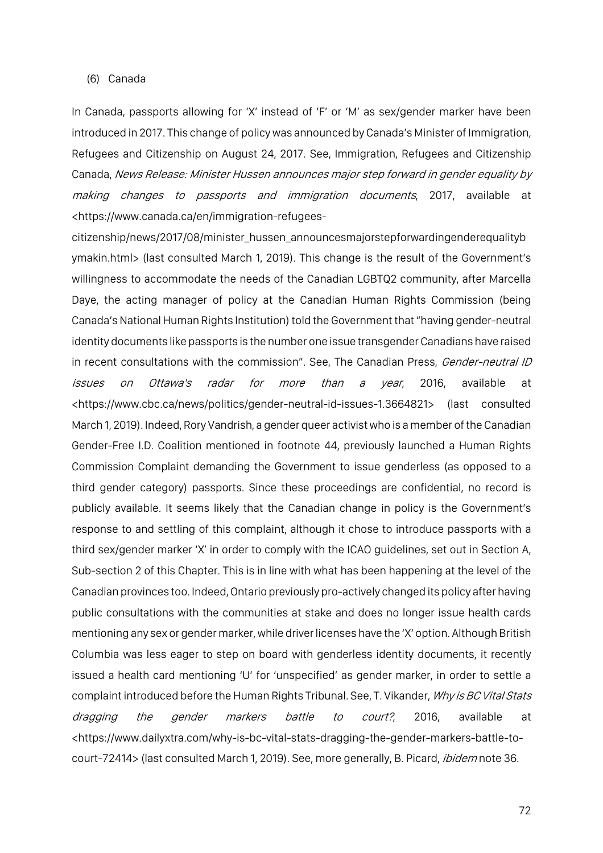#### (6) Canada

In Canada, passports allowing for 'X' instead of 'F' or 'M' as sex/gender marker have been introduced in 2017. This change of policy was announced by Canada's Minister of Immigration, Refugees and Citizenship on August 24, 2017. See, Immigration, Refugees and Citizenship Canada, News Release: Minister Hussen announces major step forward in gender equality by making changes to passports and immigration documents, 2017, available at <https://www.canada.ca/en/immigration-refugees-

citizenship/news/2017/08/minister\_hussen\_announcesmajorstepforwardingenderequalityb ymakin.html> (last consulted March 1, 2019). This change is the result of the Government's willingness to accommodate the needs of the Canadian LGBTQ2 community, after Marcella Daye, the acting manager of policy at the Canadian Human Rights Commission (being Canada's National Human Rights Institution) told the Government that "having gender-neutral identity documents like passports is the number one issue transgender Canadians have raised in recent consultations with the commission". See, The Canadian Press, Gender-neutral ID issues on Ottawa's radar for more than a year, 2016, available at <https://www.cbc.ca/news/politics/gender-neutral-id-issues-1.3664821> (last consulted March 1, 2019). Indeed, Rory Vandrish, a gender queer activist who is a member of the Canadian Gender-Free I.D. Coalition mentioned in footnote 44, previously launched a Human Rights Commission Complaint demanding the Government to issue genderless (as opposed to a third gender category) passports. Since these proceedings are confidential, no record is publicly available. It seems likely that the Canadian change in policy is the Government's response to and settling of this complaint, although it chose to introduce passports with a third sex/gender marker 'X' in order to comply with the ICAO guidelines, set out in Section A, Sub-section 2 of this Chapter. This is in line with what has been happening at the level of the Canadian provinces too. Indeed, Ontario previously pro-actively changed its policy after having public consultations with the communities at stake and does no longer issue health cards mentioning any sex or gender marker, while driver licenses have the 'X' option. Although British Columbia was less eager to step on board with genderless identity documents, it recently issued a health card mentioning 'U' for 'unspecified' as gender marker, in order to settle a complaint introduced before the Human Rights Tribunal. See, T. Vikander, Why is BC Vital Stats dragging the gender markers battle to court?, 2016, available at <https://www.dailyxtra.com/why-is-bc-vital-stats-dragging-the-gender-markers-battle-tocourt-72414> (last consulted March 1, 2019). See, more generally, B. Picard, *ibidem* note 36.

72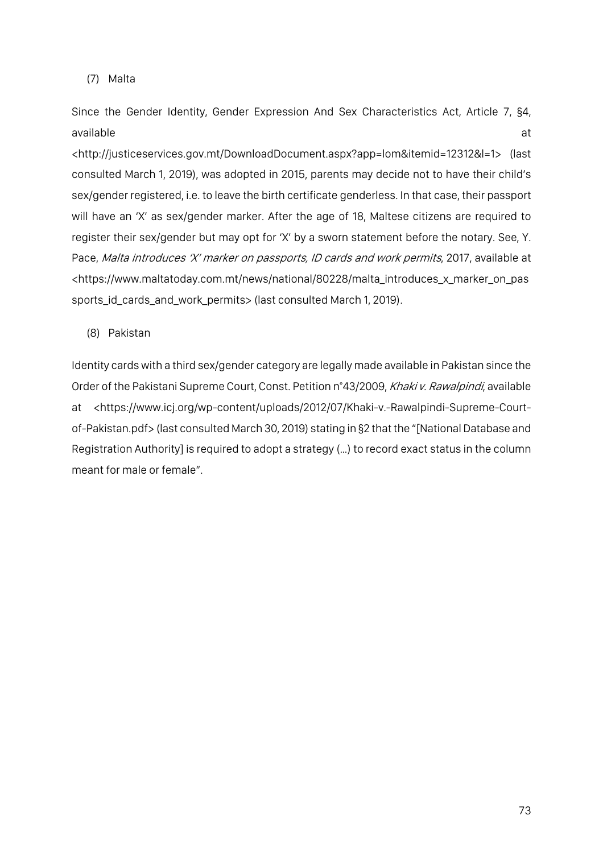# (7) Malta

Since the Gender Identity, Gender Expression And Sex Characteristics Act, Article 7, §4, available at the contract of the contract of the contract of the contract of the contract of the contract of the contract of the contract of the contract of the contract of the contract of the contract of the contract of t

<http://justiceservices.gov.mt/DownloadDocument.aspx?app=lom&itemid=12312&l=1> (last consulted March 1, 2019), was adopted in 2015, parents may decide not to have their child's sex/gender registered, i.e. to leave the birth certificate genderless. In that case, their passport will have an 'X' as sex/gender marker. After the age of 18, Maltese citizens are required to register their sex/gender but may opt for 'X' by a sworn statement before the notary. See, Y. Pace, Malta introduces 'X' marker on passports, ID cards and work permits, 2017, available at <https://www.maltatoday.com.mt/news/national/80228/malta\_introduces\_x\_marker\_on\_pas sports\_id\_cards\_and\_work\_permits> (last consulted March 1, 2019).

(8) Pakistan

Identity cards with a third sex/gender category are legally made available in Pakistan since the Order of the Pakistani Supreme Court, Const. Petition n°43/2009, Khaki v. Rawalpindi, available at <https://www.icj.org/wp-content/uploads/2012/07/Khaki-v.-Rawalpindi-Supreme-Courtof-Pakistan.pdf> (last consulted March 30, 2019) stating in §2 that the "[National Database and Registration Authority] is required to adopt a strategy (…) to record exact status in the column meant for male or female".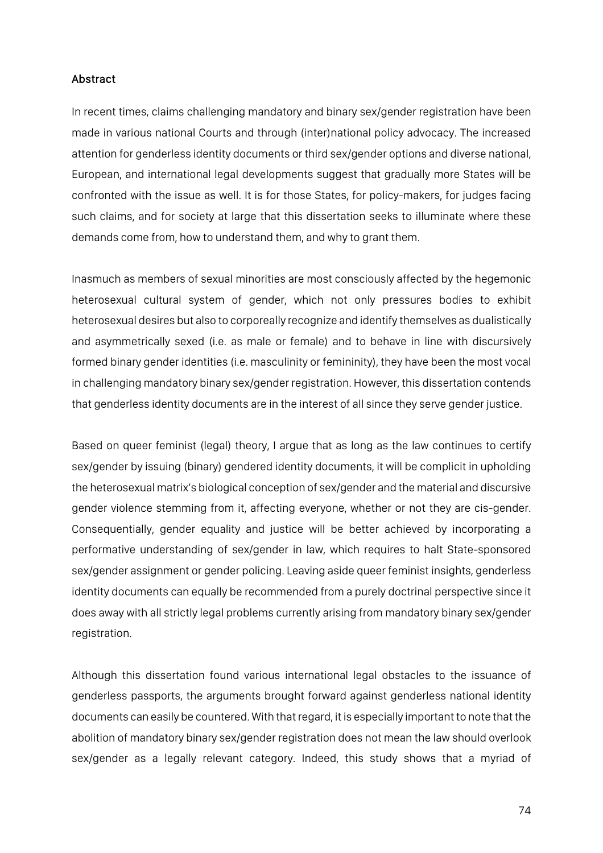### Abstract

In recent times, claims challenging mandatory and binary sex/gender registration have been made in various national Courts and through (inter)national policy advocacy. The increased attention for genderless identity documents or third sex/gender options and diverse national, European, and international legal developments suggest that gradually more States will be confronted with the issue as well. It is for those States, for policy-makers, for judges facing such claims, and for society at large that this dissertation seeks to illuminate where these demands come from, how to understand them, and why to grant them.

Inasmuch as members of sexual minorities are most consciously affected by the hegemonic heterosexual cultural system of gender, which not only pressures bodies to exhibit heterosexual desires but also to corporeally recognize and identify themselves as dualistically and asymmetrically sexed (i.e. as male or female) and to behave in line with discursively formed binary gender identities (i.e. masculinity or femininity), they have been the most vocal in challenging mandatory binary sex/gender registration. However, this dissertation contends that genderless identity documents are in the interest of all since they serve gender justice.

Based on queer feminist (legal) theory, I argue that as long as the law continues to certify sex/gender by issuing (binary) gendered identity documents, it will be complicit in upholding the heterosexual matrix's biological conception of sex/gender and the material and discursive gender violence stemming from it, affecting everyone, whether or not they are cis-gender. Consequentially, gender equality and justice will be better achieved by incorporating a performative understanding of sex/gender in law, which requires to halt State-sponsored sex/gender assignment or gender policing. Leaving aside queer feminist insights, genderless identity documents can equally be recommended from a purely doctrinal perspective since it does away with all strictly legal problems currently arising from mandatory binary sex/gender registration.

Although this dissertation found various international legal obstacles to the issuance of genderless passports, the arguments brought forward against genderless national identity documents can easily be countered. With that regard, it is especially important to note that the abolition of mandatory binary sex/gender registration does not mean the law should overlook sex/gender as a legally relevant category. Indeed, this study shows that a myriad of

74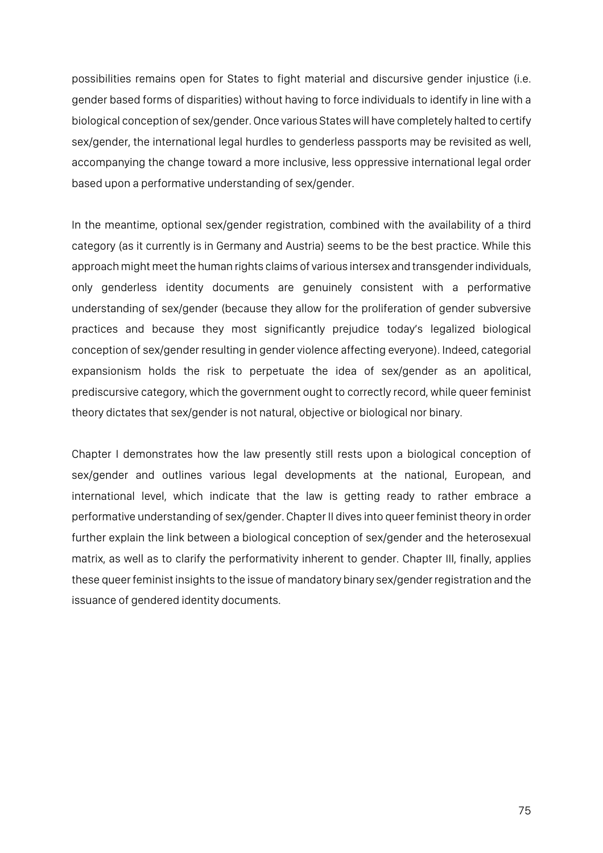possibilities remains open for States to fight material and discursive gender injustice (i.e. gender based forms of disparities) without having to force individuals to identify in line with a biological conception of sex/gender. Once various States will have completely halted to certify sex/gender, the international legal hurdles to genderless passports may be revisited as well, accompanying the change toward a more inclusive, less oppressive international legal order based upon a performative understanding of sex/gender.

In the meantime, optional sex/gender registration, combined with the availability of a third category (as it currently is in Germany and Austria) seems to be the best practice. While this approach might meet the human rights claims of various intersex and transgender individuals, only genderless identity documents are genuinely consistent with a performative understanding of sex/gender (because they allow for the proliferation of gender subversive practices and because they most significantly prejudice today's legalized biological conception of sex/gender resulting in gender violence affecting everyone). Indeed, categorial expansionism holds the risk to perpetuate the idea of sex/gender as an apolitical, prediscursive category, which the government ought to correctly record, while queer feminist theory dictates that sex/gender is not natural, objective or biological nor binary.

Chapter I demonstrates how the law presently still rests upon a biological conception of sex/gender and outlines various legal developments at the national, European, and international level, which indicate that the law is getting ready to rather embrace a performative understanding of sex/gender. Chapter II dives into queer feminist theory in order further explain the link between a biological conception of sex/gender and the heterosexual matrix, as well as to clarify the performativity inherent to gender. Chapter III, finally, applies these queer feminist insights to the issue of mandatory binary sex/gender registration and the issuance of gendered identity documents.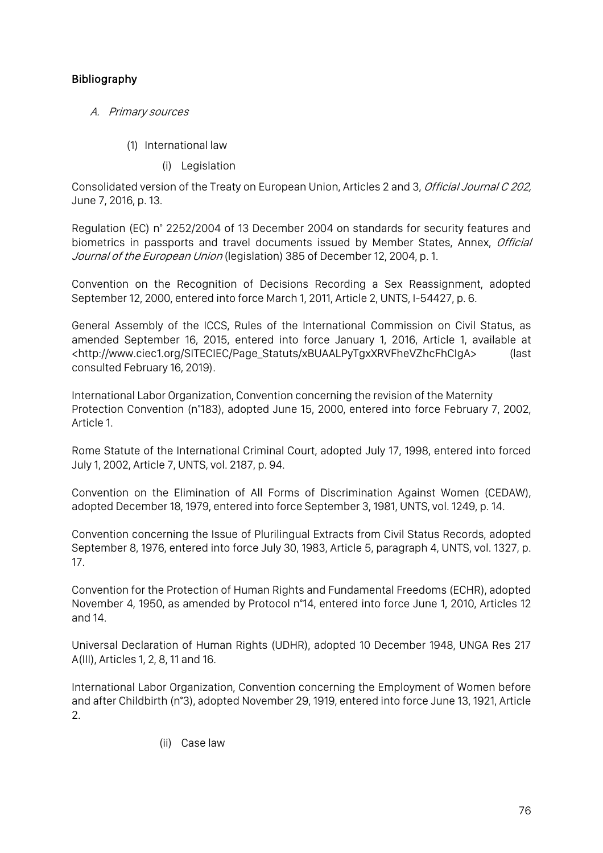# Bibliography

- A. Primary sources
	- (1) International law
		- (i) Legislation

Consolidated version of the Treaty on European Union, Articles 2 and 3, *Official Journal C 202*, June 7, 2016, p. 13.

Regulation (EC) n° 2252/2004 of 13 December 2004 on standards for security features and biometrics in passports and travel documents issued by Member States, Annex, Official Journal of the European Union (legislation) 385 of December 12, 2004, p. 1.

Convention on the Recognition of Decisions Recording a Sex Reassignment, adopted September 12, 2000, entered into force March 1, 2011, Article 2, UNTS, I-54427, p. 6.

General Assembly of the ICCS, Rules of the International Commission on Civil Status, as amended September 16, 2015, entered into force January 1, 2016, Article 1, available at <http://www.ciec1.org/SITECIEC/Page\_Statuts/xBUAALPyTgxXRVFheVZhcFhCIgA> (last consulted February 16, 2019).

International Labor Organization, Convention concerning the revision of the Maternity Protection Convention (n°183), adopted June 15, 2000, entered into force February 7, 2002, Article 1.

Rome Statute of the International Criminal Court, adopted July 17, 1998, entered into forced July 1, 2002, Article 7, UNTS, vol. 2187, p. 94.

Convention on the Elimination of All Forms of Discrimination Against Women (CEDAW), adopted December 18, 1979, entered into force September 3, 1981, UNTS, vol. 1249, p. 14.

Convention concerning the Issue of Plurilingual Extracts from Civil Status Records, adopted September 8, 1976, entered into force July 30, 1983, Article 5, paragraph 4, UNTS, vol. 1327, p. 17.

Convention for the Protection of Human Rights and Fundamental Freedoms (ECHR), adopted November 4, 1950, as amended by Protocol n°14, entered into force June 1, 2010, Articles 12 and 14.

Universal Declaration of Human Rights (UDHR), adopted 10 December 1948, UNGA Res 217 A(III), Articles 1, 2, 8, 11 and 16.

International Labor Organization, Convention concerning the Employment of Women before and after Childbirth (n°3), adopted November 29, 1919, entered into force June 13, 1921, Article 2.

(ii) Case law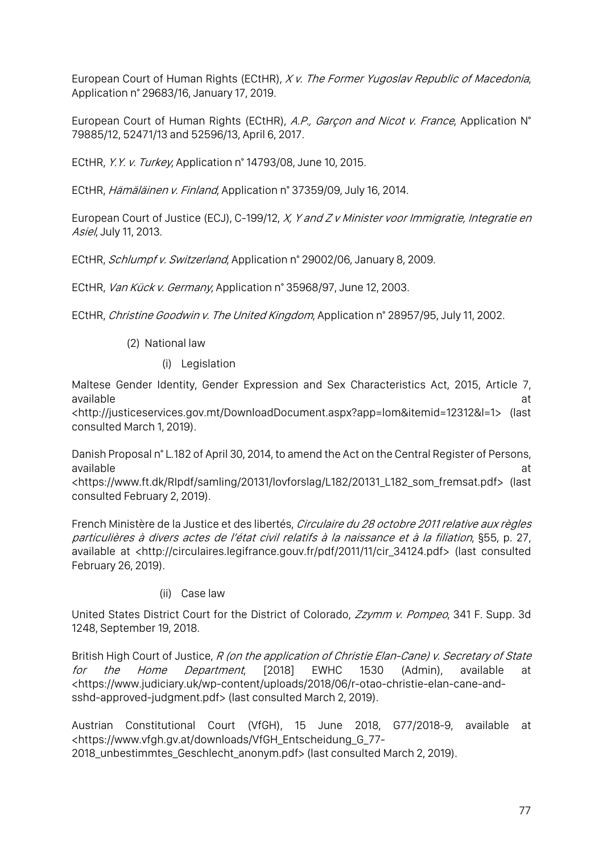European Court of Human Rights (ECtHR), X v. The Former Yugoslav Republic of Macedonia, Application n° 29683/16, January 17, 2019.

European Court of Human Rights (ECtHR), A.P., Garçon and Nicot v. France, Application N° 79885/12, 52471/13 and 52596/13, April 6, 2017.

ECtHR, Y.Y. v. Turkey, Application n° 14793/08, June 10, 2015.

ECtHR, Hämäläinen v. Finland, Application n° 37359/09, July 16, 2014.

European Court of Justice (ECJ), C-199/12, X, Y and Z v Minister voor Immigratie, Integratie en Asiel, July 11, 2013.

ECtHR, Schlumpf v. Switzerland, Application n° 29002/06, January 8, 2009.

ECtHR, Van Kück v. Germany, Application n° 35968/97, June 12, 2003.

ECtHR, Christine Goodwin v. The United Kingdom, Application n° 28957/95, July 11, 2002.

# (2) National law

(i) Legislation

Maltese Gender Identity, Gender Expression and Sex Characteristics Act, 2015, Article 7, available at the contract of the contract of the contract of the contract of the contract of the contract of the contract of the contract of the contract of the contract of the contract of the contract of the contract of t

<http://justiceservices.gov.mt/DownloadDocument.aspx?app=lom&itemid=12312&l=1> (last consulted March 1, 2019).

Danish Proposal n° L.182 of April 30, 2014, to amend the Act on the Central Register of Persons, available at the contract of the contract of the contract of the contract of the contract of the contract of the contract of the contract of the contract of the contract of the contract of the contract of the contract of t

<https://www.ft.dk/RIpdf/samling/20131/lovforslag/L182/20131\_L182\_som\_fremsat.pdf> (last consulted February 2, 2019).

French Ministère de la Justice et des libertés, Circulaire du 28 octobre 2011 relative aux règles particulières à divers actes de l'état civil relatifs à la naissance et à la filiation, §55, p. 27, available at <http://circulaires.legifrance.gouv.fr/pdf/2011/11/cir\_34124.pdf> (last consulted February 26, 2019).

#### (ii) Case law

United States District Court for the District of Colorado, Zzymm v. Pompeo, 341 F. Supp. 3d 1248, September 19, 2018.

British High Court of Justice, R (on the application of Christie Elan-Cane) v. Secretary of State for the Home Department, [2018] EWHC 1530 (Admin), available at <https://www.judiciary.uk/wp-content/uploads/2018/06/r-otao-christie-elan-cane-andsshd-approved-judgment.pdf> (last consulted March 2, 2019).

Austrian Constitutional Court (VfGH), 15 June 2018, G77/2018-9, available at <https://www.vfgh.gv.at/downloads/VfGH\_Entscheidung\_G\_77- 2018\_unbestimmtes\_Geschlecht\_anonym.pdf> (last consulted March 2, 2019).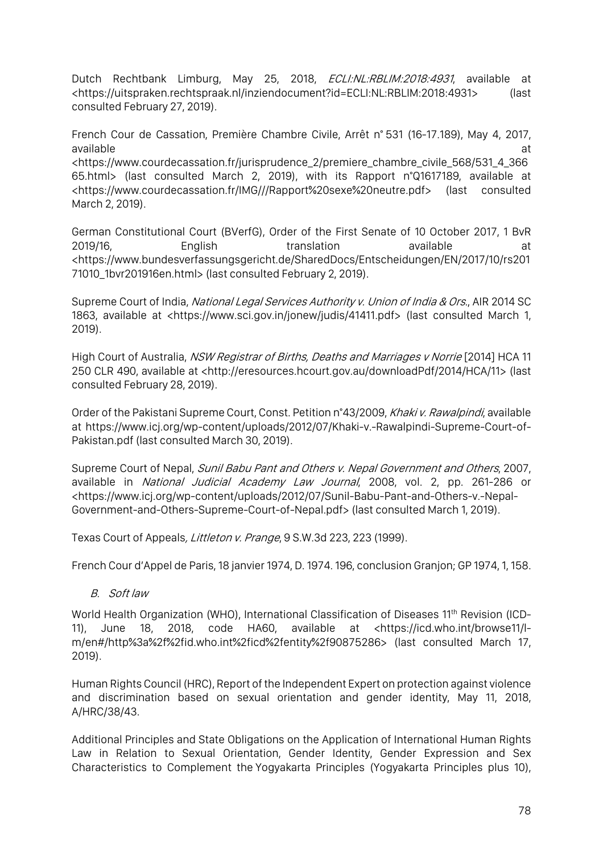Dutch Rechtbank Limburg, May 25, 2018, *ECLI:NL:RBLIM:2018:4931*, available at <https://uitspraken.rechtspraak.nl/inziendocument?id=ECLI:NL:RBLIM:2018:4931> (last consulted February 27, 2019).

French Cour de Cassation, Première Chambre Civile, Arrêt n° 531 (16-17.189), May 4, 2017, available at the contract of the contract of the contract of the contract of the contract of the contract of the contract of the contract of the contract of the contract of the contract of the contract of the contract of t

<https://www.courdecassation.fr/jurisprudence\_2/premiere\_chambre\_civile\_568/531\_4\_366 65.html> (last consulted March 2, 2019), with its Rapport n°Q1617189, available at <https://www.courdecassation.fr/IMG///Rapport%20sexe%20neutre.pdf> (last consulted March 2, 2019).

German Constitutional Court (BVerfG), Order of the First Senate of 10 October 2017, 1 BvR 2019/16, English translation available at <https://www.bundesverfassungsgericht.de/SharedDocs/Entscheidungen/EN/2017/10/rs201 71010\_1bvr201916en.html> (last consulted February 2, 2019).

Supreme Court of India, National Legal Services Authority v. Union of India & Ors., AIR 2014 SC 1863, available at <https://www.sci.gov.in/jonew/judis/41411.pdf> (last consulted March 1, 2019).

High Court of Australia, NSW Registrar of Births, Deaths and Marriages v Norrie [2014] HCA 11 250 CLR 490, available at <http://eresources.hcourt.gov.au/downloadPdf/2014/HCA/11> (last consulted February 28, 2019).

Order of the Pakistani Supreme Court, Const. Petition n°43/2009, Khaki v. Rawalpindi, available at https://www.icj.org/wp-content/uploads/2012/07/Khaki-v.-Rawalpindi-Supreme-Court-of-Pakistan.pdf (last consulted March 30, 2019).

Supreme Court of Nepal, *Sunil Babu Pant and Others v. Nepal Government and Others*, 2007, available in National Judicial Academy Law Journal, 2008, vol. 2, pp. 261-286 or <https://www.icj.org/wp-content/uploads/2012/07/Sunil-Babu-Pant-and-Others-v.-Nepal-Government-and-Others-Supreme-Court-of-Nepal.pdf> (last consulted March 1, 2019).

Texas Court of Appeals, Littleton v. Prange, 9 S.W.3d 223, 223 (1999).

French Cour d'Appel de Paris, 18 janvier 1974, D. 1974. 196, conclusion Granjon; GP 1974, 1, 158.

B. Soft law

World Health Organization (WHO), International Classification of Diseases 11<sup>th</sup> Revision (ICD-11), June 18, 2018, code HA60, available at <https://icd.who.int/browse11/lm/en#/http%3a%2f%2fid.who.int%2ficd%2fentity%2f90875286> (last consulted March 17, 2019).

Human Rights Council (HRC), Report of the Independent Expert on protection against violence and discrimination based on sexual orientation and gender identity, May 11, 2018, A/HRC/38/43.

Additional Principles and State Obligations on the Application of International Human Rights Law in Relation to Sexual Orientation, Gender Identity, Gender Expression and Sex Characteristics to Complement the Yogyakarta Principles (Yogyakarta Principles plus 10),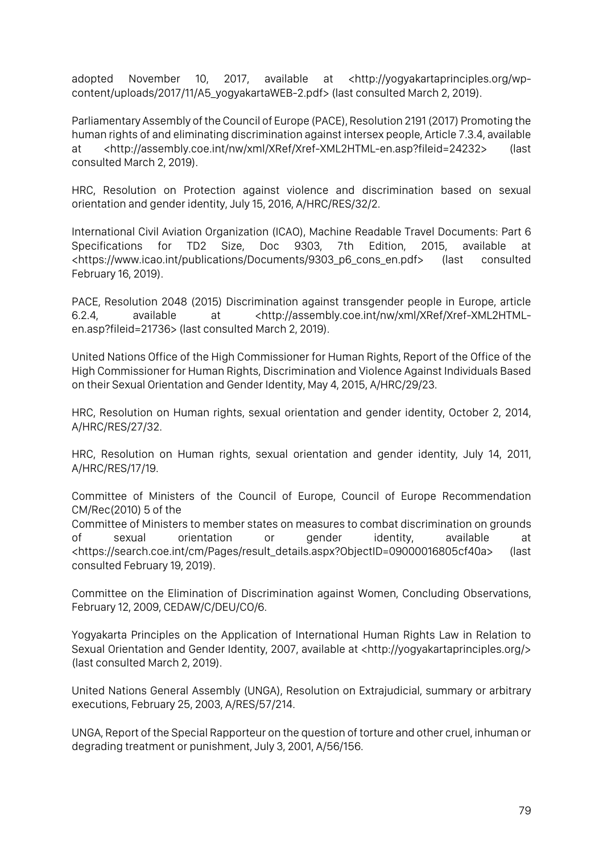adopted November 10, 2017, available at <http://yogyakartaprinciples.org/wpcontent/uploads/2017/11/A5\_yogyakartaWEB-2.pdf> (last consulted March 2, 2019).

Parliamentary Assembly of the Council of Europe (PACE), Resolution 2191 (2017) Promoting the human rights of and eliminating discrimination against intersex people, Article 7.3.4, available at <http://assembly.coe.int/nw/xml/XRef/Xref-XML2HTML-en.asp?fileid=24232> (last consulted March 2, 2019).

HRC, Resolution on Protection against violence and discrimination based on sexual orientation and gender identity, July 15, 2016, A/HRC/RES/32/2.

International Civil Aviation Organization (ICAO), Machine Readable Travel Documents: Part 6 Specifications for TD2 Size, Doc 9303, 7th Edition, 2015, available at <https://www.icao.int/publications/Documents/9303\_p6\_cons\_en.pdf> (last consulted February 16, 2019).

PACE, Resolution 2048 (2015) Discrimination against transgender people in Europe, article 6.2.4, available at <http://assembly.coe.int/nw/xml/XRef/Xref-XML2HTMLen.asp?fileid=21736> (last consulted March 2, 2019).

United Nations Office of the High Commissioner for Human Rights, Report of the Office of the High Commissioner for Human Rights, Discrimination and Violence Against Individuals Based on their Sexual Orientation and Gender Identity, May 4, 2015, A/HRC/29/23.

HRC, Resolution on Human rights, sexual orientation and gender identity, October 2, 2014, A/HRC/RES/27/32.

HRC, Resolution on Human rights, sexual orientation and gender identity, July 14, 2011, A/HRC/RES/17/19.

Committee of Ministers of the Council of Europe, Council of Europe Recommendation CM/Rec(2010) 5 of the

Committee of Ministers to member states on measures to combat discrimination on grounds of sexual orientation or gender identity, available at <https://search.coe.int/cm/Pages/result\_details.aspx?ObjectID=09000016805cf40a> (last consulted February 19, 2019).

Committee on the Elimination of Discrimination against Women, Concluding Observations, February 12, 2009, CEDAW/C/DEU/CO/6.

Yogyakarta Principles on the Application of International Human Rights Law in Relation to Sexual Orientation and Gender Identity, 2007, available at <http://yogyakartaprinciples.org/> (last consulted March 2, 2019).

United Nations General Assembly (UNGA), Resolution on Extrajudicial, summary or arbitrary executions, February 25, 2003, A/RES/57/214.

UNGA, Report of the Special Rapporteur on the question of torture and other cruel, inhuman or degrading treatment or punishment, July 3, 2001, A/56/156.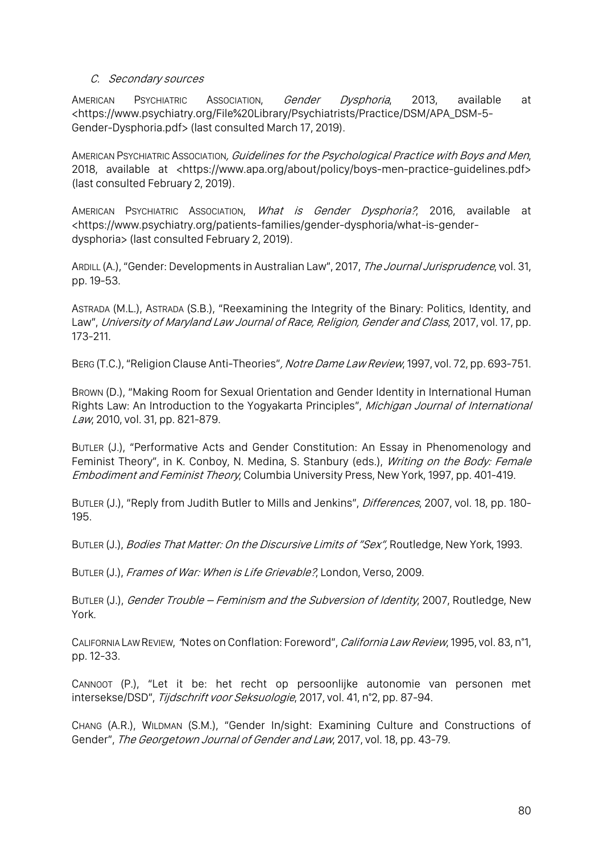### C. Secondary sources

AMERICAN PSYCHIATRIC ASSOCIATION, *Gender Dysphoria*, 2013, available at <https://www.psychiatry.org/File%20Library/Psychiatrists/Practice/DSM/APA\_DSM-5- Gender-Dysphoria.pdf> (last consulted March 17, 2019).

AMERICAN PSYCHIATRIC ASSOCIATION, Guidelines for the Psychological Practice with Boys and Men, 2018, available at <https://www.apa.org/about/policy/boys-men-practice-guidelines.pdf> (last consulted February 2, 2019).

AMERICAN PSYCHIATRIC ASSOCIATION, What is Gender Dysphoria?, 2016, available at <https://www.psychiatry.org/patients-families/gender-dysphoria/what-is-genderdysphoria> (last consulted February 2, 2019).

ARDILL (A.), "Gender: Developments in Australian Law", 2017, The Journal Jurisprudence, vol. 31, pp. 19-53.

ASTRADA (M.L.), ASTRADA (S.B.), "Reexamining the Integrity of the Binary: Politics, Identity, and Law", University of Maryland Law Journal of Race, Religion, Gender and Class, 2017, vol. 17, pp. 173-211.

BERG (T.C.), "Religion Clause Anti-Theories", Notre Dame Law Review, 1997, vol. 72, pp. 693-751.

BROWN (D.), "Making Room for Sexual Orientation and Gender Identity in International Human Rights Law: An Introduction to the Yogyakarta Principles", Michigan Journal of International Law, 2010, vol. 31, pp. 821-879.

BUTLER (J.), "Performative Acts and Gender Constitution: An Essay in Phenomenology and Feminist Theory", in K. Conboy, N. Medina, S. Stanbury (eds.), Writing on the Body: Female Embodiment and Feminist Theory, Columbia University Press, New York, 1997, pp. 401-419.

BUTLER (J.), "Reply from Judith Butler to Mills and Jenkins", *Differences*, 2007, vol. 18, pp. 180-195.

BUTLER (J.), Bodies That Matter: On the Discursive Limits of "Sex", Routledge, New York, 1993.

BUTLER (J.), Frames of War: When is Life Grievable?, London, Verso, 2009.

BUTLER (J.), Gender Trouble – Feminism and the Subversion of Identity, 2007, Routledge, New York.

CALIFORNIA LAW REVIEW, "Notes on Conflation: Foreword", California Law Review, 1995, vol. 83, n°1, pp. 12-33.

CANNOOT (P.), "Let it be: het recht op persoonlijke autonomie van personen met intersekse/DSD", Tijdschrift voor Seksuologie, 2017, vol. 41, n°2, pp. 87-94.

CHANG (A.R.), WILDMAN (S.M.), "Gender In/sight: Examining Culture and Constructions of Gender", The Georgetown Journal of Gender and Law, 2017, vol. 18, pp. 43-79.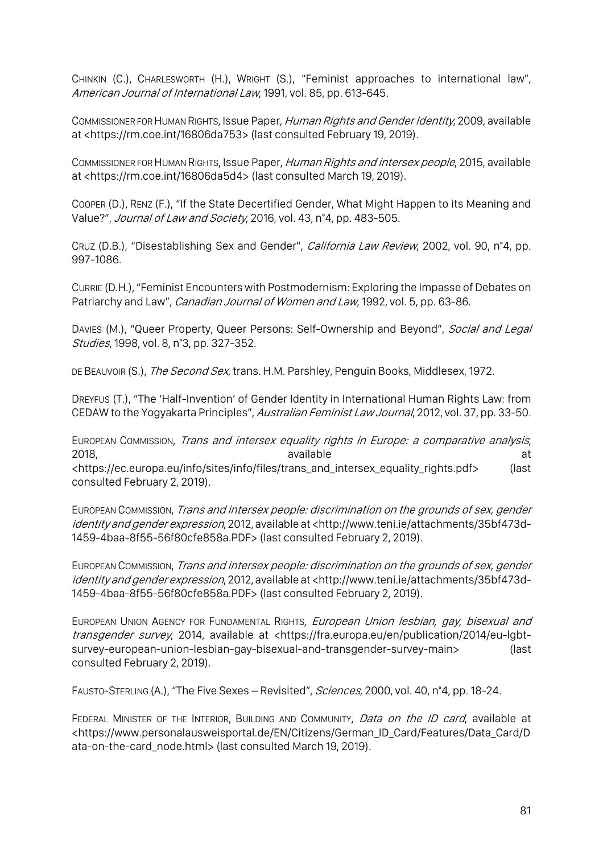CHINKIN (C.), CHARLESWORTH (H.), WRIGHT (S.), "Feminist approaches to international law", American Journal of International Law, 1991, vol. 85, pp. 613-645.

COMMISSIONER FOR HUMAN RIGHTS, Issue Paper, Human Rights and Gender Identity, 2009, available at <https://rm.coe.int/16806da753> (last consulted February 19, 2019).

COMMISSIONER FOR HUMAN RIGHTS, Issue Paper, Human Rights and intersex people, 2015, available at <https://rm.coe.int/16806da5d4> (last consulted March 19, 2019).

COOPER (D.), RENZ (F.), "If the State Decertified Gender, What Might Happen to its Meaning and Value?", Journal of Law and Society, 2016, vol. 43, n°4, pp. 483-505.

CRUZ (D.B.), "Disestablishing Sex and Gender", *California Law Review*, 2002, vol. 90, n°4, pp. 997-1086.

CURRIE (D.H.), "Feminist Encounters with Postmodernism: Exploring the Impasse of Debates on Patriarchy and Law", *Canadian Journal of Women and Law*, 1992, vol. 5, pp. 63-86.

DAVIES (M.), "Queer Property, Queer Persons: Self-Ownership and Beyond", Social and Legal Studies, 1998, vol. 8, n°3, pp. 327-352.

DE BEAUVOIR (S.), *The Second Sex*, trans. H.M. Parshley, Penguin Books, Middlesex, 1972.

DREYFUS (T.), "The 'Half-Invention' of Gender Identity in International Human Rights Law: from CEDAW to the Yogyakarta Principles", Australian Feminist Law Journal, 2012, vol. 37, pp. 33-50.

EUROPEAN COMMISSION, Trans and intersex equality rights in Europe: a comparative analysis, 2018, available at <https://ec.europa.eu/info/sites/info/files/trans\_and\_intersex\_equality\_rights.pdf> (last consulted February 2, 2019).

EUROPEAN COMMISSION, Trans and intersex people: discrimination on the grounds of sex, gender identity and gender expression, 2012, available at <http://www.teni.ie/attachments/35bf473d-1459-4baa-8f55-56f80cfe858a.PDF> (last consulted February 2, 2019).

EUROPEAN COMMISSION, Trans and intersex people: discrimination on the grounds of sex, gender identity and gender expression, 2012, available at <http://www.teni.ie/attachments/35bf473d-1459-4baa-8f55-56f80cfe858a.PDF> (last consulted February 2, 2019).

EUROPEAN UNION AGENCY FOR FUNDAMENTAL RIGHTS, European Union lesbian, gay, bisexual and transgender survey, 2014, available at <https://fra.europa.eu/en/publication/2014/eu-lgbtsurvey-european-union-lesbian-gay-bisexual-and-transgender-survey-main> (last consulted February 2, 2019).

FAUSTO-STERLING (A.), "The Five Sexes – Revisited", Sciences, 2000, vol. 40, n°4, pp. 18-24.

FEDERAL MINISTER OF THE INTERIOR, BUILDING AND COMMUNITY, *Data on the ID card*, available at <https://www.personalausweisportal.de/EN/Citizens/German\_ID\_Card/Features/Data\_Card/D ata-on-the-card\_node.html> (last consulted March 19, 2019).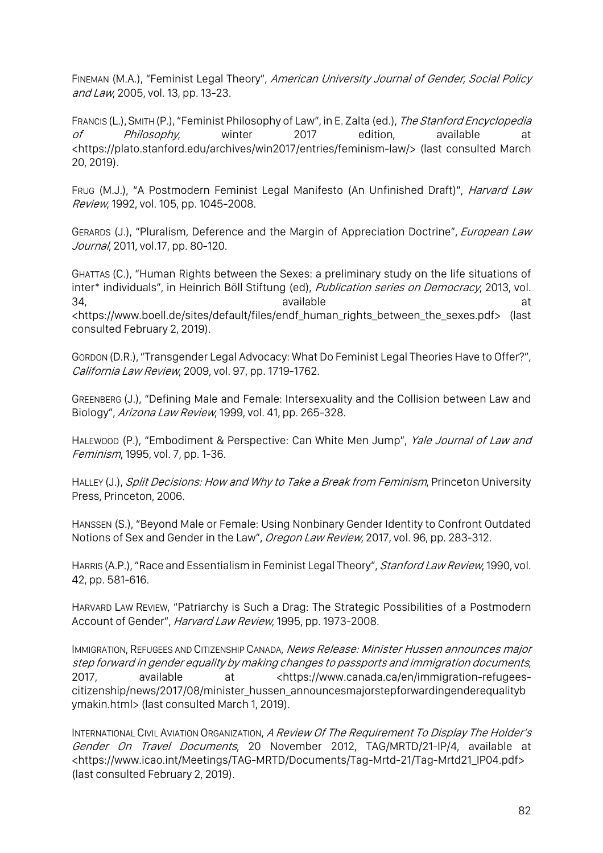FINEMAN (M.A.), "Feminist Legal Theory", American University Journal of Gender, Social Policy and Law, 2005, vol. 13, pp. 13-23.

FRANCIS (L.), SMITH (P.), "Feminist Philosophy of Law", in E. Zalta (ed.), The Stanford Encyclopedia of Philosophy, winter 2017 edition, available at <https://plato.stanford.edu/archives/win2017/entries/feminism-law/> (last consulted March 20, 2019).

Frug (M.J.), "A Postmodern Feminist Legal Manifesto (An Unfinished Draft)", *Harvard Law* Review, 1992, vol. 105, pp. 1045-2008.

GERARDS (J.), "Pluralism, Deference and the Margin of Appreciation Doctrine", European Law Journal, 2011, vol.17, pp. 80-120.

GHATTAS (C.), "Human Rights between the Sexes: a preliminary study on the life situations of inter\* individuals", in Heinrich Böll Stiftung (ed), Publication series on Democracy, 2013, vol. 34, available at <https://www.boell.de/sites/default/files/endf\_human\_rights\_between\_the\_sexes.pdf> (last consulted February 2, 2019).

GORDON (D.R.),"Transgender Legal Advocacy: What Do Feminist Legal Theories Have to Offer?", California Law Review, 2009, vol. 97, pp. 1719-1762.

GREENBERG (J.), "Defining Male and Female: Intersexuality and the Collision between Law and Biology", Arizona Law Review, 1999, vol. 41, pp. 265-328.

HALEWOOD (P.), "Embodiment & Perspective: Can White Men Jump", Yale Journal of Law and Feminism, 1995, vol. 7, pp. 1-36.

HALLEY (J.), Split Decisions: How and Why to Take a Break from Feminism, Princeton University Press, Princeton, 2006.

HANSSEN (S.), "Beyond Male or Female: Using Nonbinary Gender Identity to Confront Outdated Notions of Sex and Gender in the Law", Oregon Law Review, 2017, vol. 96, pp. 283-312.

HARRIS (A.P.), "Race and Essentialism in Feminist Legal Theory", Stanford Law Review, 1990, vol. 42, pp. 581-616.

HARVARD LAW REVIEW, "Patriarchy is Such a Drag: The Strategic Possibilities of a Postmodern Account of Gender", Harvard Law Review, 1995, pp. 1973-2008.

IMMIGRATION, REFUGEES AND CITIZENSHIP CANADA, News Release: Minister Hussen announces major step forward in gender equality by making changes to passports and immigration documents, 2017, available at <https://www.canada.ca/en/immigration-refugeescitizenship/news/2017/08/minister\_hussen\_announcesmajorstepforwardingenderequalityb ymakin.html> (last consulted March 1, 2019).

INTERNATIONAL CIVIL AVIATION ORGANIZATION, A Review Of The Requirement To Display The Holder's Gender On Travel Documents, 20 November 2012, TAG/MRTD/21-IP/4, available at <https://www.icao.int/Meetings/TAG-MRTD/Documents/Tag-Mrtd-21/Tag-Mrtd21\_IP04.pdf> (last consulted February 2, 2019).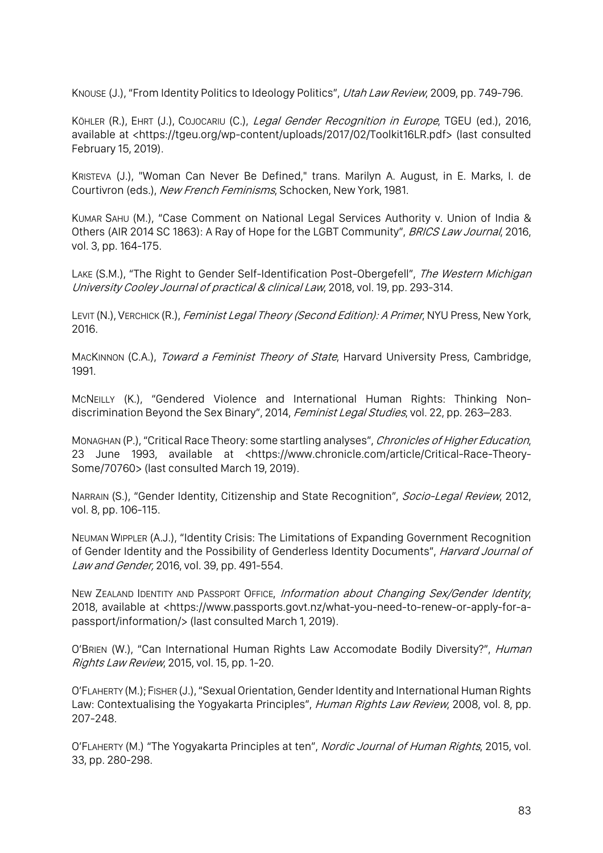KNOUSE (J.), "From Identity Politics to Ideology Politics", Utah Law Review, 2009, pp. 749-796.

KÖHLER (R.), EHRT (J.), COJOCARIU (C.), Legal Gender Recognition in Europe, TGEU (ed.), 2016, available at <https://tgeu.org/wp-content/uploads/2017/02/Toolkit16LR.pdf> (last consulted February 15, 2019).

KRISTEVA (J.), "Woman Can Never Be Defined," trans. Marilyn A. August, in E. Marks, I. de Courtivron (eds.), New French Feminisms, Schocken, New York, 1981.

KUMAR SAHU (M.), "Case Comment on National Legal Services Authority v. Union of India & Others (AIR 2014 SC 1863): A Ray of Hope for the LGBT Community", BRICS Law Journal, 2016, vol. 3, pp. 164-175.

LAKE (S.M.), "The Right to Gender Self-Identification Post-Obergefell", The Western Michigan University Cooley Journal of practical & clinical Law, 2018, vol. 19, pp. 293-314.

LEVIT (N.), VERCHICK (R.), Feminist Legal Theory (Second Edition): A Primer, NYU Press, New York, 2016.

MACKINNON (C.A.), Toward a Feminist Theory of State, Harvard University Press, Cambridge, 1991.

MCNEILLY (K.), "Gendered Violence and International Human Rights: Thinking Nondiscrimination Beyond the Sex Binary", 2014, Feminist Legal Studies, vol. 22, pp. 263-283.

MONAGHAN (P.), "Critical Race Theory: some startling analyses", Chronicles of Higher Education, 23 June 1993, available at <https://www.chronicle.com/article/Critical-Race-Theory-Some/70760> (last consulted March 19, 2019).

NARRAIN (S.), "Gender Identity, Citizenship and State Recognition", Socio-Legal Review, 2012, vol. 8, pp. 106-115.

NEUMAN WIPPLER (A.J.), "Identity Crisis: The Limitations of Expanding Government Recognition of Gender Identity and the Possibility of Genderless Identity Documents", Harvard Journal of Law and Gender, 2016, vol. 39, pp. 491-554.

NEW ZEALAND IDENTITY AND PASSPORT OFFICE, Information about Changing Sex/Gender Identity, 2018, available at <https://www.passports.govt.nz/what-you-need-to-renew-or-apply-for-apassport/information/> (last consulted March 1, 2019).

O'BRIEN (W.), "Can International Human Rights Law Accomodate Bodily Diversity?", Human Rights Law Review, 2015, vol. 15, pp. 1-20.

O'FLAHERTY (M.); FISHER (J.), "Sexual Orientation, Gender Identity and International Human Rights Law: Contextualising the Yogyakarta Principles", *Human Rights Law Review*, 2008, vol. 8, pp. 207-248.

O'FLAHERTY (M.) "The Yogyakarta Principles at ten", *Nordic Journal of Human Rights*, 2015, vol. 33, pp. 280-298.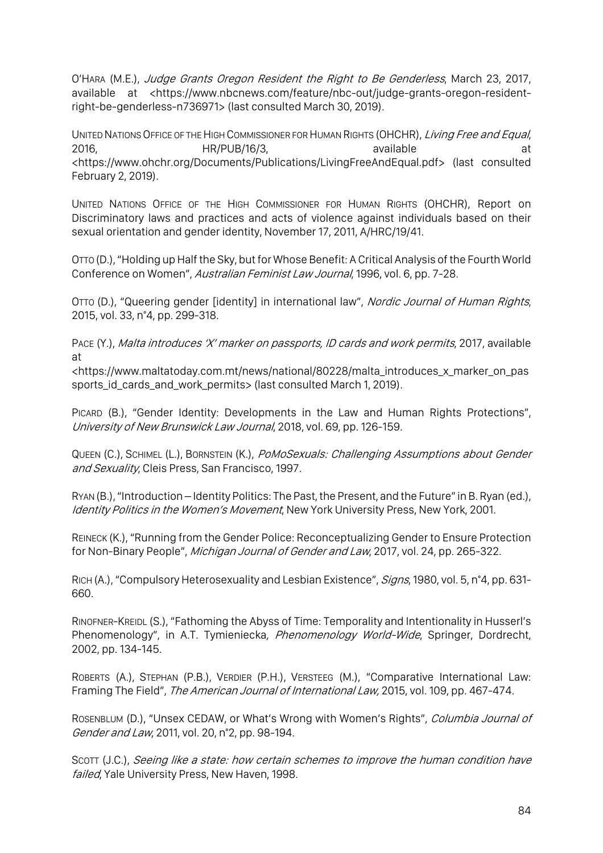O'HARA (M.E.), Judge Grants Oregon Resident the Right to Be Genderless, March 23, 2017, available at <https://www.nbcnews.com/feature/nbc-out/judge-grants-oregon-residentright-be-genderless-n736971> (last consulted March 30, 2019).

UNITED NATIONS OFFICE OF THE HIGH COMMISSIONER FOR HUMAN RIGHTS (OHCHR), Living Free and Equal, 2016, **HR/PUB/16/3, available** available at <https://www.ohchr.org/Documents/Publications/LivingFreeAndEqual.pdf> (last consulted February 2, 2019).

UNITED NATIONS OFFICE OF THE HIGH COMMISSIONER FOR HUMAN RIGHTS (OHCHR), Report on Discriminatory laws and practices and acts of violence against individuals based on their sexual orientation and gender identity, November 17, 2011, A/HRC/19/41.

OTTO (D.), "Holding up Half the Sky, but for Whose Benefit: A Critical Analysis of the Fourth World Conference on Women", Australian Feminist Law Journal, 1996, vol. 6, pp. 7-28.

OTTO (D.), "Queering gender [identity] in international law", Nordic Journal of Human Rights, 2015, vol. 33, n°4, pp. 299-318.

PACE (Y.), Malta introduces 'X' marker on passports, ID cards and work permits, 2017, available at

<https://www.maltatoday.com.mt/news/national/80228/malta\_introduces\_x\_marker\_on\_pas sports\_id\_cards\_and\_work\_permits> (last consulted March 1, 2019).

PICARD (B.), "Gender Identity: Developments in the Law and Human Rights Protections", University of New Brunswick Law Journal, 2018, vol. 69, pp. 126-159.

QUEEN (C.), SCHIMEL (L.), BORNSTEIN (K.), PoMoSexuals: Challenging Assumptions about Gender and Sexuality, Cleis Press, San Francisco, 1997.

RYAN (B.),"Introduction – Identity Politics: The Past, the Present, and the Future" in B. Ryan (ed.), Identity Politics in the Women's Movement, New York University Press, New York, 2001.

REINECK (K.), "Running from the Gender Police: Reconceptualizing Gender to Ensure Protection for Non-Binary People", Michigan Journal of Gender and Law, 2017, vol. 24, pp. 265-322.

RICH (A.), "Compulsory Heterosexuality and Lesbian Existence", Signs, 1980, vol. 5, n°4, pp. 631-660.

RINOFNER-KREIDL (S.), "Fathoming the Abyss of Time: Temporality and Intentionality in Husserl's Phenomenology", in A.T. Tymieniecka, Phenomenology World-Wide, Springer, Dordrecht, 2002, pp. 134-145.

ROBERTS (A.), STEPHAN (P.B.), VERDIER (P.H.), VERSTEEG (M.), "Comparative International Law: Framing The Field", The American Journal of International Law, 2015, vol. 109, pp. 467-474.

ROSENBLUM (D.), "Unsex CEDAW, or What's Wrong with Women's Rights", Columbia Journal of Gender and Law, 2011, vol. 20, n°2, pp. 98-194.

SCOTT (J.C.), Seeing like a state: how certain schemes to improve the human condition have failed, Yale University Press, New Haven, 1998.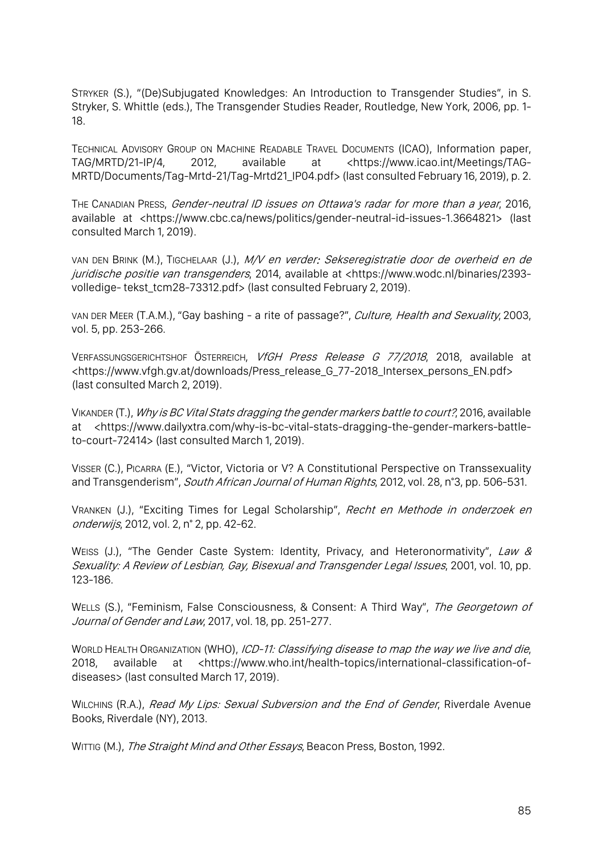STRYKER (S.), "(De)Subjugated Knowledges: An Introduction to Transgender Studies", in S. Stryker, S. Whittle (eds.), The Transgender Studies Reader, Routledge, New York, 2006, pp. 1- 18.

TECHNICAL ADVISORY GROUP ON MACHINE READABLE TRAVEL DOCUMENTS (ICAO), Information paper, TAG/MRTD/21-IP/4, 2012, available at <https://www.icao.int/Meetings/TAG-MRTD/Documents/Tag-Mrtd-21/Tag-Mrtd21\_IP04.pdf> (last consulted February 16, 2019), p. 2.

THE CANADIAN PRESS, Gender-neutral ID issues on Ottawa's radar for more than a year, 2016, available at <https://www.cbc.ca/news/politics/gender-neutral-id-issues-1.3664821> (last consulted March 1, 2019).

VAN DEN BRINK (M.), TIGCHELAAR (J.), M/V en verder: Sekseregistratie door de overheid en de juridische positie van transgenders, 2014, available at <https://www.wodc.nl/binaries/2393volledige- tekst\_tcm28-73312.pdf> (last consulted February 2, 2019).

VAN DER MEER (T.A.M.), "Gay bashing - a rite of passage?", Culture, Health and Sexuality, 2003, vol. 5, pp. 253-266.

VERFASSUNGSGERICHTSHOF ÖSTERREICH, VfGH Press Release G 77/2018, 2018, available at <https://www.vfgh.gv.at/downloads/Press\_release\_G\_77-2018\_Intersex\_persons\_EN.pdf> (last consulted March 2, 2019).

VIKANDER (T.), Why is BC Vital Stats dragging the gender markers battle to court?, 2016, available at <https://www.dailyxtra.com/why-is-bc-vital-stats-dragging-the-gender-markers-battleto-court-72414> (last consulted March 1, 2019).

VISSER (C.), PICARRA (E.), "Victor, Victoria or V? A Constitutional Perspective on Transsexuality and Transgenderism", South African Journal of Human Rights, 2012, vol. 28, n°3, pp. 506-531.

VRANKEN (J.), "Exciting Times for Legal Scholarship", Recht en Methode in onderzoek en onderwijs, 2012, vol. 2, n° 2, pp. 42-62.

WEISS (J.), "The Gender Caste System: Identity, Privacy, and Heteronormativity", Law & Sexuality: A Review of Lesbian, Gay, Bisexual and Transgender Legal Issues, 2001, vol. 10, pp. 123-186.

WELLS (S.), "Feminism, False Consciousness, & Consent: A Third Way", The Georgetown of Journal of Gender and Law, 2017, vol. 18, pp. 251-277.

WORLD HEALTH ORGANIZATION (WHO), ICD-11: Classifying disease to map the way we live and die, 2018, available at <https://www.who.int/health-topics/international-classification-ofdiseases> (last consulted March 17, 2019).

WILCHINS (R.A.), Read My Lips: Sexual Subversion and the End of Gender, Riverdale Avenue Books, Riverdale (NY), 2013.

WITTIG (M.), The Straight Mind and Other Essays, Beacon Press, Boston, 1992.